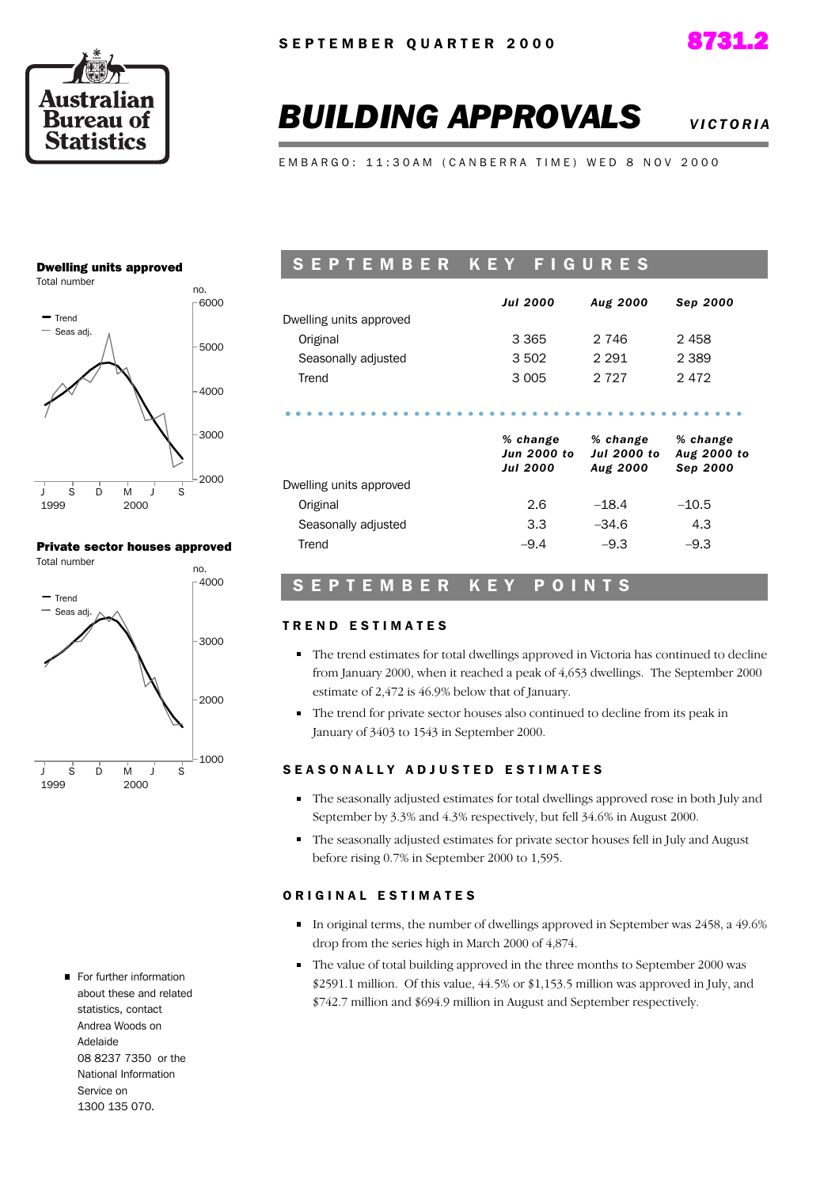



# **BUILDING APPROVALS** *VIGTORIA*

EMBARGO: 11:30AM (CANBERRA TIME) WED 8 NOV 2000

### Dwelling units approved



### Private sector houses approved



For further information about these and related statistics, contact Andrea Woods on Adelaide 08 8237 7350 or the National Information Service on 1300 135 070.

## SEPTEMBER KEY FIGURES

|                         | <b>Jul 2000</b> | <b>Aug 2000</b> | Sep 2000 |
|-------------------------|-----------------|-----------------|----------|
| Dwelling units approved |                 |                 |          |
| Original                | 3 3 6 5         | 2 746           | 2458     |
| Seasonally adjusted     | 3 502           | 2.291           | 2 3 8 9  |
| Trend                   | 3 0 0 5         | 2 727           | 2472     |
|                         |                 |                 |          |
|                         |                 |                 |          |

|                         | <i>o</i> unange<br><b>Jun 2000 to</b><br><b>Jul 2000</b> | <i>o</i> unange<br><b>Jul 2000 to</b><br>Aug 2000 | <i>o</i> unange<br>Aug 2000 to<br>Sep 2000 |
|-------------------------|----------------------------------------------------------|---------------------------------------------------|--------------------------------------------|
| Dwelling units approved |                                                          |                                                   |                                            |
| Original                | 2.6                                                      | $-18.4$                                           | $-10.5$                                    |
| Seasonally adjusted     | 3.3                                                      | $-34.6$                                           | 4.3                                        |
| Trend                   | $-9.4$                                                   | $-9.3$                                            | $-9.3$                                     |
|                         |                                                          |                                                   |                                            |

*% change*

*% change*

*% change*

## SEPTEMBER KEY POINTS

### TREND ESTIMATES

- The trend estimates for total dwellings approved in Victoria has continued to decline from January 2000, when it reached a peak of 4,653 dwellings. The September 2000 estimate of 2,472 is 46.9% below that of January.
- The trend for private sector houses also continued to decline from its peak in January of 3403 to 1543 in September 2000.

### SEASONALLY ADJUSTED ESTIMATES

- The seasonally adjusted estimates for total dwellings approved rose in both July and September by 3.3% and 4.3% respectively, but fell 34.6% in August 2000.
- The seasonally adjusted estimates for private sector houses fell in July and August before rising 0.7% in September 2000 to 1,595.

### ORIGINAL ESTIMATES

- In original terms, the number of dwellings approved in September was 2458, a 49.6% drop from the series high in March 2000 of 4,874.
- The value of total building approved in the three months to September 2000 was \$2591.1 million. Of this value, 44.5% or \$1,153.5 million was approved in July, and \$742.7 million and \$694.9 million in August and September respectively.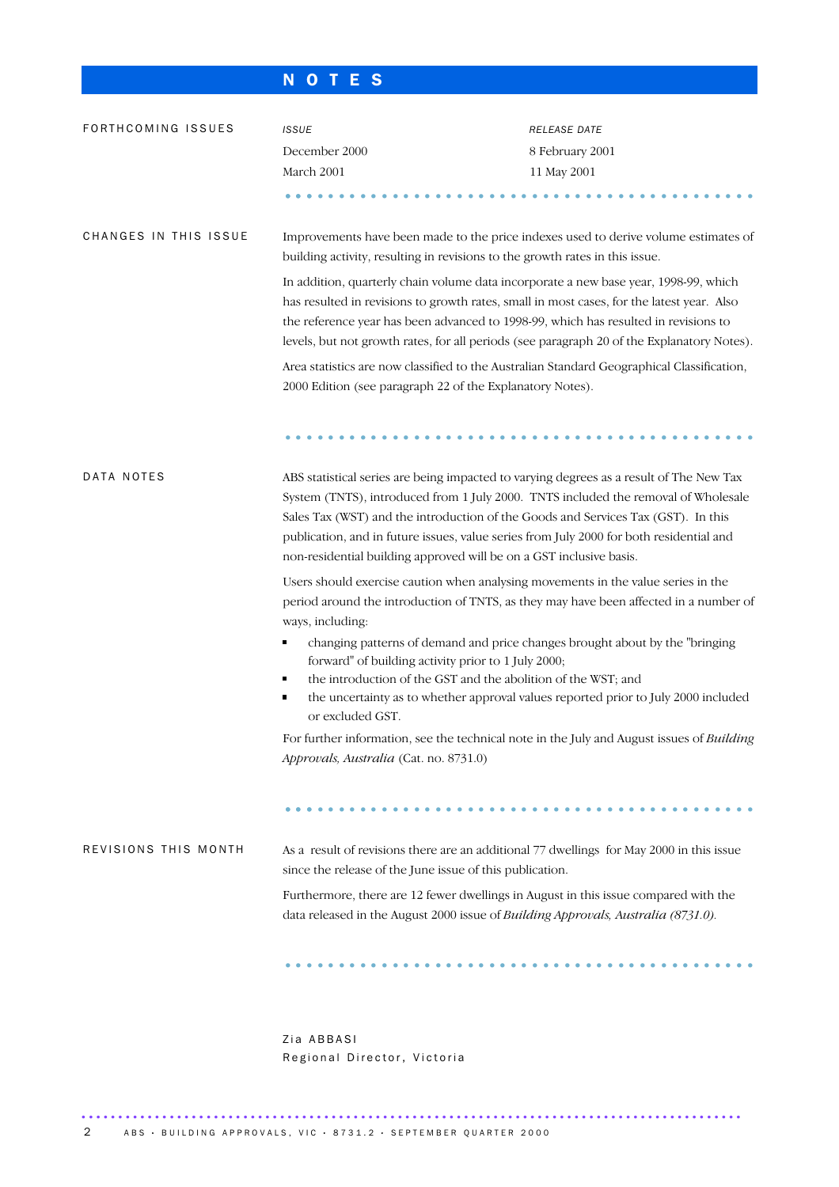## N O T E S

| FORTHCOMING ISSUES    | <b>ISSUE</b>                                                                                                                                                                                                                                                                                                                                                                                                                         | RELEASE DATE                                                                                                                                                       |
|-----------------------|--------------------------------------------------------------------------------------------------------------------------------------------------------------------------------------------------------------------------------------------------------------------------------------------------------------------------------------------------------------------------------------------------------------------------------------|--------------------------------------------------------------------------------------------------------------------------------------------------------------------|
|                       | December 2000                                                                                                                                                                                                                                                                                                                                                                                                                        | 8 February 2001                                                                                                                                                    |
|                       | March 2001                                                                                                                                                                                                                                                                                                                                                                                                                           | 11 May 2001                                                                                                                                                        |
|                       |                                                                                                                                                                                                                                                                                                                                                                                                                                      |                                                                                                                                                                    |
| CHANGES IN THIS ISSUE | Improvements have been made to the price indexes used to derive volume estimates of<br>building activity, resulting in revisions to the growth rates in this issue.                                                                                                                                                                                                                                                                  |                                                                                                                                                                    |
|                       | In addition, quarterly chain volume data incorporate a new base year, 1998-99, which<br>has resulted in revisions to growth rates, small in most cases, for the latest year. Also<br>the reference year has been advanced to 1998-99, which has resulted in revisions to<br>levels, but not growth rates, for all periods (see paragraph 20 of the Explanatory Notes).                                                               |                                                                                                                                                                    |
|                       | Area statistics are now classified to the Australian Standard Geographical Classification,<br>2000 Edition (see paragraph 22 of the Explanatory Notes).                                                                                                                                                                                                                                                                              |                                                                                                                                                                    |
|                       |                                                                                                                                                                                                                                                                                                                                                                                                                                      |                                                                                                                                                                    |
| DATA NOTES            | ABS statistical series are being impacted to varying degrees as a result of The New Tax<br>System (TNTS), introduced from 1 July 2000. TNTS included the removal of Wholesale<br>Sales Tax (WST) and the introduction of the Goods and Services Tax (GST). In this<br>publication, and in future issues, value series from July 2000 for both residential and<br>non-residential building approved will be on a GST inclusive basis. |                                                                                                                                                                    |
|                       | Users should exercise caution when analysing movements in the value series in the<br>ways, including:                                                                                                                                                                                                                                                                                                                                | period around the introduction of TNTS, as they may have been affected in a number of                                                                              |
|                       | forward" of building activity prior to 1 July 2000;<br>the introduction of the GST and the abolition of the WST; and<br>٠<br>٠                                                                                                                                                                                                                                                                                                       | changing patterns of demand and price changes brought about by the "bringing<br>the uncertainty as to whether approval values reported prior to July 2000 included |
|                       | or excluded GST.<br>For further information, see the technical note in the July and August issues of Building                                                                                                                                                                                                                                                                                                                        |                                                                                                                                                                    |
|                       | Approvals, Australia (Cat. no. 8731.0)                                                                                                                                                                                                                                                                                                                                                                                               |                                                                                                                                                                    |
|                       |                                                                                                                                                                                                                                                                                                                                                                                                                                      |                                                                                                                                                                    |
| REVISIONS THIS MONTH  | As a result of revisions there are an additional 77 dwellings for May 2000 in this issue<br>since the release of the June issue of this publication.                                                                                                                                                                                                                                                                                 |                                                                                                                                                                    |
|                       | Furthermore, there are 12 fewer dwellings in August in this issue compared with the<br>data released in the August 2000 issue of Building Approvals, Australia (8731.0).                                                                                                                                                                                                                                                             |                                                                                                                                                                    |
|                       |                                                                                                                                                                                                                                                                                                                                                                                                                                      |                                                                                                                                                                    |
|                       |                                                                                                                                                                                                                                                                                                                                                                                                                                      |                                                                                                                                                                    |

Zia ABBASI Regional Director, Victoria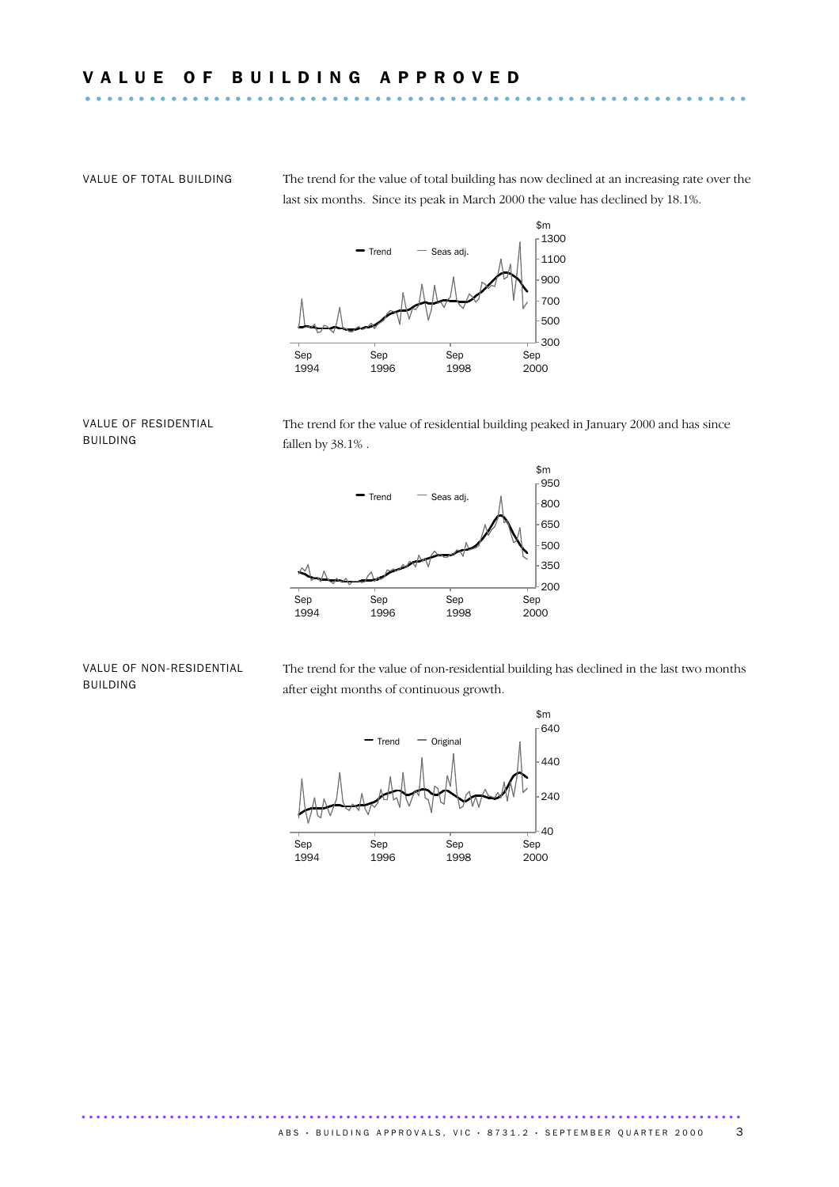VALUE OF TOTAL BUILDING The trend for the value of total building has now declined at an increasing rate over the last six months. Since its peak in March 2000 the value has declined by 18.1%.



### VALUE OF RESIDENTIAL BUILDING

The trend for the value of residential building peaked in January 2000 and has since fallen by 38.1%.



### VALUE OF NON-RESIDENTIAL BUILDING

The trend for the value of non-residential building has declined in the last two months after eight months of continuous growth.

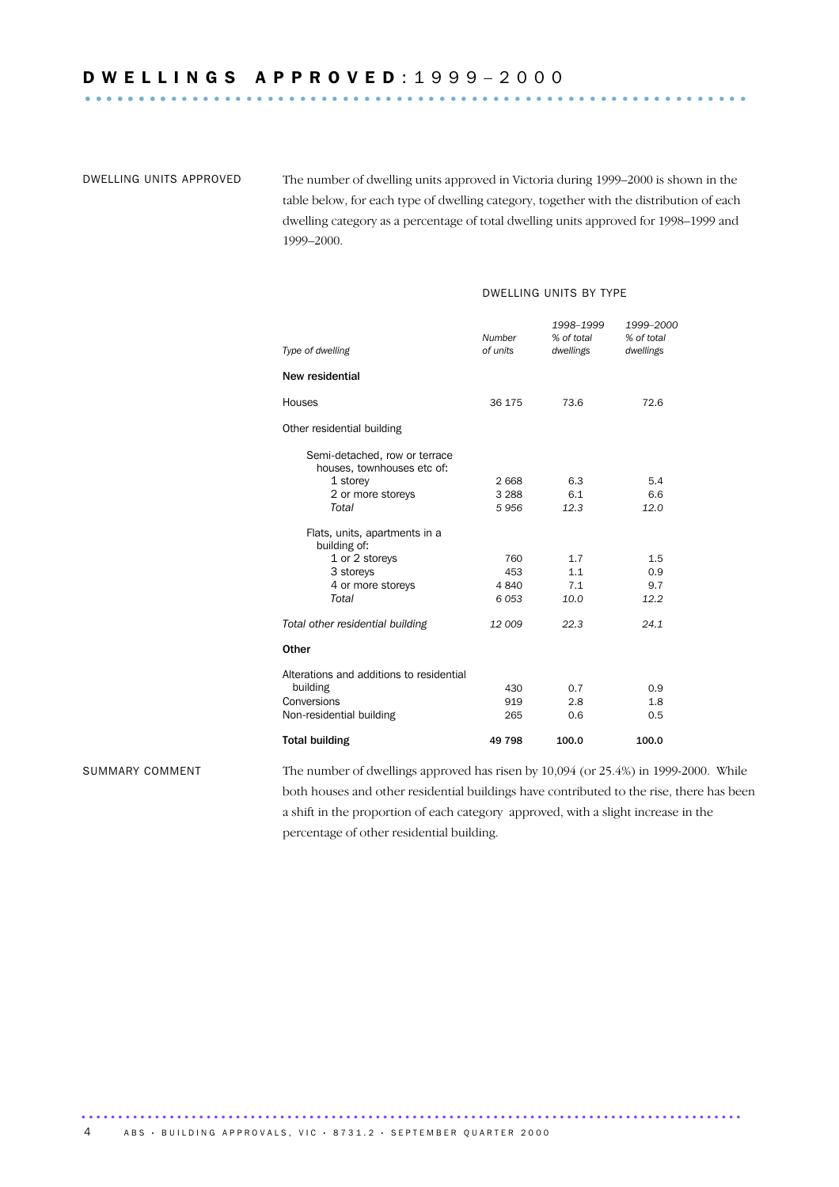DWELLING UNITS APPROVED The number of dwelling units approved in Victoria during 1999–2000 is shown in the table below, for each type of dwelling category, together with the distribution of each dwelling category as a percentage of total dwelling units approved for 1998–1999 and 1999–2000.

### DWELLING UNITS BY TYPE

| Type of dwelling                                            | Number<br>of units | 1998-1999<br>% of total<br>dwellings | 1999-2000<br>% of total<br>dwellings |
|-------------------------------------------------------------|--------------------|--------------------------------------|--------------------------------------|
| New residential                                             |                    |                                      |                                      |
| <b>Houses</b>                                               | 36 175             | 73.6                                 | 72.6                                 |
| Other residential building                                  |                    |                                      |                                      |
| Semi-detached, row or terrace<br>houses, townhouses etc of: |                    |                                      |                                      |
| 1 storey                                                    | 2668               | 6.3                                  | 5.4                                  |
| 2 or more storeys                                           | 3 2 8 8            | 6.1                                  | 6.6                                  |
| Total                                                       | 5956               | 12.3                                 | 12.0                                 |
| Flats, units, apartments in a<br>building of:               |                    |                                      |                                      |
| 1 or 2 storeys                                              | 760                | 1.7                                  | 1.5                                  |
| 3 storeys                                                   | 453                | 1.1                                  | 0.9                                  |
| 4 or more storeys                                           | 4840               | 7.1                                  | 9.7                                  |
| Total                                                       | 6053               | 10.0                                 | 12.2                                 |
| Total other residential building                            | 12009              | 22.3                                 | 24.1                                 |
| Other                                                       |                    |                                      |                                      |
| Alterations and additions to residential                    |                    |                                      |                                      |
| building                                                    | 430                | 0.7                                  | 0.9                                  |
| Conversions                                                 | 919                | 2.8                                  | 1.8                                  |
| Non-residential building                                    | 265                | 0.6                                  | 0.5                                  |
| <b>Total building</b>                                       | 49 798             | 100.0                                | 100.0                                |
|                                                             |                    |                                      |                                      |

SUMMARY COMMENT The number of dwellings approved has risen by 10,094 (or 25.4%) in 1999-2000. While both houses and other residential buildings have contributed to the rise, there has been a shift in the proportion of each category approved, with a slight increase in the percentage of other residential building.

.......................................................................................... ABS · BUILDING APPROVALS, VIC · 8731.2 · SEPTEMBER QUARTER 2000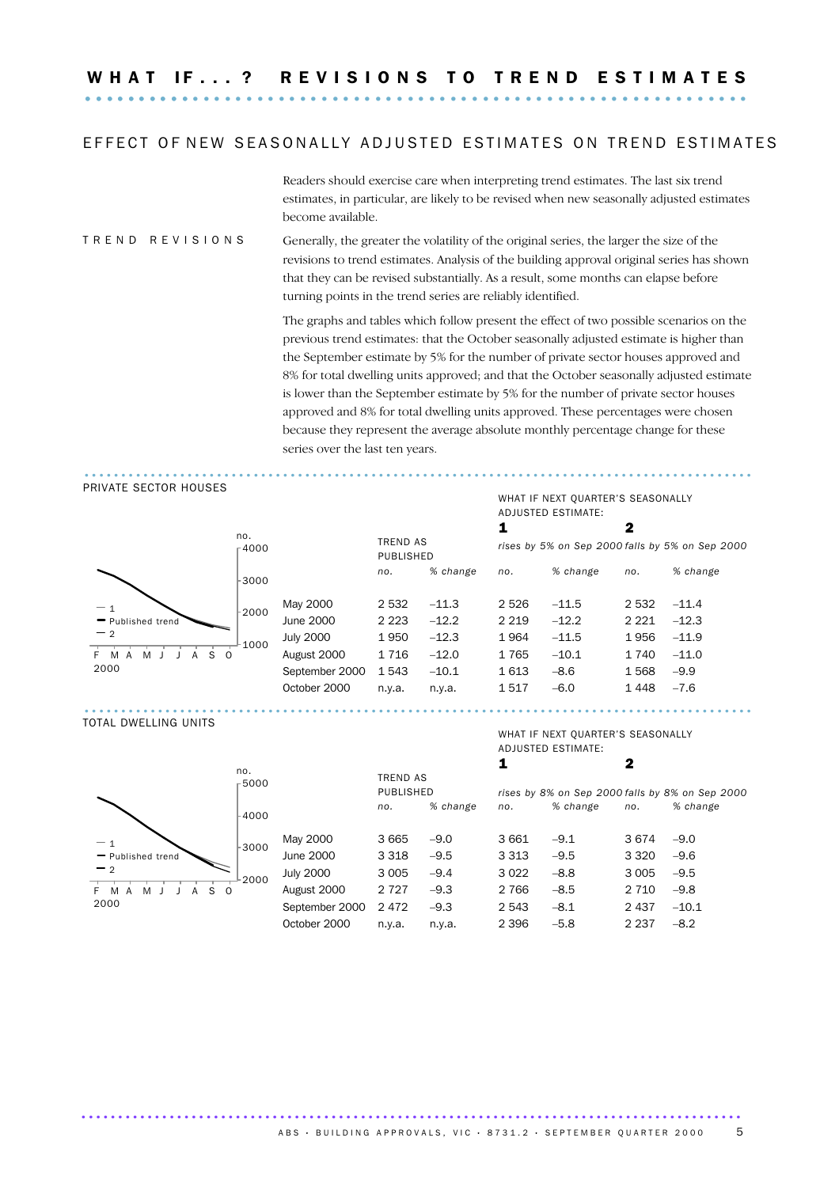### EFFECT OF NEW SEASONALLY ADJUSTED ESTIMATES ON TREND ESTIMATES

Readers should exercise care when interpreting trend estimates. The last six trend estimates, in particular, are likely to be revised when new seasonally adjusted estimates become available.

### T R E N D R E V I S I O N S Generally, the greater the volatility of the original series, the larger the size of the revisions to trend estimates. Analysis of the building approval original series has shown that they can be revised substantially. As a result, some months can elapse before turning points in the trend series are reliably identified.

The graphs and tables which follow present the effect of two possible scenarios on the previous trend estimates: that the October seasonally adjusted estimate is higher than the September estimate by 5% for the number of private sector houses approved and 8% for total dwelling units approved; and that the October seasonally adjusted estimate is lower than the September estimate by 5% for the number of private sector houses approved and 8% for total dwelling units approved. These percentages were chosen because they represent the average absolute monthly percentage change for these series over the last ten years.

### ........................................................................................... PRIVATE SECTOR HOUSES



### TREND AS PUBLISHED 1 2 *rises by 5% on Sep 2000 falls by 5% on Sep 2000 no. % change no. % change no. % change* May 2000 2 532 -11.3 2 526 -11.5 2 532 -11.4 June 2000 2 223 –12.2 2 219 –12.2 2 221 –12.3 July 2000 1950 -12.3 1964 -11.5 1956 -11.9 August 2000 1 716 -12.0 1 765 -10.1 1 740 -11.0 September 2000 1 543 -10.1 1 613 -8.6 1 568 -9.9 October 2000 n.y.a. n.y.a. 1 517 –6.0 1 448 –7.6 ...........................................................................................

### TOTAL DWELLING UNITS



|                  |         |          |                              |          | 2       |                                                 |
|------------------|---------|----------|------------------------------|----------|---------|-------------------------------------------------|
|                  |         |          |                              |          |         |                                                 |
|                  | no.     | % change | no.                          | % change | no.     | % change                                        |
| May 2000         | 3665    | $-9.0$   | 3661                         | $-9.1$   | 3674    | $-9.0$                                          |
| June 2000        | 3 3 1 8 | $-9.5$   | 3 3 1 3                      | $-9.5$   | 3 3 2 0 | $-9.6$                                          |
| <b>July 2000</b> | 3 0 0 5 | $-9.4$   | 3 0 2 2                      | $-8.8$   | 3 0 0 5 | $-9.5$                                          |
| August 2000      | 2 7 2 7 | $-9.3$   | 2 7 6 6                      | $-8.5$   | 2 7 1 0 | $-9.8$                                          |
| September 2000   | 2472    | $-9.3$   | 2 5 4 3                      | $-8.1$   | 2 4 3 7 | $-10.1$                                         |
| October 2000     | n.y.a.  | n.v.a.   | 2 3 9 6                      | $-5.8$   | 2 2 3 7 | $-8.2$                                          |
|                  |         |          | <b>TREND AS</b><br>PUBLISHED |          |         | rises by 8% on Sep 2000 falls by 8% on Sep 2000 |

### WHAT IF NEXT QUARTER'S SEASONALLY ADJUSTED ESTIMATE:

WHAT IF NEXT QUARTER'S SEASONALLY

ADJUSTED ESTIMATE:

.......................................................................................... ABS · BUILDING APPROVALS, VIC · 8731.2 · SEPTEMBER QUARTER 2000 5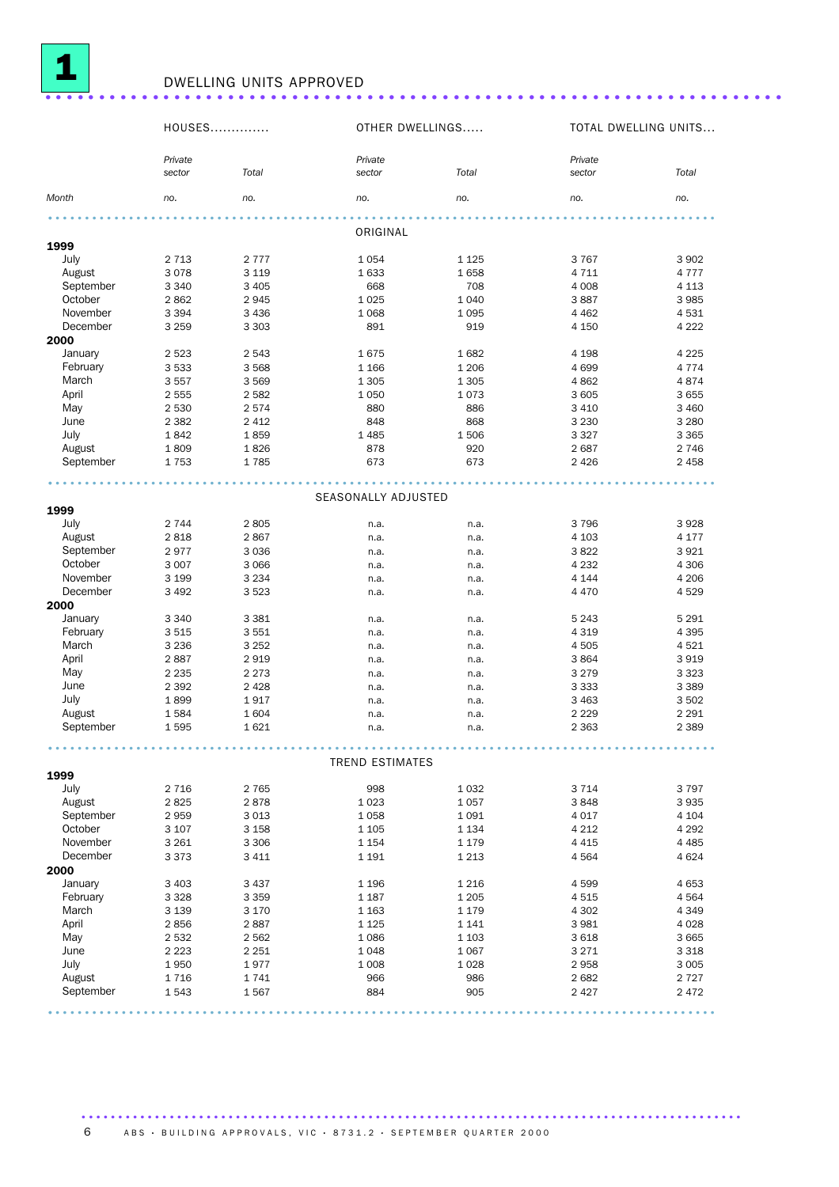

## <sup>1</sup> DWELLING UNITS APPROVED .....................................................................

|           | HOUSES            |         |                        | OTHER DWELLINGS |                   | TOTAL DWELLING UNITS |
|-----------|-------------------|---------|------------------------|-----------------|-------------------|----------------------|
|           |                   |         |                        |                 |                   |                      |
|           | Private<br>sector | Total   | Private<br>sector      | Total           | Private<br>sector | Total                |
| Month     | no.               | no.     | no.                    | no.             | no.               | no.                  |
|           |                   |         | ORIGINAL               |                 |                   |                      |
| 1999      |                   |         |                        |                 |                   |                      |
| July      | 2 7 1 3           | 2 7 7 7 | 1054                   | 1 1 2 5         | 3767              | 3 9 0 2              |
| August    | 3078              | 3 1 1 9 | 1633                   | 1658            | 4 7 1 1           | 4 7 7 7              |
| September | 3 3 4 0           | 3 4 0 5 | 668                    | 708             | 4 0 0 8           | 4 1 1 3              |
| October   | 2862              | 2945    | 1 0 2 5                | 1 0 4 0         | 3887              | 3 9 8 5              |
| November  | 3 3 9 4           | 3 4 3 6 | 1 0 6 8                | 1 0 9 5         | 4 4 6 2           | 4531                 |
| December  | 3 2 5 9           | 3 3 0 3 | 891                    | 919             | 4 1 5 0           | 4 2 2 2              |
| 2000      |                   |         |                        |                 |                   |                      |
| January   | 2 5 2 3           | 2543    | 1675                   | 1682            | 4 1 9 8           | 4 2 2 5              |
| February  | 3 5 3 3           | 3568    | 1 1 6 6                | 1 2 0 6         | 4699              | 4 7 7 4              |
| March     | 3557              | 3569    | 1 3 0 5                | 1 3 0 5         | 4862              | 4874                 |
| April     | 2 5 5 5           | 2582    | 1 0 5 0                | 1073            | 3 6 0 5           | 3 6 5 5              |
| May       | 2 5 3 0           | 2574    | 880                    | 886             | 3 4 1 0           | 3 4 6 0              |
| June      | 2 3 8 2           | 2 4 1 2 | 848                    | 868             | 3 2 3 0           | 3 2 8 0              |
| July      | 1842              | 1859    | 1 4 8 5                | 1506            | 3 3 2 7           | 3 3 6 5              |
| August    | 1809              | 1826    | 878                    | 920             | 2687              | 2 7 4 6              |
| September | 1753              | 1785    | 673                    | 673             | 2 4 2 6           | 2 4 5 8              |
|           |                   |         | SEASONALLY ADJUSTED    |                 |                   |                      |
| 1999      |                   |         |                        |                 |                   |                      |
| July      | 2 7 4 4           | 2805    | n.a.                   | n.a.            | 3796              | 3928                 |
| August    | 2818              | 2867    | n.a.                   | n.a.            | 4 1 0 3           | 4 1 7 7              |
| September | 2977              | 3 0 3 6 | n.a.                   | n.a.            | 3822              | 3 9 2 1              |
| October   | 3 0 0 7           | 3 0 6 6 | n.a.                   | n.a.            | 4 2 3 2           | 4 3 0 6              |
| November  | 3 1 9 9           | 3 2 3 4 | n.a.                   | n.a.            | 4 1 4 4           | 4 2 0 6              |
| December  | 3 4 9 2           | 3523    | n.a.                   | n.a.            | 4 4 7 0           | 4529                 |
| 2000      |                   |         |                        |                 |                   |                      |
| January   | 3 3 4 0           | 3 3 8 1 | n.a.                   | n.a.            | 5 2 4 3           | 5 2 9 1              |
| February  | 3515              | 3551    | n.a.                   | n.a.            | 4 3 1 9           | 4 3 9 5              |
| March     | 3 2 3 6           | 3 2 5 2 | n.a.                   | n.a.            | 4 5 0 5           | 4 5 2 1              |
| April     | 2887              | 2919    | n.a.                   | n.a.            | 3864              | 3919                 |
| May       | 2 2 3 5           | 2 2 7 3 | n.a.                   | n.a.            | 3 2 7 9           | 3 3 2 3              |
| June      | 2 3 9 2           | 2 4 2 8 | n.a.                   | n.a.            | 3 3 3 3           | 3 3 8 9              |
| July      | 1899              | 1917    | n.a.                   | n.a.            | 3 4 6 3           | 3 5 0 2              |
| August    | 1584              | 1604    | n.a.                   | n.a.            | 2 2 2 9           | 2 2 9 1              |
| September | 1595              | 1621    | n.a.                   | n.a.            | 2 3 6 3           | 2 3 8 9              |
|           |                   |         | <b>TREND ESTIMATES</b> |                 |                   |                      |
| 1999      |                   |         |                        |                 |                   |                      |
| July      | 2 7 1 6           | 2765    | 998                    | 1 0 3 2         | 3714              | 3 7 9 7              |
| August    | 2825              | 2878    | 1 0 2 3                | 1 0 5 7         | 3848              | 3935                 |
| September | 2959              | 3013    | 1058                   | 1 0 9 1         | 4017              | 4 1 0 4              |
| October   | 3 107             | 3 1 5 8 | 1 1 0 5                | 1 1 3 4         | 4 2 1 2           | 4 2 9 2              |
| November  | 3 2 6 1           | 3 3 0 6 | 1 1 5 4                | 1 1 7 9         | 4 4 1 5           | 4 4 8 5              |
| December  | 3373              | 3 4 1 1 | 1 1 9 1                | 1 2 1 3         | 4564              | 4 6 2 4              |
| 2000      |                   |         |                        |                 |                   |                      |
| January   | 3 4 0 3           | 3437    | 1 1 9 6                | 1 2 1 6         | 4599              | 4 6 5 3              |
| February  | 3 3 2 8           | 3 3 5 9 | 1 1 8 7                | 1 2 0 5         | 4515              | 4 5 6 4              |
| March     | 3 1 3 9           | 3 1 7 0 | 1 1 6 3                | 1 1 7 9         | 4 3 0 2           | 4 3 4 9              |
| April     | 2856              | 2887    | 1 1 2 5                | 1 1 4 1         | 3981              | 4 0 28               |
| May       | 2 5 3 2           | 2 5 6 2 | 1086                   | 1 1 0 3         | 3618              | 3 6 6 5              |
| June      | 2 2 2 3           | 2 2 5 1 | 1048                   | 1 0 6 7         | 3 2 7 1           | 3 3 1 8              |
| July      | 1950              | 1977    | 1 0 0 8                | 1 0 28          | 2958              | 3 0 0 5              |
| August    | 1716              | 1741    | 966                    | 986             | 2682              | 2 7 2 7              |
| September | 1543              | 1567    | 884                    | 905             | 2 4 2 7           | 2 4 7 2              |
|           |                   |         |                        |                 |                   |                      |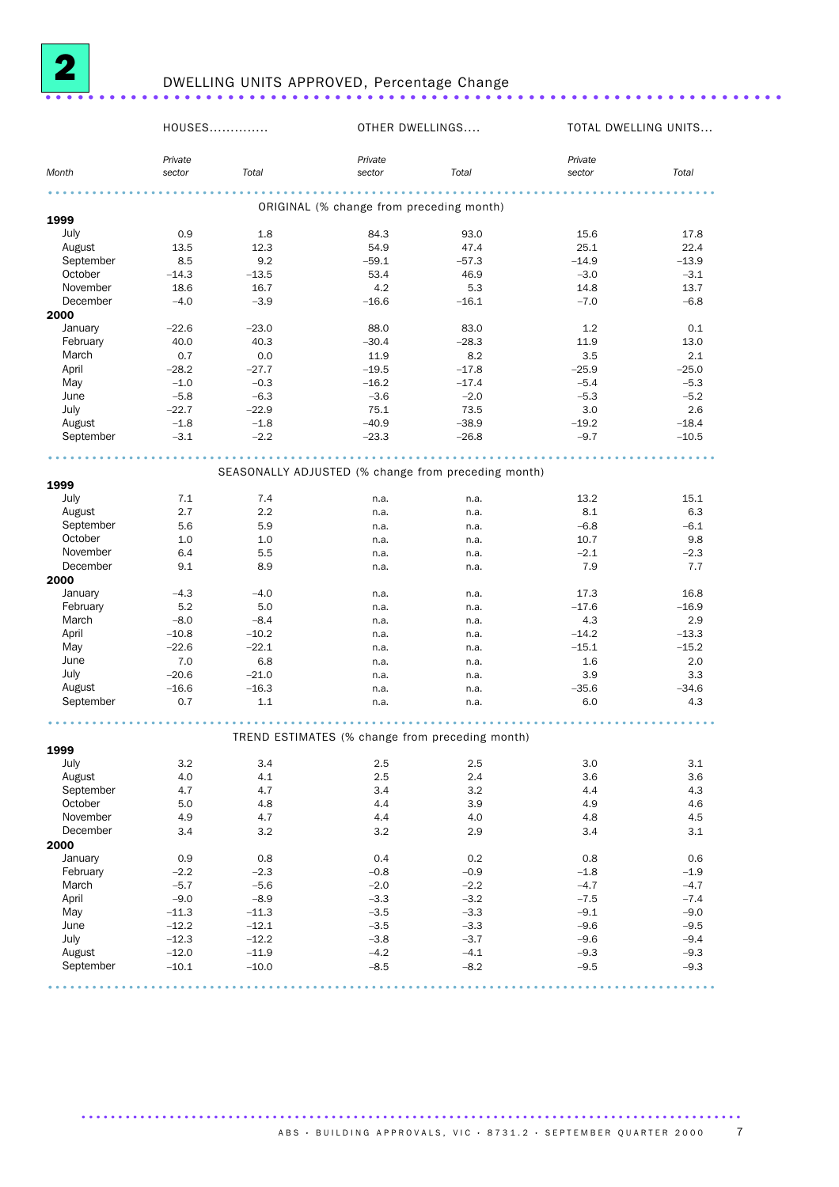

# <sup>2</sup> DWELLING UNITS APPROVED, Percentage Change .....................................................................

|           | HOUSES  |         | OTHER DWELLINGS                                     |         |         | TOTAL DWELLING UNITS |
|-----------|---------|---------|-----------------------------------------------------|---------|---------|----------------------|
|           | Private |         | Private                                             |         | Private |                      |
| Month     | sector  | Total   | sector                                              | Total   | sector  | Total                |
|           |         |         |                                                     |         | .       |                      |
| 1999      |         |         | ORIGINAL (% change from preceding month)            |         |         |                      |
| July      | 0.9     | 1.8     | 84.3                                                | 93.0    | 15.6    | 17.8                 |
| August    | 13.5    | 12.3    | 54.9                                                | 47.4    | 25.1    | 22.4                 |
| September | 8.5     | 9.2     | $-59.1$                                             | $-57.3$ | $-14.9$ | $-13.9$              |
| October   | $-14.3$ | $-13.5$ | 53.4                                                | 46.9    | $-3.0$  | $-3.1$               |
| November  | 18.6    | 16.7    | 4.2                                                 | 5.3     | 14.8    | 13.7                 |
| December  | $-4.0$  | $-3.9$  | $-16.6$                                             | $-16.1$ | $-7.0$  | $-6.8$               |
| 2000      |         |         |                                                     |         |         |                      |
| January   | $-22.6$ | $-23.0$ | 88.0                                                | 83.0    | 1.2     | 0.1                  |
| February  | 40.0    | 40.3    | $-30.4$                                             | $-28.3$ | 11.9    | 13.0                 |
| March     | 0.7     | 0.0     | 11.9                                                | 8.2     | 3.5     | 2.1                  |
| April     | $-28.2$ | $-27.7$ | $-19.5$                                             | $-17.8$ | $-25.9$ | $-25.0$              |
| May       | $-1.0$  | $-0.3$  | $-16.2$                                             | $-17.4$ | $-5.4$  | $-5.3$               |
| June      | $-5.8$  | $-6.3$  | $-3.6$                                              | $-2.0$  | $-5.3$  | $-5.2$               |
| July      | $-22.7$ | $-22.9$ | 75.1                                                | 73.5    | 3.0     | 2.6                  |
| August    | $-1.8$  | $-1.8$  | $-40.9$                                             | $-38.9$ | $-19.2$ | $-18.4$              |
| September | $-3.1$  | $-2.2$  | $-23.3$                                             | $-26.8$ | $-9.7$  | $-10.5$              |
|           |         |         |                                                     | .       | .       |                      |
| 1999      |         |         | SEASONALLY ADJUSTED (% change from preceding month) |         |         |                      |
| July      | 7.1     | 7.4     | n.a.                                                | n.a.    | 13.2    | 15.1                 |
| August    | 2.7     | 2.2     | n.a.                                                | n.a.    | 8.1     | 6.3                  |
| September | 5.6     | 5.9     | n.a.                                                | n.a.    | $-6.8$  | $-6.1$               |
| October   | 1.0     | 1.0     | n.a.                                                | n.a.    | 10.7    | 9.8                  |
| November  | 6.4     | 5.5     | n.a.                                                | n.a.    | $-2.1$  | $-2.3$               |
| December  | 9.1     | 8.9     | n.a.                                                | n.a.    | 7.9     | 7.7                  |
| 2000      |         |         |                                                     |         |         |                      |
| January   | $-4.3$  | $-4.0$  | n.a.                                                | n.a.    | 17.3    | 16.8                 |
| February  | 5.2     | 5.0     | n.a.                                                | n.a.    | $-17.6$ | $-16.9$              |
| March     | $-8.0$  | $-8.4$  | n.a.                                                | n.a.    | 4.3     | 2.9                  |
| April     | $-10.8$ | $-10.2$ | n.a.                                                | n.a.    | $-14.2$ | $-13.3$              |
| May       | $-22.6$ | $-22.1$ | n.a.                                                | n.a.    | $-15.1$ | $-15.2$              |
| June      | 7.0     | 6.8     | n.a.                                                | n.a.    | 1.6     | 2.0                  |
| July      | $-20.6$ | $-21.0$ | n.a.                                                | n.a.    | 3.9     | 3.3                  |
| August    | $-16.6$ | $-16.3$ | n.a.                                                | n.a.    | $-35.6$ | $-34.6$              |
| September | 0.7     | 1.1     | n.a.                                                | n.a.    | 6.0     | 4.3                  |
|           |         |         | TREND ESTIMATES (% change from preceding month)     | .       |         |                      |
| 1999      |         |         |                                                     |         |         |                      |
| July      | 3.2     | 3.4     | $2.5\,$                                             | 2.5     | $3.0\,$ | 3.1                  |
| August    | 4.0     | 4.1     | 2.5                                                 | 2.4     | 3.6     | 3.6                  |
| September | 4.7     | 4.7     | 3.4                                                 | 3.2     | 4.4     | 4.3                  |
| October   | 5.0     | 4.8     | 4.4                                                 | 3.9     | 4.9     | 4.6                  |
| November  | 4.9     | 4.7     | 4.4                                                 | 4.0     | 4.8     | 4.5                  |
| December  | 3.4     | 3.2     | 3.2                                                 | 2.9     | 3.4     | 3.1                  |
| 2000      |         |         |                                                     |         |         |                      |
| January   | 0.9     | 0.8     | 0.4                                                 | 0.2     | 0.8     | 0.6                  |
| February  | $-2.2$  | $-2.3$  | $-0.8$                                              | $-0.9$  | $-1.8$  | $-1.9$               |
| March     | $-5.7$  | $-5.6$  | $-2.0$                                              | $-2.2$  | $-4.7$  | $-4.7$               |
| April     | $-9.0$  | $-8.9$  | $-3.3$                                              | $-3.2$  | $-7.5$  | $-7.4$               |
| May       | $-11.3$ | $-11.3$ | $-3.5$                                              | $-3.3$  | $-9.1$  | $-9.0$               |
| June      | $-12.2$ | $-12.1$ | $-3.5$                                              | $-3.3$  | $-9.6$  | $-9.5$               |
| July      | $-12.3$ | $-12.2$ | $-3.8$                                              | $-3.7$  | $-9.6$  | $-9.4$               |
| August    | $-12.0$ | $-11.9$ | $-4.2$                                              | $-4.1$  | $-9.3$  | $-9.3$               |
| September | $-10.1$ | $-10.0$ | $-8.5$                                              | $-8.2$  | $-9.5$  | $-9.3$               |
|           |         |         |                                                     |         |         |                      |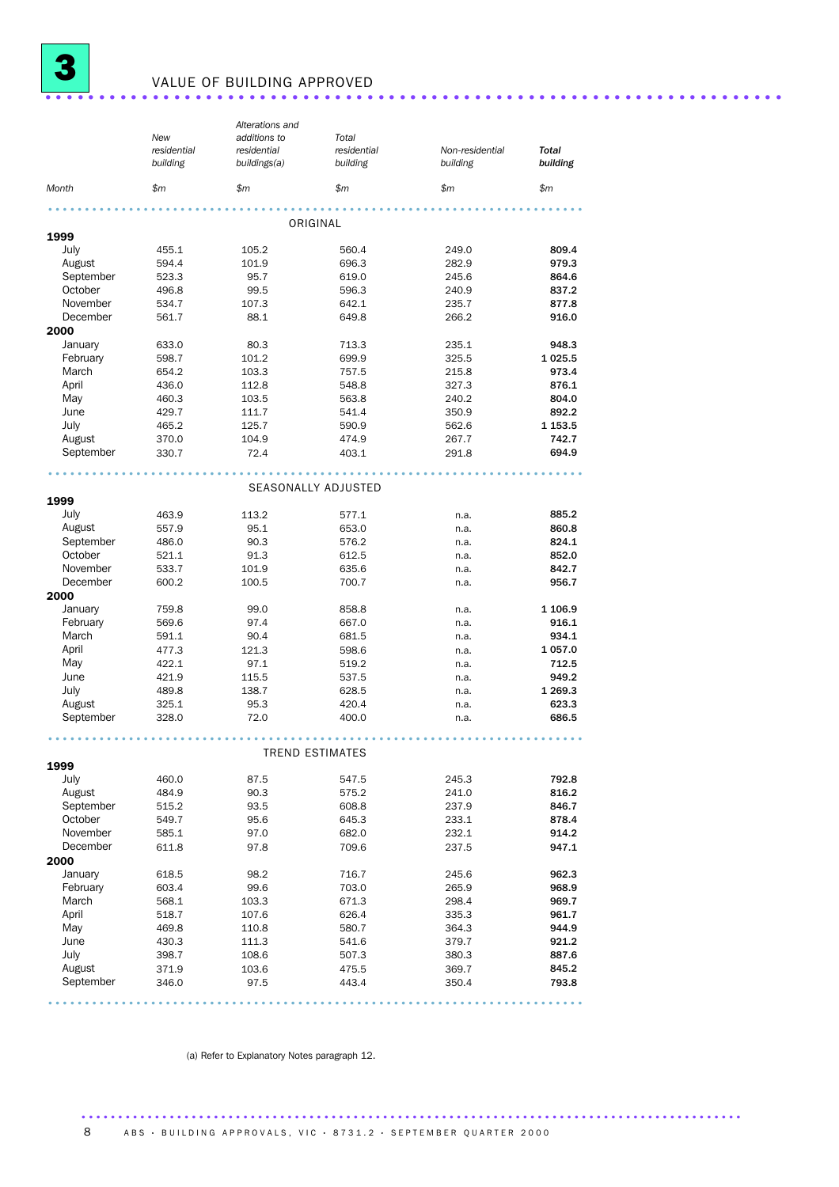

## <sup>3</sup> VALUE OF BUILDING APPROVED .....................................................................

|                   |                              | Alterations and |                        |                 |                 |
|-------------------|------------------------------|-----------------|------------------------|-----------------|-----------------|
|                   | New<br>additions to<br>Total |                 |                        |                 |                 |
|                   | residential                  | residential     | residential            | Non-residential | Total           |
|                   | building                     | buildings(a)    | building               | building        | building        |
| Month             | \$m                          | \$m             | \$m\$                  | \$m             | \$m             |
|                   |                              |                 |                        |                 |                 |
| 1999              |                              |                 | ORIGINAL               |                 |                 |
| July              | 455.1                        | 105.2           | 560.4                  | 249.0           | 809.4           |
| August            | 594.4                        | 101.9           | 696.3                  | 282.9           | 979.3           |
| September         | 523.3                        | 95.7            | 619.0                  | 245.6           | 864.6           |
| October           | 496.8                        | 99.5            | 596.3                  | 240.9           | 837.2           |
| November          | 534.7                        | 107.3           | 642.1                  | 235.7           | 877.8           |
| December          | 561.7                        | 88.1            | 649.8                  | 266.2           | 916.0           |
| 2000              |                              |                 |                        |                 |                 |
| January           | 633.0                        | 80.3            | 713.3                  | 235.1           | 948.3           |
| February          | 598.7                        | 101.2           | 699.9                  | 325.5           | 1025.5          |
| March             | 654.2                        | 103.3           | 757.5                  | 215.8           | 973.4           |
| April             | 436.0                        | 112.8           | 548.8                  | 327.3           | 876.1           |
| May               | 460.3                        | 103.5           | 563.8                  | 240.2           | 804.0           |
| June              | 429.7                        | 111.7           | 541.4                  | 350.9           | 892.2           |
| July              | 465.2                        | 125.7           | 590.9                  | 562.6           | 1 1 5 3 . 5     |
| August            | 370.0                        | 104.9           | 474.9                  | 267.7           | 742.7           |
| September         | 330.7                        | 72.4            | 403.1                  | 291.8           | 694.9           |
|                   |                              |                 |                        |                 |                 |
|                   |                              |                 | SEASONALLY ADJUSTED    |                 |                 |
| 1999              |                              |                 |                        |                 |                 |
| July              | 463.9                        | 113.2           | 577.1                  | n.a.            | 885.2           |
| August            | 557.9                        | 95.1            | 653.0                  | n.a.            | 860.8           |
| September         | 486.0                        | 90.3            | 576.2                  | n.a.            | 824.1           |
| October           | 521.1                        | 91.3            | 612.5                  | n.a.            | 852.0           |
| November          | 533.7                        | 101.9           | 635.6                  | n.a.            | 842.7           |
| December          | 600.2                        | 100.5           | 700.7                  | n.a.            | 956.7           |
| 2000              |                              |                 |                        |                 |                 |
| January           | 759.8                        | 99.0            | 858.8                  | n.a.            | 1 106.9         |
| February<br>March | 569.6                        | 97.4            | 667.0                  | n.a.            | 916.1           |
| April             | 591.1<br>477.3               | 90.4<br>121.3   | 681.5<br>598.6         | n.a.            | 934.1<br>1057.0 |
| May               | 422.1                        | 97.1            | 519.2                  | n.a.<br>n.a.    | 712.5           |
| June              | 421.9                        | 115.5           | 537.5                  | n.a.            | 949.2           |
| July              | 489.8                        | 138.7           | 628.5                  | n.a.            | 1 269.3         |
| August            | 325.1                        | 95.3            | 420.4                  | n.a.            | 623.3           |
| September         | 328.0                        | 72.0            | 400.0                  | n.a.            | 686.5           |
|                   |                              |                 |                        |                 |                 |
|                   |                              |                 | <b>TREND ESTIMATES</b> |                 |                 |
| 1999              |                              |                 |                        |                 |                 |
| July              | 460.0                        | 87.5            | 547.5                  | 245.3           | 792.8           |
| August            | 484.9                        | 90.3            | 575.2                  | 241.0           | 816.2           |
| September         | 515.2                        | 93.5            | 608.8                  | 237.9           | 846.7           |
| October           | 549.7                        | 95.6            | 645.3                  | 233.1           | 878.4           |
| November          | 585.1                        | 97.0            | 682.0                  | 232.1           | 914.2           |
| December          | 611.8                        | 97.8            | 709.6                  | 237.5           | 947.1           |
| 2000              |                              |                 |                        |                 |                 |
| January           | 618.5                        | 98.2            | 716.7                  | 245.6           | 962.3           |
| February          | 603.4                        | 99.6            | 703.0                  | 265.9           | 968.9           |
| March             | 568.1                        | 103.3           | 671.3                  | 298.4           | 969.7           |
| April             | 518.7                        | 107.6           | 626.4                  | 335.3           | 961.7           |
| May               | 469.8                        | 110.8           | 580.7                  | 364.3           | 944.9           |
| June              | 430.3                        | 111.3           | 541.6                  | 379.7           | 921.2           |
| July              | 398.7                        | 108.6           | 507.3                  | 380.3           | 887.6           |
| August            | 371.9                        | 103.6           | 475.5                  | 369.7           | 845.2           |
| September         | 346.0                        | 97.5            | 443.4                  | 350.4           | 793.8           |
|                   |                              |                 |                        |                 |                 |

(a) Refer to Explanatory Notes paragraph 12.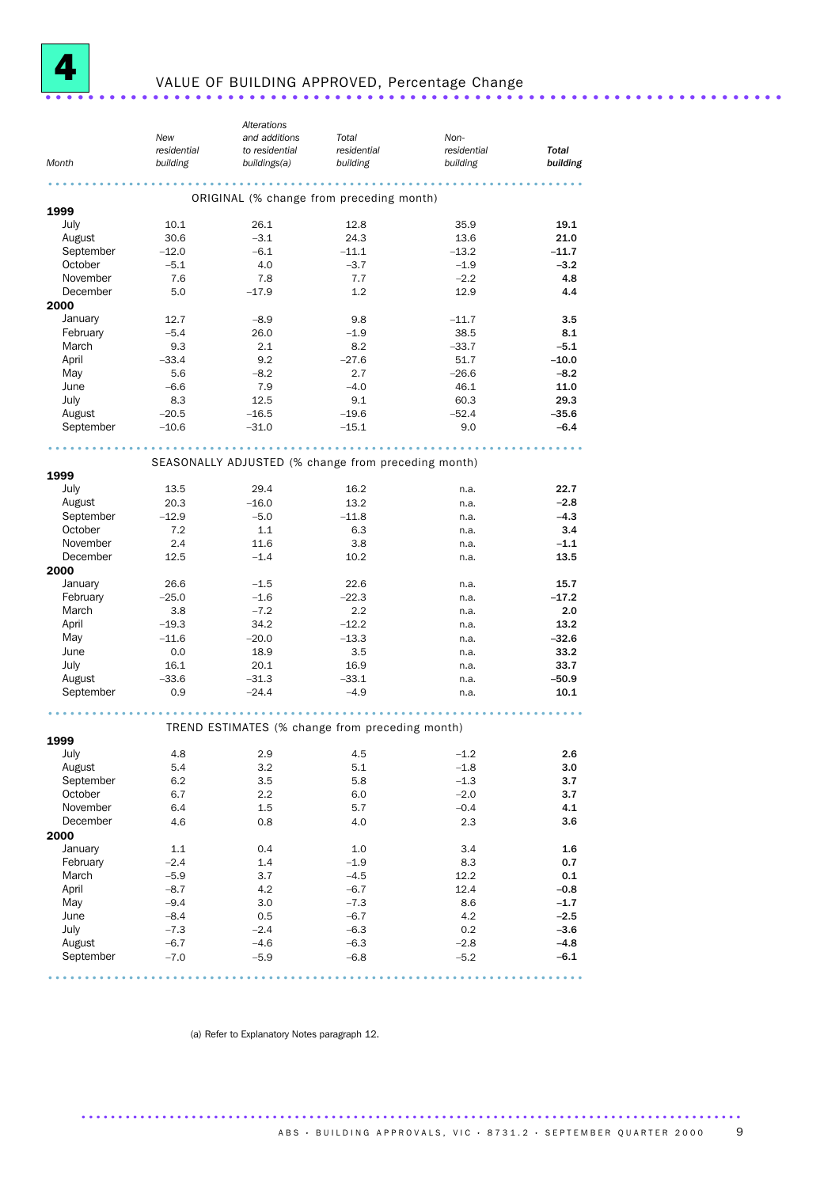

# <sup>4</sup> VALUE OF BUILDING APPROVED, Percentage Change .....................................................................

|           |             | Alterations                                         |             |             |          |
|-----------|-------------|-----------------------------------------------------|-------------|-------------|----------|
|           | New         | and additions                                       | Total       | Non-        |          |
|           | residential | to residential                                      | residential | residential | Total    |
| Month     | building    | buildings(a)                                        | building    | building    | building |
|           |             | .                                                   |             |             |          |
|           |             | ORIGINAL (% change from preceding month)            |             |             |          |
| 1999      |             |                                                     |             |             |          |
| July      | 10.1        | 26.1                                                | 12.8        | 35.9        | 19.1     |
| August    | 30.6        | $-3.1$                                              | 24.3        | 13.6        | 21.0     |
| September | $-12.0$     | $-6.1$                                              | $-11.1$     | $-13.2$     | $-11.7$  |
| October   | $-5.1$      | 4.0                                                 | $-3.7$      | $-1.9$      | $-3.2$   |
| November  | 7.6         | 7.8                                                 | 7.7         | $-2.2$      | 4.8      |
| December  | 5.0         | $-17.9$                                             | 1.2         | 12.9        | 4.4      |
| 2000      |             |                                                     |             |             |          |
| January   | 12.7        | $-8.9$                                              | 9.8         | $-11.7$     | 3.5      |
| February  | $-5.4$      | 26.0                                                | $-1.9$      | 38.5        | 8.1      |
| March     | 9.3         | 2.1                                                 | 8.2         | $-33.7$     | $-5.1$   |
| April     | $-33.4$     | 9.2                                                 | $-27.6$     | 51.7        | $-10.0$  |
| May       | 5.6         | $-8.2$                                              | 2.7         | $-26.6$     | $-8.2$   |
| June      | $-6.6$      | 7.9                                                 | $-4.0$      | 46.1        | 11.0     |
| July      | 8.3         | 12.5                                                | 9.1         | 60.3        | 29.3     |
| August    | $-20.5$     | $-16.5$                                             | $-19.6$     | $-52.4$     | $-35.6$  |
| September | $-10.6$     | $-31.0$                                             | $-15.1$     | 9.0         | $-6.4$   |
|           |             |                                                     |             |             |          |
|           |             |                                                     |             |             |          |
|           |             | SEASONALLY ADJUSTED (% change from preceding month) |             |             |          |
| 1999      |             |                                                     |             |             |          |
| July      | 13.5        | 29.4                                                | 16.2        | n.a.        | 22.7     |
| August    | 20.3        | $-16.0$                                             | 13.2        | n.a.        | $-2.8$   |
| September | $-12.9$     | $-5.0$                                              | $-11.8$     | n.a.        | $-4.3$   |
| October   | 7.2         | 1.1                                                 | 6.3         | n.a.        | 3.4      |
| November  | 2.4         | 11.6                                                | 3.8         | n.a.        | $-1.1$   |
| December  | 12.5        | $-1.4$                                              | 10.2        | n.a.        | 13.5     |
| 2000      |             |                                                     |             |             |          |
| January   | 26.6        | $-1.5$                                              | 22.6        | n.a.        | 15.7     |
| February  | $-25.0$     | $-1.6$                                              | $-22.3$     | n.a.        | $-17.2$  |
| March     | 3.8         | $-7.2$                                              | 2.2         | n.a.        | 2.0      |
| April     | $-19.3$     | 34.2                                                | $-12.2$     | n.a.        | 13.2     |
| May       | $-11.6$     | $-20.0$                                             | $-13.3$     | n.a.        | $-32.6$  |
| June      | 0.0         | 18.9                                                | 3.5         | n.a.        | 33.2     |
| July      | 16.1        | 20.1                                                | 16.9        | n.a.        | 33.7     |
| August    | $-33.6$     | $-31.3$                                             | $-33.1$     | n.a.        | $-50.9$  |
| September | 0.9         | $-24.4$                                             | $-4.9$      | n.a.        | 10.1     |
|           |             |                                                     |             |             |          |
|           |             | TREND ESTIMATES (% change from preceding month)     |             |             |          |
| 1999      |             |                                                     |             |             |          |
| July      | 4.8         | 2.9                                                 | 4.5         | $-1.2$      | 2.6      |
| August    | 5.4         | 3.2                                                 | $5.1\,$     | $-1.8$      | 3.0      |
| September | 6.2         | 3.5                                                 | 5.8         | $-1.3$      | 3.7      |
| October   | 6.7         | 2.2                                                 | 6.0         | $-2.0$      | 3.7      |
| November  | 6.4         | 1.5                                                 | 5.7         | $-0.4$      | 4.1      |
| December  | 4.6         | 0.8                                                 | 4.0         | 2.3         | 3.6      |
| 2000      |             |                                                     |             |             |          |
| January   | 1.1         | 0.4                                                 | 1.0         | 3.4         | 1.6      |
| February  | $-2.4$      | 1.4                                                 | $-1.9$      | 8.3         | 0.7      |
| March     | $-5.9$      | 3.7                                                 | $-4.5$      | 12.2        | 0.1      |
| April     | $-8.7$      | 4.2                                                 | $-6.7$      | 12.4        | $-0.8$   |
| May       | $-9.4$      | 3.0                                                 | $-7.3$      | 8.6         | $-1.7$   |
| June      | $-8.4$      | 0.5                                                 | $-6.7$      | 4.2         | $-2.5$   |
| July      | $-7.3$      | $-2.4$                                              | $-6.3$      | 0.2         | $-3.6$   |
| August    | $-6.7$      | $-4.6$                                              | $-6.3$      | $-2.8$      | $-4.8$   |
| September | $-7.0$      | $-5.9$                                              | $-6.8$      | $-5.2$      | $-6.1$   |
|           |             |                                                     |             |             |          |
|           |             |                                                     |             |             |          |

(a) Refer to Explanatory Notes paragraph 12.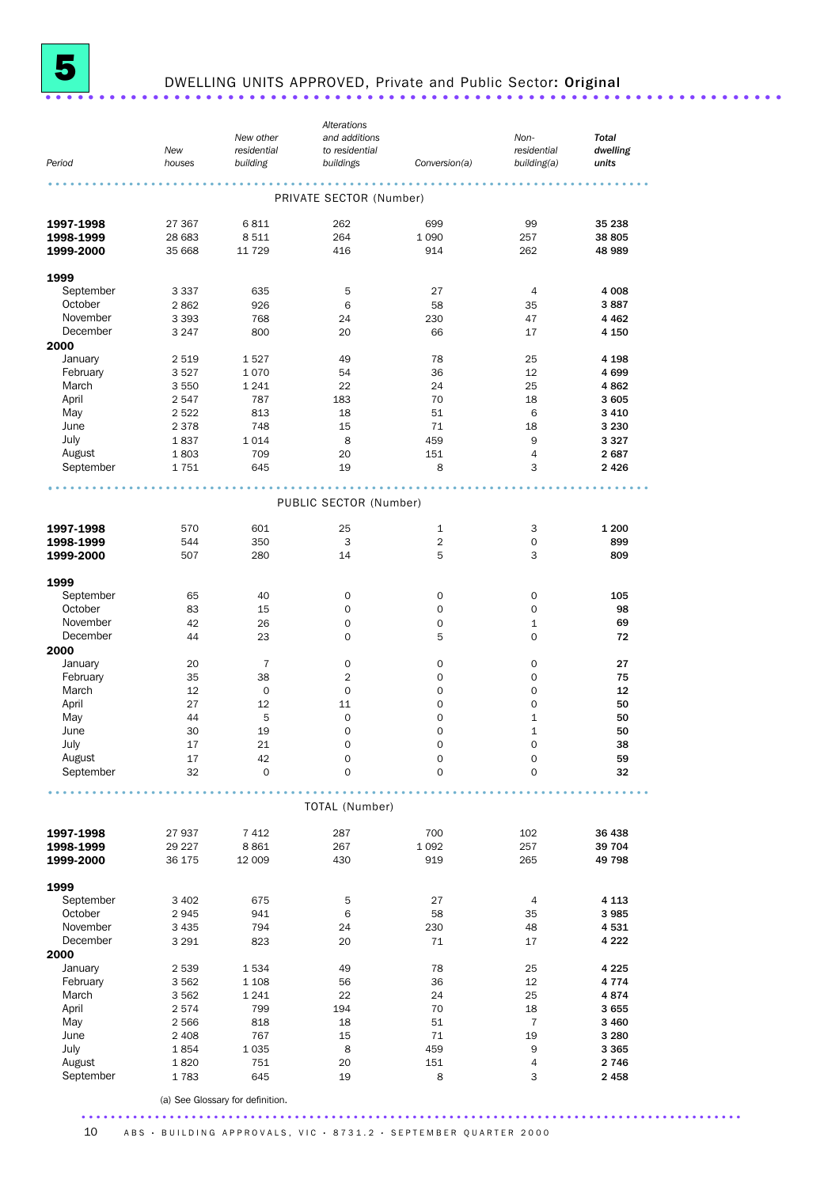

# <sup>5</sup> DWELLING UNITS APPROVED, Private and Public Sector: Original .....................................................................

|           |         |                     | Alterations             |                     |                     |              |
|-----------|---------|---------------------|-------------------------|---------------------|---------------------|--------------|
|           |         | New other           | and additions           |                     | Non-                | <b>Total</b> |
|           | New     | residential         | to residential          |                     | residential         | dwelling     |
| Period    | houses  | building            | buildings               | Conversion(a)       | building(a)         | units        |
|           |         |                     | .                       |                     |                     |              |
|           |         |                     | PRIVATE SECTOR (Number) |                     |                     |              |
|           |         |                     |                         |                     |                     |              |
| 1997-1998 | 27 367  | 6811                | 262                     | 699                 | 99                  | 35 238       |
| 1998-1999 | 28 683  | 8511                | 264                     | 1 0 9 0             | 257                 | 38 805       |
| 1999-2000 | 35 668  | 11 729              | 416                     | 914                 | 262                 | 48 989       |
|           |         |                     |                         |                     |                     |              |
| 1999      |         |                     |                         |                     |                     |              |
| September | 3 3 3 7 | 635                 | 5                       | 27                  | $\overline{4}$      | 4 0 0 8      |
| October   | 2862    | 926                 | 6                       | 58                  | 35                  | 3887         |
| November  | 3 3 9 3 | 768                 | 24                      | 230                 | 47                  | 4 4 6 2      |
| December  | 3 2 4 7 | 800                 | 20                      | 66                  | 17                  | 4 150        |
| 2000      |         |                     |                         |                     |                     |              |
| January   | 2 5 1 9 | 1527                | 49                      | 78                  | 25                  | 4 1 9 8      |
| February  | 3527    | 1070                | 54                      | 36                  | 12                  | 4699         |
| March     | 3 5 5 0 | 1 2 4 1             | 22                      | 24                  | 25                  | 4862         |
| April     | 2547    | 787                 | 183                     | 70                  | 18                  | 3605         |
| May       | 2522    | 813                 | 18                      | 51                  | 6                   | 3 4 1 0      |
| June      | 2 3 7 8 | 748                 | 15                      | 71                  | 18                  | 3 2 3 0      |
| July      | 1837    | 1014                | 8                       | 459                 | 9                   | 3327         |
| August    | 1803    | 709                 | 20                      | 151                 | $\overline{4}$      | 2687         |
| September | 1751    | 645                 | 19                      | 8                   | 3                   | 2 4 2 6      |
|           |         |                     |                         |                     |                     |              |
|           |         |                     | PUBLIC SECTOR (Number)  |                     |                     |              |
|           |         |                     |                         |                     |                     |              |
| 1997-1998 | 570     | 601                 | 25                      | $\mathbf{1}$        | 3                   | 1 200        |
| 1998-1999 | 544     | 350                 | 3                       | $\overline{2}$      | 0                   | 899          |
| 1999-2000 | 507     | 280                 | 14                      | 5                   | 3                   | 809          |
|           |         |                     |                         |                     |                     |              |
| 1999      |         |                     |                         |                     |                     |              |
| September | 65      | 40                  | $\mathbf 0$             | 0                   | $\mathbf 0$         | 105          |
| October   | 83      | 15                  | 0                       | 0                   | 0                   | 98           |
| November  | 42      | 26                  | 0                       | 0                   | 1                   | 69           |
| December  | 44      | 23                  | 0                       | 5                   | 0                   | 72           |
| 2000      |         |                     |                         |                     |                     |              |
| January   | 20      | $\overline{7}$      | 0                       | 0                   | $\mathbf 0$         | 27           |
| February  | 35      | 38                  | 2                       | 0                   | 0                   | 75           |
| March     | 12      | $\mathbf 0$         | $\mathbf 0$             | 0                   | $\mathbf 0$         | 12           |
| April     | 27      | 12                  | 11                      | $\mathbf 0$         | 0                   | 50           |
| May       | 44      | 5                   | 0                       | 0                   | $\mathbf{1}$        | 50           |
| June      | 30      | 19                  | 0                       | 0                   | $\mathbf 1$         | 50           |
| July      | 17      | 21                  | $\Omega$                | $\Omega$            | $\mathbf 0$         | 38           |
| August    | 17      | 42                  | 0                       | $\mathsf{O}\xspace$ | $\mathsf{O}\xspace$ | 59           |
| September | 32      | $\mathsf{O}\xspace$ | 0                       | $\mathbf 0$         | $\mathbf 0$         | 32           |
|           |         |                     |                         |                     |                     |              |
|           |         |                     | TOTAL (Number)          |                     |                     |              |
|           |         |                     |                         |                     |                     |              |
| 1997-1998 | 27 937  | 7412                | 287                     | 700                 | 102                 | 36 438       |
| 1998-1999 | 29 227  | 8861                | 267                     | 1 0 9 2             | 257                 | 39 704       |
| 1999-2000 | 36 175  | 12 009              | 430                     | 919                 | 265                 | 49 798       |
|           |         |                     |                         |                     |                     |              |
| 1999      |         |                     |                         |                     |                     |              |
| September | 3 4 0 2 | 675                 | 5                       | 27                  | $\overline{4}$      | 4 1 1 3      |
| October   | 2945    | 941                 | 6                       | 58                  | 35                  | 3985         |
| November  | 3 4 3 5 | 794                 | 24                      | 230                 | 48                  | 4531         |
| December  | 3 2 9 1 | 823                 | 20                      | 71                  | 17                  | 4 2 2 2      |
| 2000      |         |                     |                         |                     |                     |              |
| January   | 2 539   | 1534                | 49                      | 78                  | 25                  | 4 2 2 5      |
| February  | 3 5 6 2 | 1 1 0 8             | 56                      | 36                  | 12                  | 4 7 7 4      |
| March     | 3 5 6 2 | 1 2 4 1             | 22                      | 24                  | 25                  | 4874         |
| April     | 2574    | 799                 | 194                     | 70                  | 18                  | 3655         |
| May       | 2566    | 818                 | 18                      | 51                  | $\overline{7}$      | 3 4 6 0      |
| June      | 2 4 0 8 | 767                 | 15                      | 71                  | 19                  | 3 2 8 0      |
| July      | 1854    | 1 0 3 5             | $\bf8$                  | 459                 | 9                   | 3 3 6 5      |
| August    | 1820    | 751                 | 20                      | 151                 | 4                   | 2746         |
| September | 1783    | 645                 | 19                      | 8                   | 3                   | 2458         |
|           |         |                     |                         |                     |                     |              |

(a) See Glossary for definition.

.......................................................................................... 10 ABS · BUILDING APPROVALS, VIC · 8731.2 · SEPTEMBER QUARTER 2000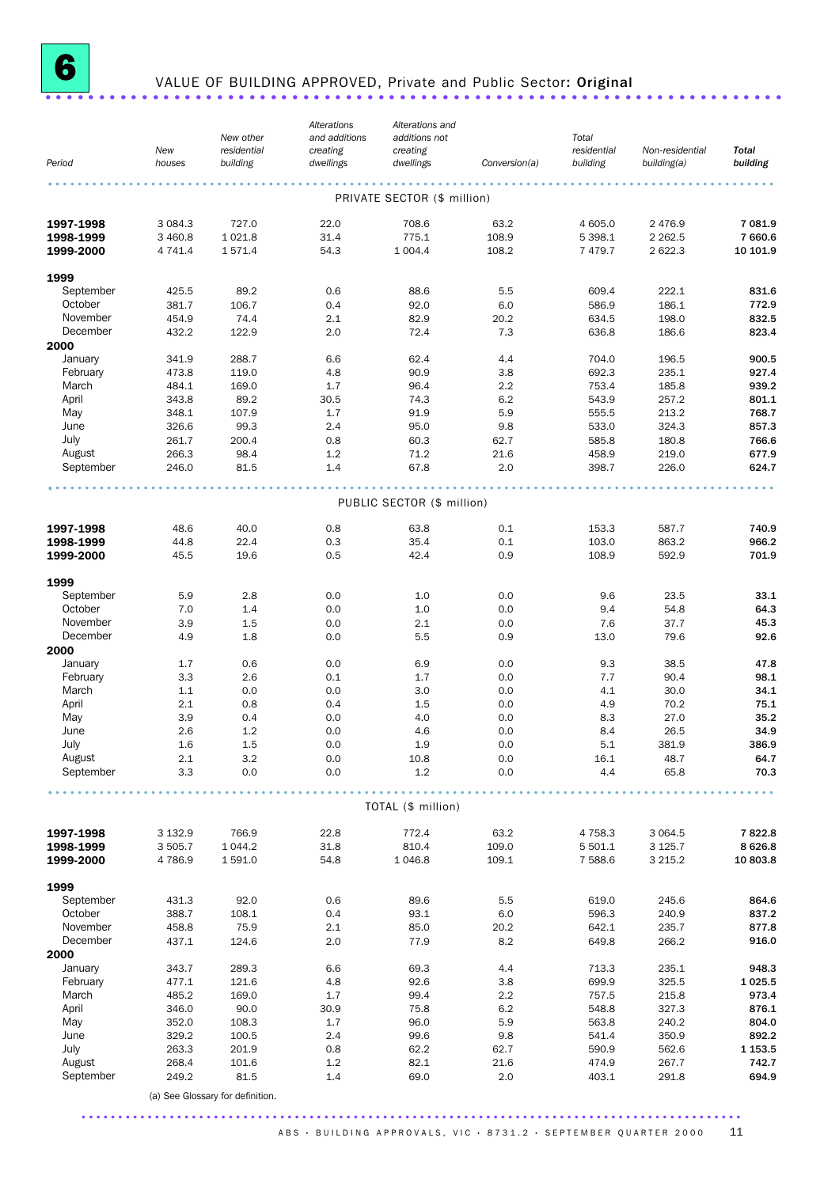

# <sup>6</sup> VALUE OF BUILDING APPROVED, Private and Public Sector: Original .....................................................................

|                        | New            | New other<br>residential         | Alterations<br>and additions<br>creating | Alterations and<br>additions not<br>creating |               | Total<br>residential | Non-residential | <b>Total</b>   |
|------------------------|----------------|----------------------------------|------------------------------------------|----------------------------------------------|---------------|----------------------|-----------------|----------------|
| Period                 | houses         | building                         | dwellings                                | dwellings                                    | Conversion(a) | building             | building(a)     | building       |
|                        |                |                                  |                                          | PRIVATE SECTOR (\$ million)                  |               |                      |                 |                |
| 1997-1998              | 3 0 8 4 . 3    | 727.0                            | 22.0                                     | 708.6                                        | 63.2          | 4 605.0              | 2 4 7 6.9       | 7 081.9        |
| 1998-1999              | 3 460.8        | 1 0 2 1.8                        | 31.4                                     | 775.1                                        | 108.9         | 5 3 9 8.1            | 2 2 6 2.5       | 7 660.6        |
| 1999-2000              | 4 741.4        | 1571.4                           | 54.3                                     | 1 0 0 4.4                                    | 108.2         | 7 479.7              | 2 622.3         | 10 101.9       |
| 1999                   |                |                                  |                                          |                                              |               |                      |                 |                |
| September              | 425.5          | 89.2                             | 0.6                                      | 88.6                                         | 5.5           | 609.4                | 222.1           | 831.6          |
| October                | 381.7          | 106.7                            | 0.4                                      | 92.0                                         | 6.0           | 586.9                | 186.1           | 772.9          |
| November               | 454.9          | 74.4                             | 2.1                                      | 82.9                                         | 20.2          | 634.5                | 198.0           | 832.5          |
| December               | 432.2          | 122.9                            | 2.0                                      | 72.4                                         | 7.3           | 636.8                | 186.6           | 823.4          |
| 2000                   |                |                                  |                                          |                                              |               |                      |                 |                |
| January                | 341.9          | 288.7                            | 6.6                                      | 62.4                                         | 4.4           | 704.0                | 196.5           | 900.5          |
| February<br>March      | 473.8          | 119.0                            | 4.8<br>1.7                               | 90.9                                         | 3.8           | 692.3                | 235.1           | 927.4          |
| April                  | 484.1<br>343.8 | 169.0<br>89.2                    | 30.5                                     | 96.4<br>74.3                                 | 2.2<br>6.2    | 753.4<br>543.9       | 185.8<br>257.2  | 939.2<br>801.1 |
| May                    | 348.1          | 107.9                            | 1.7                                      | 91.9                                         | 5.9           | 555.5                | 213.2           | 768.7          |
| June                   | 326.6          | 99.3                             | 2.4                                      | 95.0                                         | 9.8           | 533.0                | 324.3           | 857.3          |
| July                   | 261.7          | 200.4                            | 0.8                                      | 60.3                                         | 62.7          | 585.8                | 180.8           | 766.6          |
| August                 | 266.3          | 98.4                             | 1.2                                      | 71.2                                         | 21.6          | 458.9                | 219.0           | 677.9          |
| September              | 246.0          | 81.5                             | 1.4                                      | 67.8                                         | 2.0           | 398.7                | 226.0           | 624.7          |
|                        |                |                                  |                                          | PUBLIC SECTOR (\$ million)                   |               |                      |                 |                |
|                        |                |                                  |                                          |                                              |               |                      |                 |                |
| 1997-1998              | 48.6           | 40.0                             | 0.8                                      | 63.8                                         | 0.1           | 153.3                | 587.7           | 740.9          |
| 1998-1999<br>1999-2000 | 44.8<br>45.5   | 22.4<br>19.6                     | 0.3<br>0.5                               | 35.4<br>42.4                                 | 0.1<br>0.9    | 103.0<br>108.9       | 863.2<br>592.9  | 966.2<br>701.9 |
|                        |                |                                  |                                          |                                              |               |                      |                 |                |
| 1999                   |                |                                  |                                          |                                              |               |                      |                 |                |
| September              | 5.9            | 2.8                              | 0.0                                      | 1.0                                          | 0.0           | 9.6                  | 23.5            | 33.1           |
| October                | 7.0            | 1.4                              | 0.0                                      | 1.0                                          | 0.0           | 9.4                  | 54.8            | 64.3           |
| November<br>December   | 3.9<br>4.9     | 1.5<br>1.8                       | 0.0<br>0.0                               | 2.1<br>5.5                                   | 0.0<br>0.9    | 7.6<br>13.0          | 37.7<br>79.6    | 45.3<br>92.6   |
| 2000                   |                |                                  |                                          |                                              |               |                      |                 |                |
| January                | 1.7            | 0.6                              | 0.0                                      | 6.9                                          | 0.0           | 9.3                  | 38.5            | 47.8           |
| February               | 3.3            | 2.6                              | 0.1                                      | 1.7                                          | 0.0           | 7.7                  | 90.4            | 98.1           |
| March                  | 1.1            | 0.0                              | 0.0                                      | 3.0                                          | 0.0           | 4.1                  | 30.0            | 34.1           |
| April                  | 2.1            | 0.8                              | 0.4                                      | 1.5                                          | 0.0           | 4.9                  | 70.2            | 75.1           |
| May                    | 3.9            | 0.4                              | 0.0                                      | 4.0                                          | 0.0           | 8.3                  | 27.0            | 35.2           |
| June                   | 2.6            | 1.2                              | 0.0                                      | 4.6                                          | 0.0           | 8.4                  | 26.5            | 34.9           |
| July                   | 1.6            | 1.5                              | 0.0                                      | 1.9                                          | 0.0           | 5.1                  | 381.9           | 386.9          |
| August<br>September    | 2.1<br>3.3     | 3.2                              | 0.0                                      | 10.8                                         | 0.0           | 16.1                 | 48.7            | 64.7           |
|                        |                | 0.0                              | 0.0                                      | 1.2                                          | 0.0           | 4.4                  | 65.8            | 70.3           |
|                        |                |                                  |                                          | TOTAL (\$ million)                           |               |                      |                 |                |
| 1997-1998              | 3 132.9        | 766.9                            | 22.8                                     | 772.4                                        | 63.2          | 4 7 5 8.3            | 3 0 6 4.5       | 7822.8         |
| 1998-1999              | 3 505.7        | 1 0 4 4.2                        | 31.8                                     | 810.4                                        | 109.0         | 5 501.1              | 3 1 2 5.7       | 8626.8         |
| 1999-2000              | 4786.9         | 1 591.0                          | 54.8                                     | 1 046.8                                      | 109.1         | 7 588.6              | 3 215.2         | 10 803.8       |
| 1999                   |                |                                  |                                          |                                              |               |                      |                 |                |
| September              | 431.3          | 92.0                             | 0.6                                      | 89.6                                         | 5.5           | 619.0                | 245.6           | 864.6          |
| October                | 388.7          | 108.1                            | 0.4                                      | 93.1                                         | 6.0           | 596.3                | 240.9           | 837.2          |
| November               | 458.8          | 75.9                             | 2.1                                      | 85.0                                         | 20.2          | 642.1                | 235.7           | 877.8          |
| December               | 437.1          | 124.6                            | 2.0                                      | 77.9                                         | 8.2           | 649.8                | 266.2           | 916.0          |
| 2000                   |                |                                  |                                          |                                              |               |                      |                 |                |
| January                | 343.7          | 289.3                            | 6.6                                      | 69.3                                         | 4.4           | 713.3                | 235.1           | 948.3          |
| February               | 477.1          | 121.6                            | 4.8                                      | 92.6                                         | 3.8           | 699.9                | 325.5           | 1 0 25.5       |
| March                  | 485.2          | 169.0                            | 1.7                                      | 99.4                                         | 2.2           | 757.5                | 215.8           | 973.4          |
| April<br>May           | 346.0          | 90.0                             | 30.9<br>1.7                              | 75.8                                         | 6.2           | 548.8                | 327.3           | 876.1<br>804.0 |
| June                   | 352.0<br>329.2 | 108.3<br>100.5                   | 2.4                                      | 96.0<br>99.6                                 | 5.9<br>9.8    | 563.8<br>541.4       | 240.2<br>350.9  | 892.2          |
| July                   | 263.3          | 201.9                            | 0.8                                      | 62.2                                         | 62.7          | 590.9                | 562.6           | 1 1 5 3 . 5    |
| August                 | 268.4          | 101.6                            | 1.2                                      | 82.1                                         | 21.6          | 474.9                | 267.7           | 742.7          |
| September              | 249.2          | 81.5                             | 1.4                                      | 69.0                                         | 2.0           | 403.1                | 291.8           | 694.9          |
|                        |                | (a) See Glossary for definition. |                                          |                                              |               |                      |                 |                |
|                        |                |                                  |                                          |                                              |               |                      |                 |                |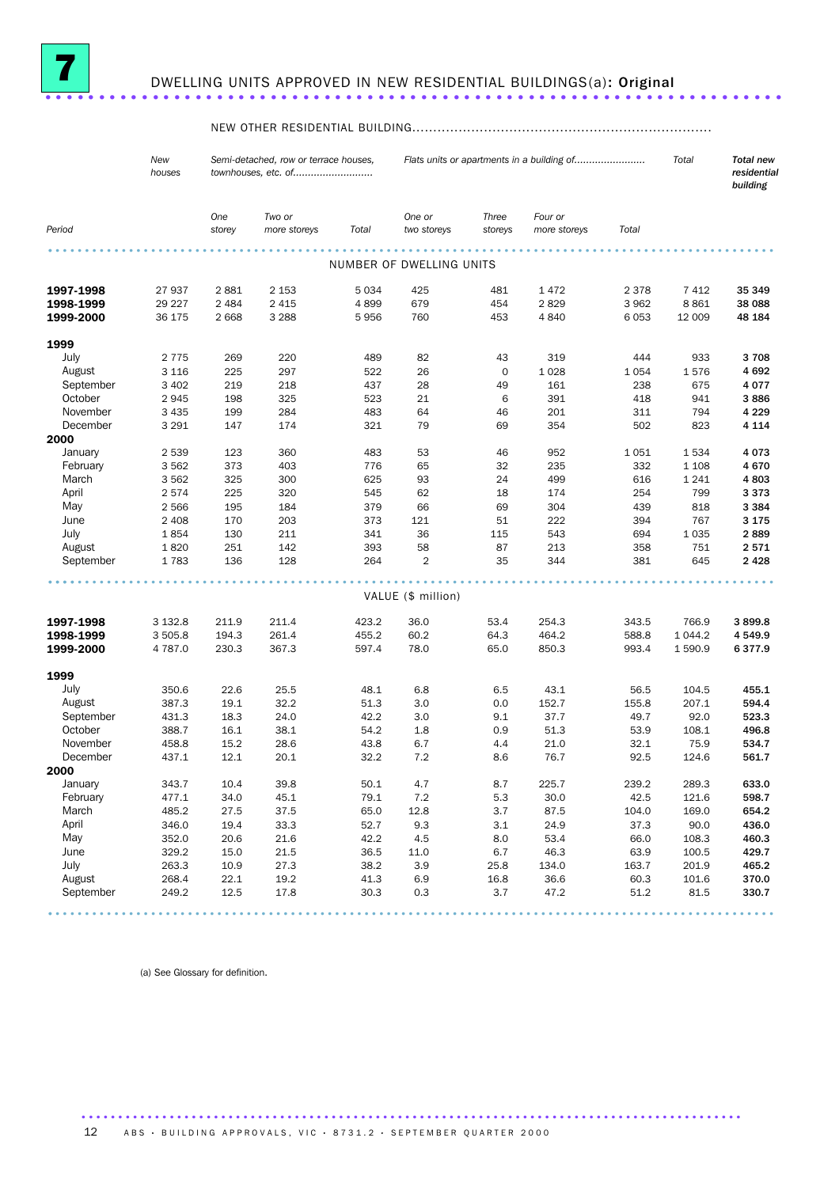

# DWELLING UNITS APPROVED IN NEW RESIDENTIAL BUILDINGS(a): Original ...............

## NEW OTHER RESIDENTIAL BUILDING.......................................................................

|           | New<br>houses |               | Semi-detached, row or terrace houses,<br>townhouses, etc. of |         |                          | Flats units or apartments in a building of |                         |         | Total   | <b>Total new</b><br>residential<br>building |  |
|-----------|---------------|---------------|--------------------------------------------------------------|---------|--------------------------|--------------------------------------------|-------------------------|---------|---------|---------------------------------------------|--|
| Period    |               | One<br>storey | Two or<br>more storeys                                       | Total   | One or<br>two storeys    | Three<br>storeys                           | Four or<br>more storeys | Total   |         |                                             |  |
|           |               |               |                                                              |         | NUMBER OF DWELLING UNITS |                                            |                         |         |         |                                             |  |
| 1997-1998 | 27937         | 2881          | 2 1 5 3                                                      | 5 0 3 4 | 425                      | 481                                        | 1472                    | 2 3 7 8 | 7412    | 35 349                                      |  |
| 1998-1999 | 29 227        | 2 4 8 4       | 2 4 1 5                                                      | 4899    | 679                      | 454                                        | 2829                    | 3962    | 8861    | 38 088                                      |  |
| 1999-2000 | 36 175        | 2668          | 3 2 8 8                                                      | 5956    | 760                      | 453                                        | 4 8 4 0                 | 6053    | 12 009  | 48 184                                      |  |
| 1999      |               |               |                                                              |         |                          |                                            |                         |         |         |                                             |  |
| July      | 2 7 7 5       | 269           | 220                                                          | 489     | 82                       | 43                                         | 319                     | 444     | 933     | 3708                                        |  |
| August    | 3 1 1 6       | 225           | 297                                                          | 522     | 26                       | $\mathbf 0$                                | 1 0 28                  | 1054    | 1576    | 4692                                        |  |
| September | 3 4 0 2       | 219           | 218                                                          | 437     | 28                       | 49                                         | 161                     | 238     | 675     | 4 0 7 7                                     |  |
| October   | 2945          | 198           | 325                                                          | 523     | 21                       | 6                                          | 391                     | 418     | 941     | 3886                                        |  |
| November  | 3 4 3 5       | 199           | 284                                                          | 483     | 64                       | 46                                         | 201                     | 311     | 794     | 4 2 2 9                                     |  |
| December  | 3 2 9 1       | 147           | 174                                                          | 321     | 79                       | 69                                         | 354                     | 502     | 823     | 4 1 1 4                                     |  |
| 2000      |               |               |                                                              |         |                          |                                            |                         |         |         |                                             |  |
| January   | 2 5 3 9       | 123           | 360                                                          | 483     | 53                       | 46                                         | 952                     | 1051    | 1534    | 4073                                        |  |
| February  | 3562          | 373           | 403                                                          | 776     | 65                       | 32                                         | 235                     | 332     | 1 1 0 8 | 4670                                        |  |
| March     | 3 5 6 2       | 325           | 300                                                          | 625     | 93                       | 24                                         | 499                     | 616     | 1 2 4 1 | 4803                                        |  |
| April     | 2574          | 225           | 320                                                          | 545     | 62                       | 18                                         | 174                     | 254     | 799     | 3373                                        |  |
| May       | 2566          | 195           | 184                                                          | 379     | 66                       | 69                                         | 304                     | 439     | 818     | 3 3 8 4                                     |  |
| June      | 2 4 0 8       | 170           | 203                                                          | 373     | 121                      | 51                                         | 222                     | 394     | 767     | 3 1 7 5                                     |  |
| July      | 1854          | 130           | 211                                                          | 341     | 36                       | 115                                        | 543                     | 694     | 1 0 3 5 | 2889                                        |  |
| August    | 1820          | 251           | 142                                                          | 393     | 58                       | 87                                         | 213                     | 358     | 751     | 2571                                        |  |
| September | 1783          | 136           | 128                                                          | 264     | $\overline{2}$           | 35                                         | 344                     | 381     | 645     | 2 4 2 8                                     |  |
|           |               |               |                                                              |         |                          |                                            |                         |         |         |                                             |  |
|           |               |               |                                                              |         | VALUE (\$ million)       |                                            |                         |         |         |                                             |  |
| 1997-1998 | 3 1 3 2.8     | 211.9         | 211.4                                                        | 423.2   | 36.0                     | 53.4                                       | 254.3                   | 343.5   | 766.9   | 3899.8                                      |  |
| 1998-1999 | 3 505.8       | 194.3         | 261.4                                                        | 455.2   | 60.2                     | 64.3                                       | 464.2                   | 588.8   | 1 044.2 | 4549.9                                      |  |
| 1999-2000 | 4 787.0       | 230.3         | 367.3                                                        | 597.4   | 78.0                     | 65.0                                       | 850.3                   | 993.4   | 1 590.9 | 6377.9                                      |  |
| 1999      |               |               |                                                              |         |                          |                                            |                         |         |         |                                             |  |
| July      | 350.6         | 22.6          | 25.5                                                         | 48.1    | 6.8                      | 6.5                                        | 43.1                    | 56.5    | 104.5   | 455.1                                       |  |
| August    | 387.3         | 19.1          | 32.2                                                         | 51.3    | 3.0                      | 0.0                                        | 152.7                   | 155.8   | 207.1   | 594.4                                       |  |
| September | 431.3         | 18.3          | 24.0                                                         | 42.2    | 3.0                      | 9.1                                        | 37.7                    | 49.7    | 92.0    | 523.3                                       |  |
| October   | 388.7         | 16.1          | 38.1                                                         | 54.2    | 1.8                      | 0.9                                        | 51.3                    | 53.9    | 108.1   | 496.8                                       |  |
| November  | 458.8         | 15.2          | 28.6                                                         | 43.8    | 6.7                      | 4.4                                        | 21.0                    | 32.1    | 75.9    | 534.7                                       |  |
| December  | 437.1         | 12.1          | 20.1                                                         | 32.2    | 7.2                      | 8.6                                        | 76.7                    | 92.5    | 124.6   | 561.7                                       |  |
| 2000      |               |               |                                                              |         |                          |                                            |                         |         |         |                                             |  |
| January   | 343.7         | 10.4          | 39.8                                                         | 50.1    | 4.7                      | 8.7                                        | 225.7                   | 239.2   | 289.3   | 633.0                                       |  |
| February  | 477.1         | 34.0          | 45.1                                                         | 79.1    | $7.2\,$                  | 5.3                                        | 30.0                    | 42.5    | 121.6   | 598.7                                       |  |
| March     | 485.2         | 27.5          | 37.5                                                         | 65.0    | 12.8                     | 3.7                                        | 87.5                    | 104.0   | 169.0   | 654.2                                       |  |
| April     | 346.0         | 19.4          | 33.3                                                         | 52.7    | 9.3                      | 3.1                                        | 24.9                    | 37.3    | 90.0    | 436.0                                       |  |
| May       | 352.0         | 20.6          | 21.6                                                         | 42.2    | 4.5                      | 8.0                                        | 53.4                    | 66.0    | 108.3   | 460.3                                       |  |
| June      | 329.2         | 15.0          | 21.5                                                         | 36.5    | 11.0                     | 6.7                                        | 46.3                    | 63.9    | 100.5   | 429.7                                       |  |
| July      | 263.3         | 10.9          | 27.3                                                         | 38.2    | 3.9                      | 25.8                                       | 134.0                   | 163.7   | 201.9   | 465.2                                       |  |
| August    | 268.4         | 22.1          | 19.2                                                         | 41.3    | 6.9                      | 16.8                                       | 36.6                    | 60.3    | 101.6   | 370.0                                       |  |
| September | 249.2         | 12.5          | 17.8                                                         | 30.3    | 0.3                      | 3.7                                        | 47.2                    | 51.2    | 81.5    | 330.7                                       |  |

................................................................................................... .

..........................................................................................

(a) See Glossary for definition.

12 ABS · BUILDING APPROVALS, VIC · 8731.2 · SEPTEMBER QUARTER 2000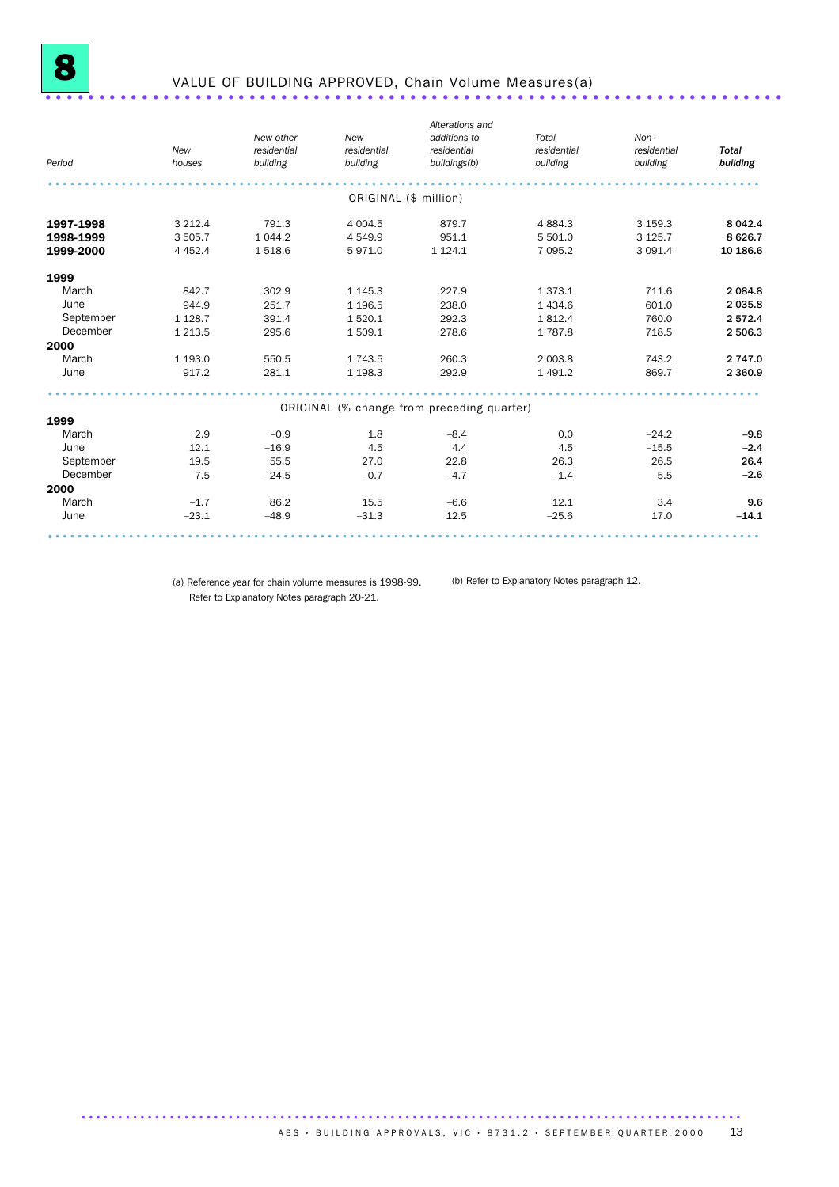

# VALUE OF BUILDING APPROVED, Chain Volume Measures(a) ...........................

| Period    | New<br>houses | New other<br>residential<br>building | New<br>residential<br>building | Alterations and<br>additions to<br>residential<br>buildings(b) | Total<br>residential<br>building | Non-<br>residential<br>building | <b>Total</b><br>building |
|-----------|---------------|--------------------------------------|--------------------------------|----------------------------------------------------------------|----------------------------------|---------------------------------|--------------------------|
|           |               |                                      | ORIGINAL (\$ million)          |                                                                |                                  |                                 |                          |
| 1997-1998 | 3 2 1 2.4     | 791.3                                | 4 0 0 4.5                      | 879.7                                                          | 4884.3                           | 3 159.3                         | 8 0 4 2.4                |
| 1998-1999 | 3 5 0 5.7     | 1 0 4 4.2                            | 4 5 4 9.9                      | 951.1                                                          | 5 501.0                          | 3 1 2 5 . 7                     | 8 6 26.7                 |
| 1999-2000 | 4 4 5 2.4     | 1518.6                               | 5971.0                         | 1 1 2 4 . 1                                                    | 7 0 9 5.2                        | 3 0 9 1.4                       | 10 186.6                 |
| 1999      |               |                                      |                                |                                                                |                                  |                                 |                          |
| March     | 842.7         | 302.9                                | 1 1 4 5 . 3                    | 227.9                                                          | 1373.1                           | 711.6                           | 2 0 8 4 .8               |
| June      | 944.9         | 251.7                                | 1 1 9 6.5                      | 238.0                                                          | 1 4 3 4 .6                       | 601.0                           | 2 0 3 5.8                |
| September | 1 1 28.7      | 391.4                                | 1520.1                         | 292.3                                                          | 1812.4                           | 760.0                           | 2 572.4                  |
| December  | 1 2 1 3 .5    | 295.6                                | 1509.1                         | 278.6                                                          | 1787.8                           | 718.5                           | 2 506.3                  |
| 2000      |               |                                      |                                |                                                                |                                  |                                 |                          |
| March     | 1 1 9 3 . 0   | 550.5                                | 1 7 4 3 .5                     | 260.3                                                          | 2 003.8                          | 743.2                           | 2 747.0                  |
| June      | 917.2         | 281.1                                | 1 1 98.3                       | 292.9                                                          | 1 4 9 1.2                        | 869.7                           | 2 3 6 0.9                |
|           |               |                                      |                                |                                                                |                                  |                                 |                          |
|           |               |                                      |                                | ORIGINAL (% change from preceding quarter)                     |                                  |                                 |                          |
| 1999      |               |                                      |                                |                                                                |                                  |                                 |                          |
| March     | 2.9           | $-0.9$                               | 1.8                            | $-8.4$                                                         | 0.0                              | $-24.2$                         | $-9.8$                   |
| June      | 12.1          | $-16.9$                              | 4.5                            | 4.4                                                            | 4.5                              | $-15.5$                         | $-2.4$                   |
| September | 19.5          | 55.5                                 | 27.0                           | 22.8                                                           | 26.3                             | 26.5                            | 26.4                     |
| December  | 7.5           | $-24.5$                              | $-0.7$                         | $-4.7$                                                         | $-1.4$                           | $-5.5$                          | $-2.6$                   |
| 2000      |               |                                      |                                |                                                                |                                  |                                 |                          |
| March     | $-1.7$        | 86.2                                 | 15.5                           | $-6.6$                                                         | 12.1                             | 3.4                             | 9.6                      |
| June      | $-23.1$       | $-48.9$                              | $-31.3$                        | 12.5                                                           | $-25.6$                          | 17.0                            | $-14.1$                  |
|           |               |                                      |                                |                                                                |                                  |                                 |                          |

(a) Reference year for chain volume measures is 1998-99. (b) Refer to Explanatory Notes paragraph 12.Refer to Explanatory Notes paragraph 20-21.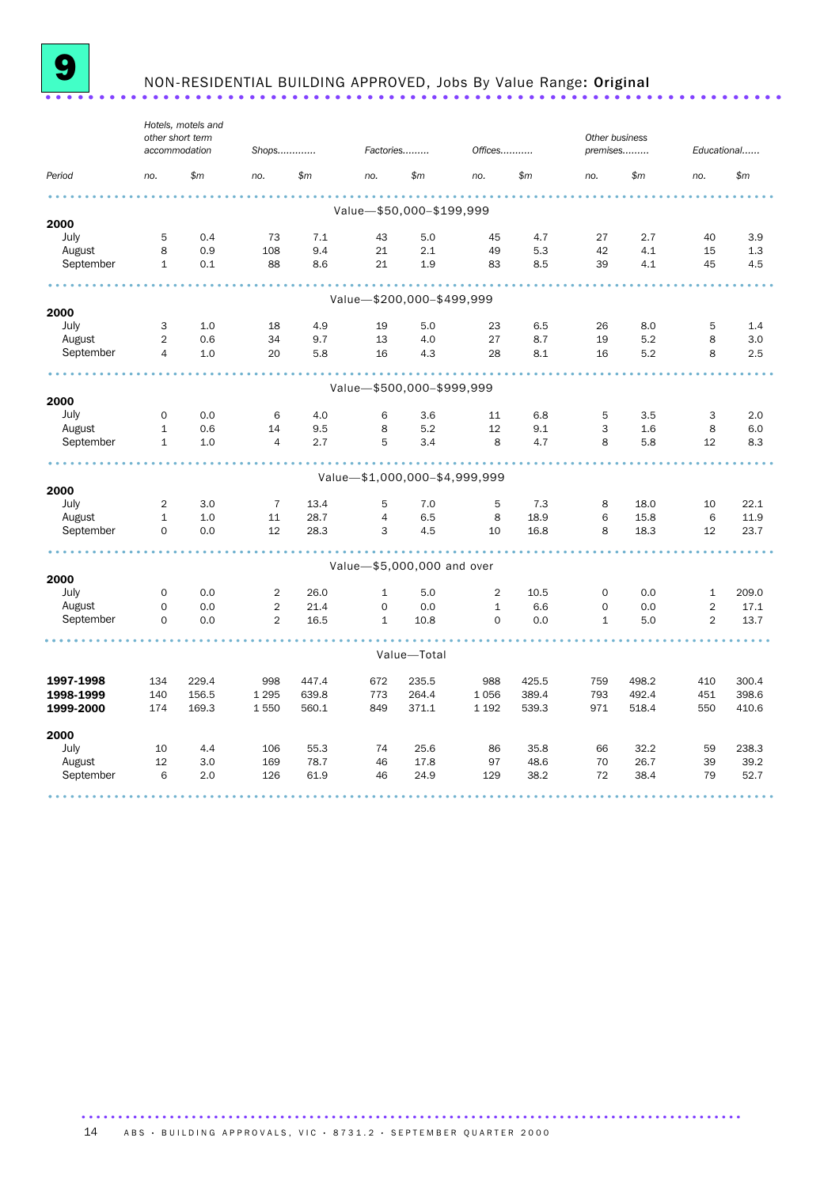

# <sup>9</sup> NON-RESIDENTIAL BUILDING APPROVED, Jobs By Value Range: Original .....................................................................

|              |                | Hotels, motels and<br>other short term<br>accommodation | Shops          |       | Factories      |                               | Offices      |       | Other business<br>premises |            |                | Educational |
|--------------|----------------|---------------------------------------------------------|----------------|-------|----------------|-------------------------------|--------------|-------|----------------------------|------------|----------------|-------------|
|              |                |                                                         |                |       |                |                               |              |       |                            |            |                |             |
| Period       | no.            | \$m\$                                                   | no.            | \$m\$ | no.            | \$m\$                         | no.          | \$m\$ | no.                        | \$m\$      | no.            | \$m         |
|              |                |                                                         |                |       |                |                               |              |       |                            |            |                |             |
| 2000         |                |                                                         |                |       |                | Value-\$50,000-\$199,999      |              |       |                            |            |                |             |
| July         | 5              | 0.4                                                     | 73             | 7.1   | 43             | 5.0                           | 45           | 4.7   | 27                         | 2.7        | 40             | 3.9         |
| August       | 8              | 0.9                                                     | 108            | 9.4   | 21             | 2.1                           | 49           | 5.3   | 42                         | 4.1        | 15             | 1.3         |
| September    | $\mathbf{1}$   | 0.1                                                     | 88             | 8.6   | 21             | 1.9                           | 83           | 8.5   | 39                         | 4.1        | 45             | 4.5         |
|              |                |                                                         |                |       |                |                               |              |       |                            |            |                |             |
|              |                |                                                         |                |       |                | Value-\$200,000-\$499,999     |              |       |                            |            |                |             |
| 2000<br>July | 3              | 1.0                                                     | 18             | 4.9   | 19             | 5.0                           | 23           | 6.5   | 26                         |            | 5              | 1.4         |
| August       | 2              | 0.6                                                     | 34             | 9.7   | 13             | 4.0                           | 27           | 8.7   | 19                         | 8.0<br>5.2 | 8              | 3.0         |
| September    | $\overline{4}$ | 1.0                                                     | 20             | 5.8   | 16             | 4.3                           | 28           | 8.1   | 16                         | 5.2        | 8              | 2.5         |
|              |                |                                                         |                |       |                |                               |              |       |                            |            |                |             |
|              |                |                                                         |                |       |                | Value-\$500,000-\$999,999     |              |       |                            |            |                |             |
| 2000         |                |                                                         |                |       |                |                               |              |       |                            |            |                |             |
| July         | $\mathbf 0$    | 0.0                                                     | 6              | 4.0   | 6              | 3.6                           | 11           | 6.8   | 5                          | 3.5        | 3              | 2.0         |
| August       | $\mathbf{1}$   | 0.6                                                     | 14             | 9.5   | 8              | 5.2                           | 12           | 9.1   | 3                          | 1.6        | 8              | 6.0         |
| September    | $\mathbf{1}$   | 1.0                                                     | $\overline{4}$ | 2.7   | 5              | 3.4                           | 8            | 4.7   | 8                          | 5.8        | 12             | 8.3         |
|              |                |                                                         |                |       |                |                               |              |       |                            |            |                |             |
| 2000         |                |                                                         |                |       |                | Value-\$1,000,000-\$4,999,999 |              |       |                            |            |                |             |
| July         | $\overline{2}$ | 3.0                                                     | $\overline{7}$ | 13.4  | 5              | 7.0                           | 5            | 7.3   | 8                          | 18.0       | 10             | 22.1        |
| August       | $\mathbf{1}$   | 1.0                                                     | 11             | 28.7  | $\overline{4}$ | 6.5                           | 8            | 18.9  | 6                          | 15.8       | 6              | 11.9        |
| September    | $\Omega$       | 0.0                                                     | 12             | 28.3  | 3              | 4.5                           | 10           | 16.8  | 8                          | 18.3       | 12             | 23.7        |
|              |                |                                                         |                |       |                |                               |              |       |                            |            |                |             |
| 2000         |                |                                                         |                |       |                | Value-\$5,000,000 and over    |              |       |                            |            |                |             |
| July         | $\mathbf 0$    | 0.0                                                     | 2              | 26.0  | $\mathbf{1}$   | 5.0                           | 2            | 10.5  | $\mathbf 0$                | 0.0        | $\mathbf{1}$   | 209.0       |
| August       | $\mathbf 0$    | 0.0                                                     | $\overline{2}$ | 21.4  | $\mathsf{O}$   | 0.0                           | $\mathbf{1}$ | 6.6   | $\mathbf 0$                | 0.0        | $\overline{2}$ | 17.1        |
| September    | $\mathbf 0$    | 0.0                                                     | $\overline{2}$ | 16.5  | $\mathbf{1}$   | 10.8                          | $\mathbf 0$  | 0.0   | $\mathbf{1}$               | 5.0        | $\overline{2}$ | 13.7        |
|              |                |                                                         |                |       |                |                               |              |       |                            |            |                |             |
|              |                |                                                         |                |       |                | Value-Total                   |              |       |                            |            |                |             |
| 1997-1998    | 134            | 229.4                                                   | 998            | 447.4 | 672            | 235.5                         | 988          | 425.5 | 759                        | 498.2      | 410            | 300.4       |
| 1998-1999    | 140            | 156.5                                                   | 1 2 9 5        | 639.8 | 773            | 264.4                         | 1 0 5 6      | 389.4 | 793                        | 492.4      | 451            | 398.6       |
| 1999-2000    | 174            | 169.3                                                   | 1 5 5 0        | 560.1 | 849            | 371.1                         | 1 1 9 2      | 539.3 | 971                        | 518.4      | 550            | 410.6       |
| 2000         |                |                                                         |                |       |                |                               |              |       |                            |            |                |             |
| July         | 10             | 4.4                                                     | 106            | 55.3  | 74             | 25.6                          | 86           | 35.8  | 66                         | 32.2       | 59             | 238.3       |
| August       | 12             | 3.0                                                     | 169            | 78.7  | 46             | 17.8                          | 97           | 48.6  | 70                         | 26.7       | 39             | 39.2        |
| September    | 6              | 2.0                                                     | 126            | 61.9  | 46             | 24.9                          | 129          | 38.2  | 72                         | 38.4       | 79             | 52.7        |
|              |                |                                                         |                |       |                |                               |              |       |                            |            |                |             |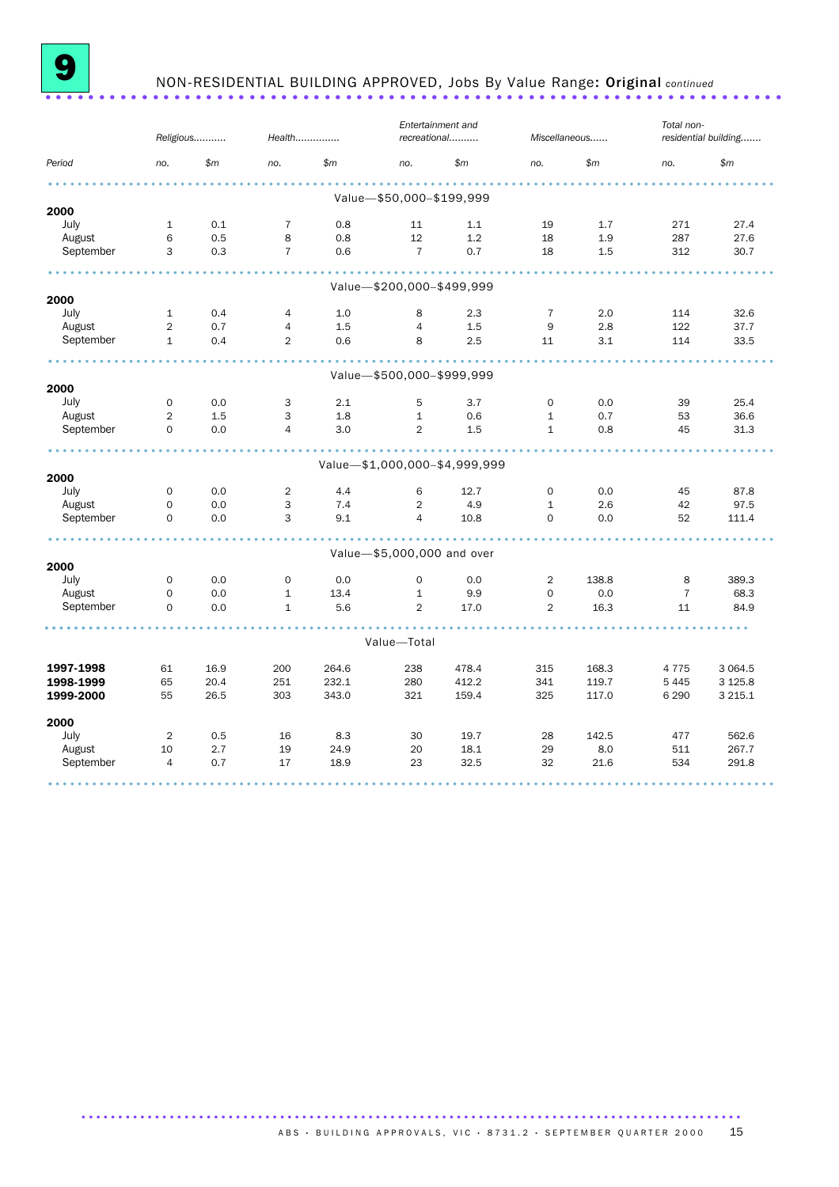

## 9 NON-RESIDENTIAL BUILDING APPROVED, Jobs By Value Range: Original *continued* .....................................................................

|           |                | Religious | Health         |              |                            | Entertainment and<br>recreational |                | Miscellaneous | Total non-     | residential building |
|-----------|----------------|-----------|----------------|--------------|----------------------------|-----------------------------------|----------------|---------------|----------------|----------------------|
| Period    | no.            | \$m\$     | no.            | $\mathsf{m}$ | no.                        | \$m\$                             | no.            | $\mathsf{m}$  | no.            | \$m\$                |
|           |                |           |                |              |                            |                                   |                |               |                |                      |
| 2000      |                |           |                |              | Value-\$50,000-\$199,999   |                                   |                |               |                |                      |
| July      | 1              | 0.1       | $\overline{7}$ | 0.8          | 11                         | 1.1                               | 19             | 1.7           | 271            | 27.4                 |
| August    | 6              | 0.5       | 8              | 0.8          | 12                         | 1.2                               | 18             | 1.9           | 287            | 27.6                 |
| September | 3              | 0.3       | $\overline{7}$ | 0.6          | $\overline{7}$             | 0.7                               | 18             | 1.5           | 312            | 30.7                 |
|           |                |           |                |              | Value-\$200,000-\$499,999  |                                   |                |               |                |                      |
| 2000      |                |           |                |              |                            |                                   |                |               |                |                      |
| July      | 1              | 0.4       | $\overline{4}$ | 1.0          | 8                          | 2.3                               | $\overline{7}$ | 2.0           | 114            | 32.6                 |
| August    | $\overline{2}$ | 0.7       | $\overline{4}$ | 1.5          | $\overline{4}$             | 1.5                               | 9              | 2.8           | 122            | 37.7                 |
| September | $\mathbf{1}$   | 0.4       | 2              | 0.6          | 8                          | 2.5                               | 11             | 3.1           | 114            | 33.5                 |
|           |                |           |                |              | Value-\$500,000-\$999,999  |                                   |                |               |                |                      |
| 2000      |                |           |                |              |                            |                                   |                |               |                |                      |
| July      | 0              | 0.0       | 3              | 2.1          | 5                          | 3.7                               | 0              | 0.0           | 39             | 25.4                 |
| August    | $\overline{2}$ | 1.5       | 3              | 1.8          | $\mathbf{1}$               | 0.6                               | $\mathbf{1}$   | 0.7           | 53             | 36.6                 |
| September | $\Omega$       | 0.0       | $\overline{4}$ | 3.0          | $\overline{2}$             | 1.5                               | $\mathbf{1}$   | 0.8           | 45             | 31.3                 |
|           |                |           |                |              |                            |                                   |                |               |                |                      |
| 2000      |                |           |                |              |                            | Value-\$1,000,000-\$4,999,999     |                |               |                |                      |
| July      | $\mathbf 0$    | 0.0       | $\overline{2}$ | 4.4          | 6                          | 12.7                              | $\Omega$       | 0.0           | 45             | 87.8                 |
| August    | $\Omega$       | 0.0       | 3              | 7.4          | $\overline{2}$             | 4.9                               | $\mathbf{1}$   | 2.6           | 42             | 97.5                 |
| September | $\Omega$       | 0.0       | 3              | 9.1          | $\overline{4}$             | 10.8                              | $\Omega$       | 0.0           | 52             | 111.4                |
|           |                |           |                |              |                            |                                   |                |               |                |                      |
| 2000      |                |           |                |              | Value-\$5,000,000 and over |                                   |                |               |                |                      |
| July      | $\mathbf 0$    | 0.0       | $\mathbf 0$    | 0.0          | $\mathbf 0$                | 0.0                               | $\overline{2}$ | 138.8         | 8              | 389.3                |
| August    | $\mathbf 0$    | 0.0       | $\mathbf{1}$   | 13.4         | $\mathbf{1}$               | 9.9                               | $\mathbf 0$    | 0.0           | $\overline{7}$ | 68.3                 |
| September | $\mathbf 0$    | 0.0       | $\mathbf{1}$   | 5.6          | $\overline{2}$             | 17.0                              | $\overline{2}$ | 16.3          | 11             | 84.9                 |
|           |                |           |                |              | Value-Total                |                                   |                |               |                |                      |
|           |                |           |                |              |                            |                                   |                |               |                |                      |
| 1997-1998 | 61             | 16.9      | 200            | 264.6        | 238                        | 478.4                             | 315            | 168.3         | 4775           | 3 0 6 4.5            |
| 1998-1999 | 65             | 20.4      | 251            | 232.1        | 280                        | 412.2                             | 341            | 119.7         | 5 4 4 5        | 3 1 2 5 . 8          |
| 1999-2000 | 55             | 26.5      | 303            | 343.0        | 321                        | 159.4                             | 325            | 117.0         | 6 2 9 0        | 3 2 1 5 . 1          |
| 2000      |                |           |                |              |                            |                                   |                |               |                |                      |
| July      | 2              | 0.5       | 16             | 8.3          | 30                         | 19.7                              | 28             | 142.5         | 477            | 562.6                |
| August    | 10             | 2.7       | 19             | 24.9         | 20                         | 18.1                              | 29             | 8.0           | 511            | 267.7                |
| September | $\overline{4}$ | 0.7       | 17             | 18.9         | 23                         | 32.5                              | 32             | 21.6          | 534            | 291.8                |
|           |                |           |                |              |                            |                                   |                |               |                |                      |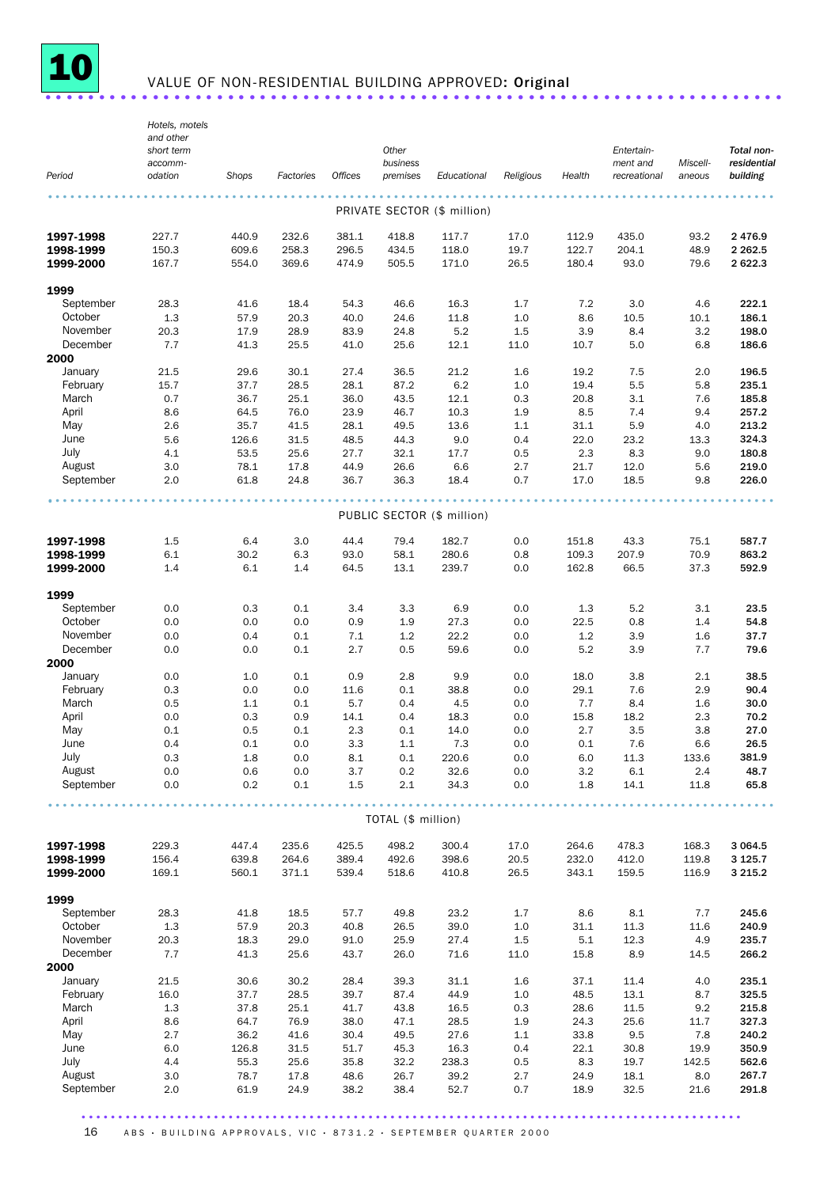

# VALUE OF NON-RESIDENTIAL BUILDING APPROVED: Original ...........................

|                        | Hotels, motels<br>and other<br>short term |             |            |                | Other                |                             |            |                | Entertain-               |                    | Total non-              |
|------------------------|-------------------------------------------|-------------|------------|----------------|----------------------|-----------------------------|------------|----------------|--------------------------|--------------------|-------------------------|
| Period                 | accomm-<br>odation                        | Shops       | Factories  | <b>Offices</b> | business<br>premises | Educational                 | Religious  | Health         | ment and<br>recreational | Miscell-<br>aneous | residential<br>building |
|                        |                                           |             |            |                |                      | PRIVATE SECTOR (\$ million) |            |                |                          |                    |                         |
| 1997-1998              | 227.7                                     | 440.9       | 232.6      | 381.1          | 418.8                | 117.7                       | 17.0       | 112.9          | 435.0                    | 93.2               | 2 4 7 6.9               |
| 1998-1999              | 150.3                                     | 609.6       | 258.3      | 296.5          | 434.5                | 118.0                       | 19.7       | 122.7          | 204.1                    | 48.9               | 2 2 6 2 .5              |
| 1999-2000              | 167.7                                     | 554.0       | 369.6      | 474.9          | 505.5                | 171.0                       | 26.5       | 180.4          | 93.0                     | 79.6               | 2 622.3                 |
| 1999                   |                                           |             |            |                |                      |                             |            |                |                          |                    |                         |
| September              | 28.3                                      | 41.6        | 18.4       | 54.3           | 46.6                 | 16.3                        | 1.7        | 7.2            | 3.0                      | 4.6                | 222.1                   |
| October                | 1.3                                       | 57.9        | 20.3       | 40.0           | 24.6                 | 11.8                        | 1.0        | 8.6            | 10.5                     | 10.1               | 186.1                   |
| November               | 20.3                                      | 17.9        | 28.9       | 83.9           | 24.8                 | 5.2                         | 1.5        | 3.9            | 8.4                      | 3.2                | 198.0                   |
| December<br>2000       | 7.7                                       | 41.3        | 25.5       | 41.0           | 25.6                 | 12.1                        | 11.0       | 10.7           | 5.0                      | 6.8                | 186.6                   |
| January                | 21.5                                      | 29.6        | 30.1       | 27.4           | 36.5                 | 21.2                        | 1.6        | 19.2           | 7.5                      | 2.0                | 196.5                   |
| February               | 15.7                                      | 37.7        | 28.5       | 28.1           | 87.2                 | 6.2                         | 1.0        | 19.4           | 5.5                      | 5.8                | 235.1                   |
| March                  | 0.7                                       | 36.7        | 25.1       | 36.0           | 43.5                 | 12.1                        | 0.3        | 20.8           | 3.1                      | 7.6                | 185.8                   |
| April                  | 8.6                                       | 64.5        | 76.0       | 23.9           | 46.7                 | 10.3                        | 1.9        | 8.5            | 7.4                      | 9.4                | 257.2                   |
| May                    | 2.6                                       | 35.7        | 41.5       | 28.1           | 49.5                 | 13.6                        | 1.1        | 31.1           | 5.9                      | 4.0                | 213.2                   |
| June                   | 5.6                                       | 126.6       | 31.5       | 48.5           | 44.3                 | 9.0                         | 0.4        | 22.0           | 23.2                     | 13.3               | 324.3                   |
| July                   | 4.1                                       | 53.5        | 25.6       | 27.7           | 32.1                 | 17.7                        | 0.5        | 2.3            | 8.3                      | 9.0                | 180.8                   |
| August                 | 3.0                                       | 78.1        | 17.8       | 44.9           | 26.6                 | 6.6                         | 2.7        | 21.7           | 12.0                     | 5.6                | 219.0                   |
| September              | 2.0                                       | 61.8        | 24.8       | 36.7           | 36.3                 | 18.4                        | 0.7        | 17.0           | 18.5                     | 9.8                | 226.0                   |
|                        |                                           |             |            |                |                      | PUBLIC SECTOR (\$ million)  |            |                |                          |                    |                         |
|                        |                                           |             |            |                |                      |                             |            |                |                          |                    |                         |
| 1997-1998              | 1.5                                       | 6.4         | 3.0        | 44.4           | 79.4                 | 182.7                       | 0.0        | 151.8          | 43.3                     | 75.1               | 587.7                   |
| 1998-1999<br>1999-2000 | 6.1<br>1.4                                | 30.2<br>6.1 | 6.3<br>1.4 | 93.0<br>64.5   | 58.1<br>13.1         | 280.6<br>239.7              | 0.8<br>0.0 | 109.3<br>162.8 | 207.9<br>66.5            | 70.9<br>37.3       | 863.2<br>592.9          |
|                        |                                           |             |            |                |                      |                             |            |                |                          |                    |                         |
| 1999                   |                                           |             |            |                |                      |                             |            |                |                          |                    |                         |
| September<br>October   | 0.0                                       | 0.3         | 0.1        | 3.4            | 3.3                  | 6.9                         | 0.0        | 1.3            | 5.2                      | 3.1                | 23.5<br>54.8            |
| November               | 0.0<br>0.0                                | 0.0<br>0.4  | 0.0<br>0.1 | 0.9<br>7.1     | 1.9<br>1.2           | 27.3<br>22.2                | 0.0<br>0.0 | 22.5<br>1.2    | 0.8<br>3.9               | 1.4<br>1.6         | 37.7                    |
| December               | 0.0                                       | 0.0         | 0.1        | 2.7            | 0.5                  | 59.6                        | 0.0        | 5.2            | 3.9                      | 7.7                | 79.6                    |
| 2000                   |                                           |             |            |                |                      |                             |            |                |                          |                    |                         |
| January                | 0.0                                       | 1.0         | 0.1        | 0.9            | 2.8                  | 9.9                         | 0.0        | 18.0           | 3.8                      | 2.1                | 38.5                    |
| February               | 0.3                                       | 0.0         | 0.0        | 11.6           | 0.1                  | 38.8                        | 0.0        | 29.1           | 7.6                      | 2.9                | 90.4                    |
| March                  | 0.5                                       | 1.1         | 0.1        | 5.7            | 0.4                  | 4.5                         | 0.0        | 7.7            | 8.4                      | 1.6                | 30.0                    |
| April                  | 0.0                                       | 0.3         | 0.9        | 14.1           | 0.4                  | 18.3                        | 0.0        | 15.8           | 18.2                     | 2.3                | 70.2                    |
| May                    | 0.1                                       | 0.5         | 0.1        | 2.3            | 0.1                  | 14.0                        | 0.0        | 2.7            | 3.5                      | 3.8                | 27.0                    |
| June                   | 0.4                                       | 0.1         | 0.0        | 3.3            | 1.1                  | 7.3                         | 0.0        | 0.1            | 7.6                      | 6.6                | 26.5                    |
| July                   | 0.3                                       | 1.8         | 0.0        | 8.1            | 0.1                  | 220.6                       | 0.0        | 6.0            | 11.3                     | 133.6              | 381.9                   |
| August                 | 0.0                                       | 0.6         | 0.0        | 3.7            | 0.2                  | 32.6                        | 0.0        | 3.2            | 6.1                      | 2.4                | 48.7                    |
| September              | 0.0                                       | 0.2         | 0.1        | 1.5            | 2.1                  | 34.3                        | 0.0        | 1.8            | 14.1                     | 11.8               | 65.8                    |
|                        |                                           |             |            |                | TOTAL (\$ million)   |                             |            |                |                          |                    |                         |
| 1997-1998              | 229.3                                     | 447.4       | 235.6      | 425.5          | 498.2                | 300.4                       | 17.0       | 264.6          | 478.3                    | 168.3              | 3 0 64.5                |
| 1998-1999              | 156.4                                     | 639.8       | 264.6      | 389.4          | 492.6                | 398.6                       | 20.5       | 232.0          | 412.0                    | 119.8              | 3 1 2 5 . 7             |
| 1999-2000              | 169.1                                     | 560.1       | 371.1      | 539.4          | 518.6                | 410.8                       | 26.5       | 343.1          | 159.5                    | 116.9              | 3 2 1 5 . 2             |
| 1999                   |                                           |             |            |                |                      |                             |            |                |                          |                    |                         |
| September              | 28.3                                      | 41.8        | 18.5       | 57.7           | 49.8                 | 23.2                        | 1.7        | 8.6            | 8.1                      | 7.7                | 245.6                   |
| October                | 1.3                                       | 57.9        | 20.3       | 40.8           | 26.5                 | 39.0                        | 1.0        | 31.1           | 11.3                     | 11.6               | 240.9                   |
| November               | 20.3                                      | 18.3        | 29.0       | 91.0           | 25.9                 | 27.4                        | $1.5\,$    | 5.1            | 12.3                     | 4.9                | 235.7                   |
| December               | 7.7                                       | 41.3        | 25.6       | 43.7           | 26.0                 | 71.6                        | 11.0       | 15.8           | 8.9                      | 14.5               | 266.2                   |
| 2000                   |                                           |             |            |                |                      |                             |            |                |                          |                    |                         |
| January                | 21.5                                      | 30.6        | 30.2       | 28.4           | 39.3                 | 31.1                        | 1.6        | 37.1           | 11.4                     | 4.0                | 235.1                   |
| February               | 16.0                                      | 37.7        | 28.5       | 39.7           | 87.4                 | 44.9                        | 1.0        | 48.5           | 13.1                     | 8.7                | 325.5                   |
| March                  | 1.3                                       | 37.8        | 25.1       | 41.7           | 43.8                 | 16.5                        | 0.3        | 28.6           | 11.5                     | 9.2                | 215.8                   |
| April                  | 8.6                                       | 64.7        | 76.9       | 38.0           | 47.1                 | 28.5                        | 1.9        | 24.3           | 25.6                     | 11.7               | 327.3                   |
| May                    | 2.7                                       | 36.2        | 41.6       | 30.4           | 49.5                 | 27.6                        | 1.1        | 33.8           | 9.5                      | 7.8                | 240.2                   |
| June                   | 6.0                                       | 126.8       | 31.5       | 51.7           | 45.3                 | 16.3                        | 0.4        | 22.1           | 30.8                     | 19.9               | 350.9                   |
| July                   | 4.4                                       | 55.3        | 25.6       | 35.8           | 32.2                 | 238.3                       | 0.5        | 8.3            | 19.7                     | 142.5              | 562.6                   |
| August                 | 3.0                                       | 78.7        | 17.8       | 48.6           | 26.7                 | 39.2                        | 2.7        | 24.9           | 18.1                     | 8.0                | 267.7                   |
| September              | 2.0                                       | 61.9        | 24.9       | 38.2           | 38.4                 | 52.7                        | 0.7        | 18.9           | 32.5                     | 21.6               | 291.8                   |

16 ABS · BUILDING APPROVALS, VIC · 8731.2 · SEPTEMBER QUARTER 2000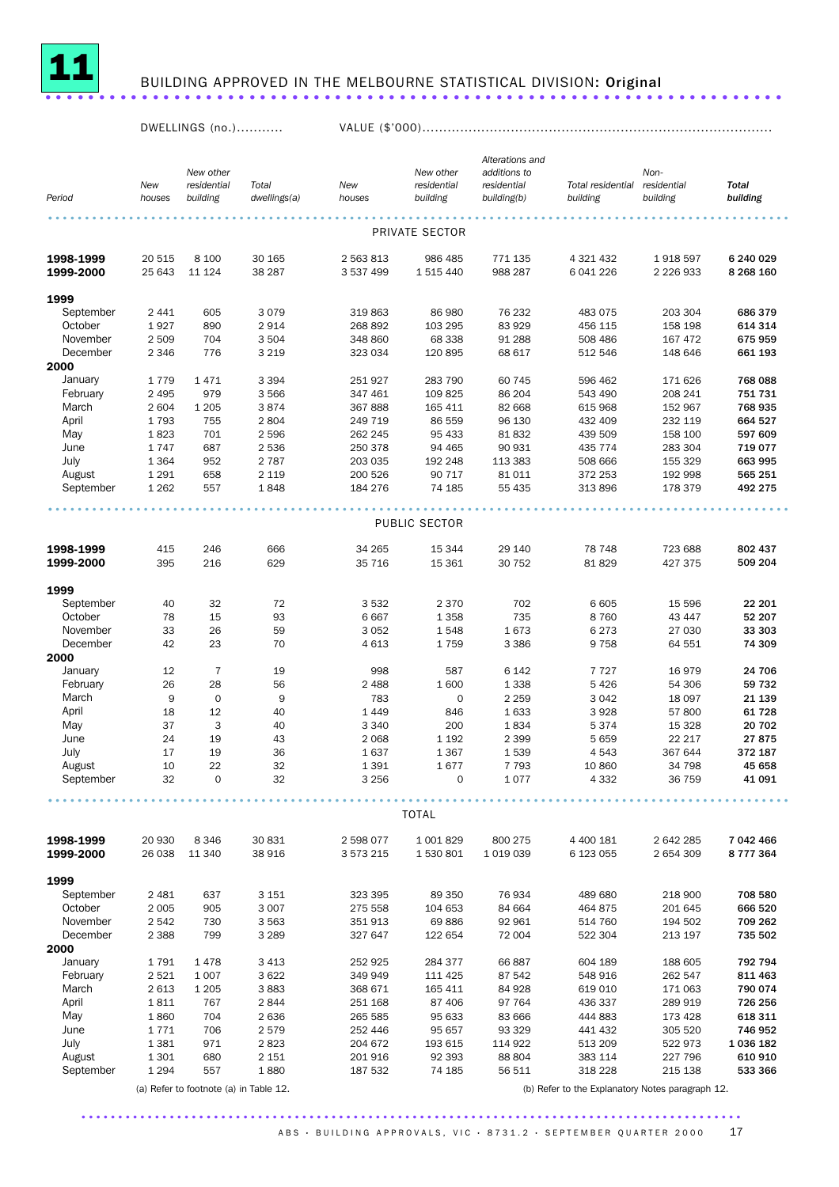

# <sup>11</sup> BUILDING APPROVED IN THE MELBOURNE STATISTICAL DIVISION: Original .....................................................................

DWELLINGS (no.)........... VALUE (\$'000)...................................................................................

|                        |                  |                                        |                       |                        |                         | Alterations and            |                                                  |                           |                          |
|------------------------|------------------|----------------------------------------|-----------------------|------------------------|-------------------------|----------------------------|--------------------------------------------------|---------------------------|--------------------------|
|                        |                  | New other                              |                       |                        | New other               | additions to               |                                                  | Non-                      |                          |
| Period                 | New<br>houses    | residential<br>building                | Total<br>dwellings(a) | New<br>houses          | residential<br>building | residential<br>building(b) | Total residential<br>building                    | residential<br>building   | <b>Total</b><br>building |
|                        |                  |                                        |                       |                        |                         |                            |                                                  |                           |                          |
|                        |                  |                                        |                       |                        | PRIVATE SECTOR          |                            |                                                  |                           |                          |
| 1998-1999<br>1999-2000 | 20 515<br>25 643 | 8 100<br>11 124                        | 30 165<br>38 287      | 2 563 813<br>3 537 499 | 986 485<br>1 515 440    | 771 135<br>988 287         | 4 321 432<br>6 041 226                           | 1918 597<br>2 2 2 6 9 3 3 | 6 240 029<br>8 268 160   |
| 1999                   |                  |                                        |                       |                        |                         |                            |                                                  |                           |                          |
| September              | 2 4 4 1          | 605                                    | 3079                  | 319 863                | 86 980                  | 76 232                     | 483 075                                          | 203 304                   | 686 379                  |
| October                | 1927             | 890                                    | 2914                  | 268 892                | 103 295                 | 83 929                     | 456 115                                          | 158 198                   | 614 314                  |
| November               | 2 5 0 9          | 704                                    | 3 504                 | 348 860                | 68 338                  | 91 288                     | 508 486                                          | 167 472                   | 675 959                  |
| December               | 2 3 4 6          | 776                                    | 3 2 1 9               | 323 034                | 120 895                 | 68 617                     | 512 546                                          | 148 646                   | 661 193                  |
| 2000                   |                  |                                        |                       |                        |                         |                            |                                                  |                           |                          |
| January<br>February    | 1779<br>2 4 9 5  | 1471<br>979                            | 3 3 9 4<br>3566       | 251 927<br>347 461     | 283 790<br>109 825      | 60 745<br>86 204           | 596 462<br>543 490                               | 171 626<br>208 241        | 768 088<br>751 731       |
| March                  | 2 6 0 4          | 1 2 0 5                                | 3874                  | 367888                 | 165 411                 | 82 668                     | 615 968                                          | 152 967                   | 768 935                  |
| April                  | 1793             | 755                                    | 2804                  | 249 719                | 86 559                  | 96 130                     | 432 409                                          | 232 119                   | 664 527                  |
| May                    | 1823             | 701                                    | 2 5 9 6               | 262 245                | 95 433                  | 81832                      | 439 509                                          | 158 100                   | 597 609                  |
| June                   | 1747             | 687                                    | 2 5 3 6               | 250 378                | 94 4 65                 | 90 931                     | 435 774                                          | 283 304                   | 719 077                  |
| July                   | 1 3 6 4          | 952                                    | 2 7 8 7               | 203 035                | 192 248                 | 113 383                    | 508 666                                          | 155 329                   | 663 995                  |
| August                 | 1 2 9 1          | 658                                    | 2 1 1 9               | 200 526                | 90 717                  | 81 011                     | 372 253                                          | 192 998                   | 565 251                  |
| September              | 1 2 6 2          | 557                                    | 1848                  | 184 276                | 74 185                  | 55 435                     | 313 896                                          | 178 379                   | 492 275                  |
|                        |                  |                                        |                       |                        | PUBLIC SECTOR           |                            |                                                  |                           |                          |
| 1998-1999              | 415              | 246                                    | 666                   | 34 265                 | 15 344                  | 29 140                     | 78 748                                           | 723 688                   | 802 437                  |
| 1999-2000              | 395              | 216                                    | 629                   | 35 716                 | 15 3 61                 | 30 752                     | 81829                                            | 427 375                   | 509 204                  |
| 1999                   |                  |                                        |                       |                        |                         |                            |                                                  |                           |                          |
| September              | 40               | 32                                     | 72                    | 3 5 3 2                | 2 3 7 0                 | 702                        | 6 6 0 5                                          | 15 5 96                   | 22 201                   |
| October                | 78               | 15                                     | 93                    | 6667                   | 1 3 5 8                 | 735                        | 8760                                             | 43 447                    | 52 207                   |
| November               | 33               | 26                                     | 59                    | 3 0 5 2                | 1548                    | 1673                       | 6273                                             | 27 030                    | 33 303                   |
| December               | 42               | 23                                     | 70                    | 4 6 1 3                | 1759                    | 3 3 8 6                    | 9758                                             | 64 551                    | 74 309                   |
| 2000                   |                  |                                        |                       |                        |                         |                            |                                                  |                           |                          |
| January                | 12               | $\overline{7}$                         | 19                    | 998                    | 587                     | 6 1 4 2                    | 7727                                             | 16 979                    | 24 706                   |
| February               | 26               | 28                                     | 56                    | 2 4 8 8                | 1600                    | 1 3 3 8                    | 5426                                             | 54 306                    | 59 732                   |
| March<br>April         | 9                | $\mathbf 0$                            | 9                     | 783                    | $\mathbf 0$             | 2 2 5 9                    | 3 0 4 2                                          | 18 097                    | 21 139                   |
| May                    | 18<br>37         | 12<br>3                                | 40<br>40              | 1 4 4 9<br>3 3 4 0     | 846<br>200              | 1633<br>1834               | 3928<br>5374                                     | 57 800<br>15 3 28         | 61 728<br>20 702         |
| June                   | 24               | 19                                     | 43                    | 2 0 6 8                | 1 1 9 2                 | 2 3 9 9                    | 5659                                             | 22 217                    | 27875                    |
| July                   | 17               | 19                                     | 36                    | 1637                   | 1 3 6 7                 | 1539                       | 4543                                             | 367 644                   | 372 187                  |
| August                 | 10               | 22                                     | 32                    | 1 3 9 1                | 1677                    | 7 7 9 3                    | 10 860                                           | 34 798                    | 45 658                   |
| September              | 32               | $\mathbf 0$                            | 32                    | 3 2 5 6                | $\mathbf 0$             | 1077                       | 4 3 3 2                                          | 36 759                    | 41 091                   |
|                        |                  |                                        |                       |                        | <b>TOTAL</b>            |                            |                                                  |                           |                          |
| 1998-1999              | 20 930           | 8 3 4 6                                | 30 831                | 2 598 077              | 1 001 829               | 800 275                    | 4 400 181                                        | 2 642 285                 | 7 042 466                |
| 1999-2000              | 26 038           | 11 340                                 | 38 916                | 3 573 215              | 1530801                 | 1 0 1 9 0 3 9              | 6 123 055                                        | 2 654 309                 | 8777364                  |
| 1999                   |                  |                                        |                       |                        |                         |                            |                                                  |                           |                          |
| September              | 2 4 8 1          | 637                                    | 3 1 5 1               | 323 395                | 89 350                  | 76934                      | 489 680                                          | 218 900                   | 708 580                  |
| October                | 2 0 0 5          | 905                                    | 3 0 0 7               | 275 558                | 104 653                 | 84 664                     | 464 875                                          | 201 645                   | 666 520                  |
| November               | 2542             | 730                                    | 3563                  | 351 913                | 69886                   | 92 961                     | 514 760                                          | 194 502                   | 709 262                  |
| December               | 2 3 8 8          | 799                                    | 3 2 8 9               | 327 647                | 122 654                 | 72 004                     | 522 304                                          | 213 197                   | 735 502                  |
| 2000                   |                  |                                        |                       |                        |                         |                            |                                                  |                           |                          |
| January                | 1791             | 1478                                   | 3 4 1 3               | 252 925                | 284 377                 | 66887                      | 604 189                                          | 188 605                   | 792 794                  |
| February               | 2521             | 1 0 0 7                                | 3622                  | 349 949                | 111 425                 | 87 542                     | 548 916                                          | 262 547                   | 811 463                  |
| March<br>April         | 2613<br>1811     | 1 2 0 5<br>767                         | 3883<br>2844          | 368 671<br>251 168     | 165 411<br>87 406       | 84 928<br>97 764           | 619 010<br>436 337                               | 171 063<br>289 919        | 790 074<br>726 256       |
| May                    | 1860             | 704                                    | 2636                  | 265 585                | 95 633                  | 83 666                     | 444 883                                          | 173 428                   | 618 311                  |
| June                   | 1771             | 706                                    | 2579                  | 252 446                | 95 657                  | 93 329                     | 441 432                                          | 305 520                   | 746 952                  |
| July                   | 1 3 8 1          | 971                                    | 2823                  | 204 672                | 193 615                 | 114 922                    | 513 209                                          | 522 973                   | 1 036 182                |
| August                 | 1 3 0 1          | 680                                    | 2 1 5 1               | 201 916                | 92 393                  | 88 804                     | 383 114                                          | 227 796                   | 610 910                  |
| September              | 1 2 9 4          | 557                                    | 1880                  | 187 532                | 74 185                  | 56 511                     | 318 228                                          | 215 138                   | 533 366                  |
|                        |                  | (a) Refer to footnote (a) in Table 12. |                       |                        |                         |                            | (b) Refer to the Explanatory Notes paragraph 12. |                           |                          |
|                        |                  |                                        |                       |                        |                         |                            |                                                  |                           |                          |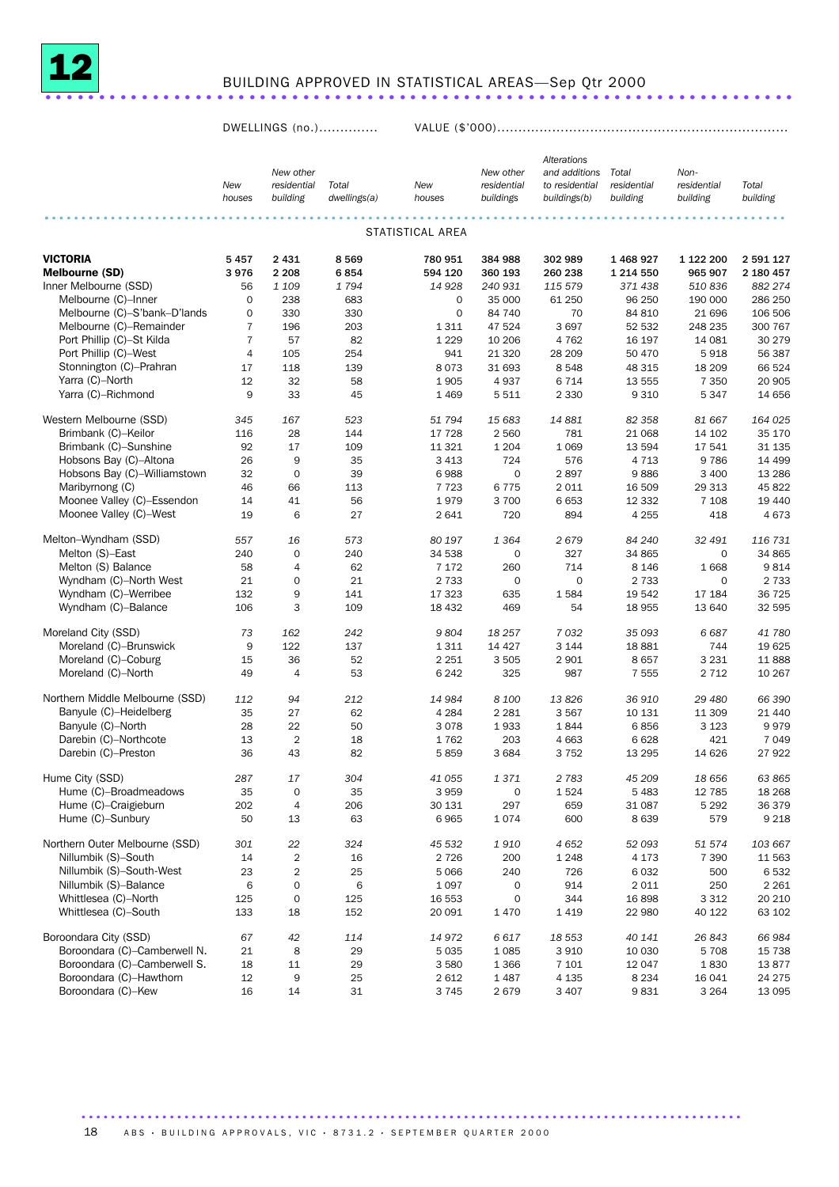

# BUILDING APPROVED IN STATISTICAL AREAS—Sep Qtr 2000

DWELLINGS (no.).............. VALUE (\$'000).....................................................................

|                                 |                |                     |              |                  |                     | <b>Alterations</b> |               |             |           |
|---------------------------------|----------------|---------------------|--------------|------------------|---------------------|--------------------|---------------|-------------|-----------|
|                                 |                | New other           |              |                  | New other           | and additions      | Total         | Non-        |           |
|                                 | New            | residential         | Total        | New              | residential         | to residential     | residential   | residential | Total     |
|                                 | houses         | building            | dwellings(a) | houses           | buildings           | buildings(b)       | building      | building    | building  |
|                                 |                |                     |              |                  |                     |                    |               |             |           |
|                                 |                |                     |              | STATISTICAL AREA |                     |                    |               |             |           |
| <b>VICTORIA</b>                 | 5457           | 2 4 3 1             | 8569         | 780 951          | 384 988             | 302 989            | 1 468 927     | 1 122 200   | 2 591 127 |
| Melbourne (SD)                  | 3976           | 2 2 0 8             | 6854         | 594 120          | 360 193             | 260 238            | 1 2 1 4 5 5 0 | 965 907     | 2 180 457 |
| Inner Melbourne (SSD)           | 56             | 1 1 0 9             | 1794         | 14 9 28          | 240 931             | 115 579            | 371 438       | 510 836     | 882 274   |
| Melbourne (C)-Inner             | $\mathbf 0$    | 238                 | 683          | $\mathbf 0$      | 35 000              | 61 250             | 96 250        | 190 000     | 286 250   |
| Melbourne (C)-S'bank-D'lands    | $\mathbf 0$    | 330                 | 330          | $\mathbf 0$      | 84 740              | 70                 | 84 810        | 21 696      | 106 506   |
| Melbourne (C)-Remainder         | $\overline{7}$ | 196                 | 203          | 1 3 1 1          | 47 524              | 3697               | 52 532        | 248 235     | 300 767   |
| Port Phillip (C)-St Kilda       | 7              | 57                  | 82           | 1 2 2 9          | 10 20 6             | 4 7 6 2            | 16 197        | 14 081      | 30 279    |
| Port Phillip (C)-West           | $\overline{4}$ | 105                 | 254          | 941              | 21 3 20             | 28 209             | 50 470        | 5918        | 56 387    |
| Stonnington (C)-Prahran         | 17             | 118                 | 139          | 8073             | 31 693              | 8548               | 48 315        | 18 209      | 66 524    |
| Yarra (C)-North                 | 12             | 32                  | 58           | 1905             | 4937                | 6 7 1 4            | 13 555        | 7 3 5 0     | 20 905    |
| Yarra (C)-Richmond              | 9              | 33                  | 45           | 1 4 6 9          | 5511                | 2 3 3 0            | 9 3 1 0       | 5347        | 14 656    |
| Western Melbourne (SSD)         | 345            | 167                 | 523          | 51 794           | 15 683              | 14881              | 82 358        | 81 667      | 164 025   |
| Brimbank (C)-Keilor             | 116            | 28                  | 144          | 17 728           | 2 5 6 0             | 781                | 21 068        | 14 102      | 35 170    |
| Brimbank (C)-Sunshine           | 92             | 17                  | 109          | 11 321           | 1 2 0 4             | 1 0 6 9            | 13 594        | 17541       | 31 135    |
| Hobsons Bay (C)-Altona          | 26             | 9                   | 35           | 3 4 1 3          | 724                 | 576                | 4 7 1 3       | 9786        | 14 4 9 9  |
| Hobsons Bay (C)-Williamstown    | 32             | $\mathbf 0$         | 39           | 6988             | $\mathbf 0$         | 2897               | 9886          | 3 4 0 0     | 13 2 86   |
| Maribyrnong (C)                 | 46             | 66                  | 113          | 7723             | 6775                | 2 0 1 1            | 16 509        | 29 313      | 45 822    |
| Moonee Valley (C)-Essendon      | 14             | 41                  | 56           | 1979             | 3 700               | 6653               | 12 3 32       | 7 1 0 8     | 19 440    |
| Moonee Valley (C)-West          | 19             | 6                   | 27           | 2 6 4 1          | 720                 | 894                | 4 2 5 5       | 418         | 4673      |
| Melton-Wyndham (SSD)            | 557            | 16                  | 573          | 80 197           | 1 3 6 4             | 2679               | 84 240        | 32 491      | 116 731   |
| Melton (S)-East                 | 240            | $\mathbf 0$         | 240          | 34 538           | $\mathbf 0$         | 327                | 34 865        | 0           | 34 865    |
| Melton (S) Balance              | 58             | $\overline{4}$      | 62           | 7 1 7 2          | 260                 | 714                | 8 1 4 6       | 1668        | 9814      |
| Wyndham (C)-North West          | 21             | $\mathbf 0$         | 21           | 2 7 3 3          | $\mathbf 0$         | $\mathbf{O}$       | 2 7 3 3       | $\mathbf 0$ | 2 7 3 3   |
| Wyndham (C)-Werribee            | 132            | 9                   | 141          | 17 323           | 635                 | 1584               | 19 542        | 17 184      | 36 725    |
| Wyndham (C)-Balance             | 106            | 3                   | 109          | 18 4 32          | 469                 | 54                 | 18 955        | 13 640      | 32 595    |
| Moreland City (SSD)             | 73             | 162                 | 242          | 9804             | 18 257              | 7032               | 35 093        | 6687        | 41 780    |
| Moreland (C)-Brunswick          | 9              | 122                 | 137          | 1 3 1 1          | 14 4 27             | 3 1 4 4            | 18881         | 744         | 19625     |
| Moreland (C)-Coburg             | 15             | 36                  | 52           | 2 2 5 1          | 3 5 0 5             | 2 9 0 1            | 8657          | 3 2 3 1     | 11888     |
| Moreland (C)-North              | 49             | $\overline{4}$      | 53           | 6 2 4 2          | 325                 | 987                | 7 5 5 5       | 2 7 1 2     | 10 267    |
| Northern Middle Melbourne (SSD) | 112            | 94                  | 212          | 14 984           | 8 100               | 13826              | 36 910        | 29 480      | 66 390    |
| Banyule (C)-Heidelberg          | 35             | 27                  | 62           | 4 2 8 4          | 2 2 8 1             | 3 5 6 7            | 10 131        | 11 309      | 21 440    |
| Banyule (C)-North               | 28             | 22                  | 50           | 3 0 7 8          | 1933                | 1844               | 6856          | 3 1 2 3     | 9979      |
| Darebin (C)-Northcote           | 13             | $\overline{2}$      | 18           | 1762             | 203                 | 4 6 63             | 6628          | 421         | 7 0 4 9   |
| Darebin (C)-Preston             | 36             | 43                  | 82           | 5859             | 3 6 8 4             | 3752               | 13 29 5       | 14 6 26     | 27922     |
| Hume City (SSD)                 | 287            | 17                  | 304          | 41 055           | 1371                | 2 7 8 3            | 45 209        | 18 656      | 63 865    |
| Hume (C)-Broadmeadows           | 35             | 0                   | 35           | 3 9 5 9          | $\mathsf{O}\xspace$ | 1524               | 5 4 8 3       | 12 785      | 18 2 68   |
| Hume (C)-Craigieburn            | 202            | 4                   | 206          | 30 131           | 297                 | 659                | 31 087        | 5 2 9 2     | 36 379    |
| Hume (C)-Sunbury                | 50             | 13                  | 63           | 6965             | 1074                | 600                | 8639          | 579         | 9 2 1 8   |
| Northern Outer Melbourne (SSD)  | 301            | 22                  | 324          | 45 532           | 1910                | 4652               | 52 093        | 51 574      | 103 667   |
| Nillumbik (S)-South             | 14             | $\overline{2}$      | 16           | 2 7 2 6          | 200                 | 1 2 4 8            | 4 1 7 3       | 7 3 9 0     | 11 563    |
| Nillumbik (S)-South-West        | 23             | $\overline{2}$      | 25           | 5 0 6 6          | 240                 | 726                | 6 0 3 2       | 500         | 6532      |
| Nillumbik (S)-Balance           | 6              | $\mathsf{O}\xspace$ | 6            | 1 0 9 7          | $\mathsf{O}\xspace$ | 914                | 2 0 1 1       | 250         | 2 2 6 1   |
| Whittlesea (C)-North            | 125            | 0                   | 125          | 16 553           | $\mathbf 0$         | 344                | 16898         | 3 3 1 2     | 20 210    |
| Whittlesea (C)-South            | 133            | 18                  | 152          | 20 091           | 1470                | 1 4 1 9            | 22 980        | 40 122      | 63 102    |
| Boroondara City (SSD)           | 67             | 42                  | 114          | 14 972           | 6617                | 18 553             | 40 141        | 26843       | 66 984    |
| Boroondara (C)-Camberwell N.    | 21             | 8                   | 29           | 5 0 3 5          | 1 0 8 5             | 3 9 1 0            | 10 030        | 5708        | 15 7 38   |
| Boroondara (C)-Camberwell S.    | 18             | 11                  | 29           | 3 5 8 0          | 1 3 6 6             | 7 1 0 1            | 12 047        | 1830        | 13877     |
| Boroondara (C)-Hawthorn         | 12             | 9                   | 25           | 2 6 1 2          | 1 4 8 7             | 4 1 3 5            | 8 2 3 4       | 16 041      | 24 275    |
| Boroondara (C)-Kew              | 16             | 14                  | 31           | 3 7 4 5          | 2679                | 3 4 0 7            | 9831          | 3 2 6 4     | 13 0 95   |

18 ABS · BUILDING APPROVALS, VIC · 8731.2 · SEPTEMBER QUARTER 2000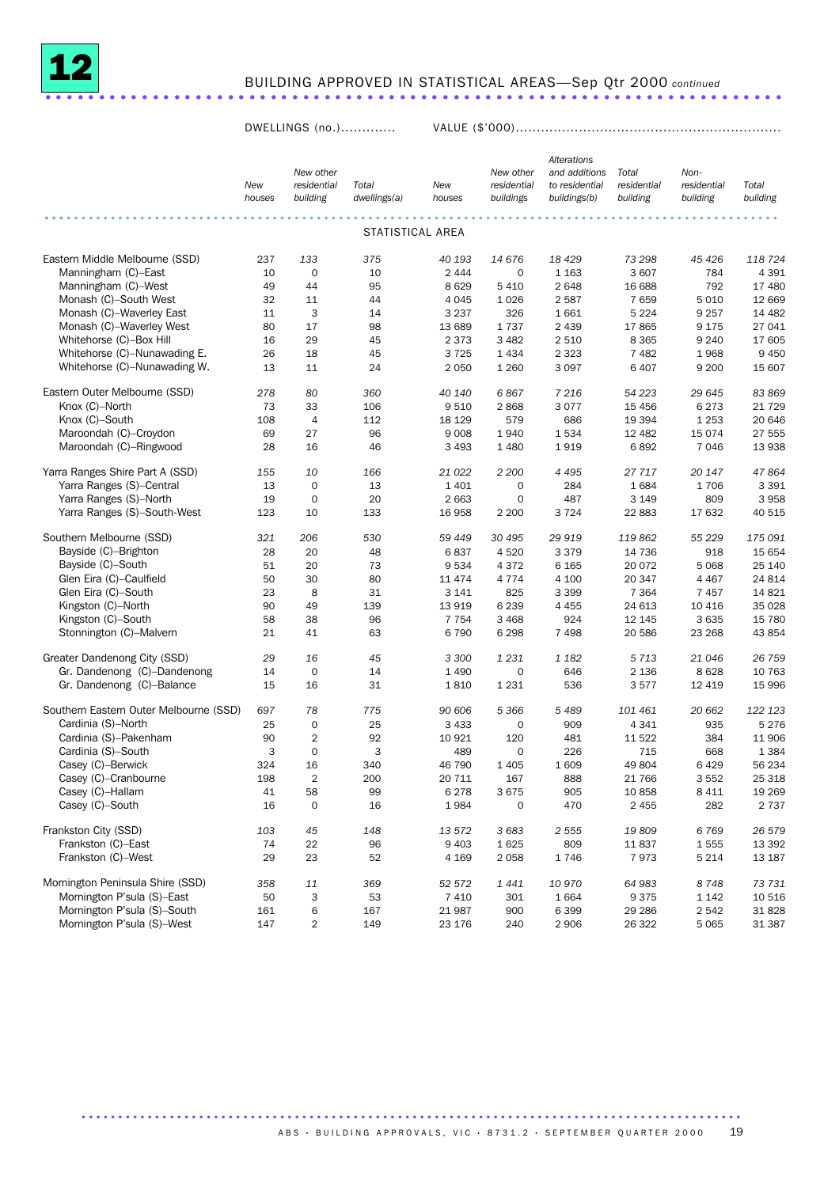

# BUILDING APPROVED IN STATISTICAL AREAS—Sep Qtr 2000 *continued* .....................................................................

DWELLINGS (no.)............. VALUE (\$'000)...............................................................

|                                        | New<br>houses | New other<br>residential<br>building | Total<br>dwellings(a) | New<br>houses | New other<br>residential<br>buildings | Alterations<br>and additions<br>to residential<br>buildings(b) | Total<br>residential<br>building | Non-<br>residential<br>building | Total<br>building |
|----------------------------------------|---------------|--------------------------------------|-----------------------|---------------|---------------------------------------|----------------------------------------------------------------|----------------------------------|---------------------------------|-------------------|
|                                        |               |                                      | STATISTICAL AREA      |               |                                       |                                                                |                                  |                                 |                   |
| Eastern Middle Melbourne (SSD)         | 237           | 133                                  | 375                   | 40 193        | 14 676                                | 18 4 29                                                        | 73 298                           | 45 4 26                         | 118 724           |
| Manningham (C)-East                    | 10            | $\mathbf 0$                          | 10                    | 2 4 4 4       | $\mathbf 0$                           | 1 1 6 3                                                        | 3 607                            | 784                             | 4 3 9 1           |
| Manningham (C)–West                    | 49            | 44                                   | 95                    | 8629          | 5 4 1 0                               | 2648                                                           | 16 688                           | 792                             | 17 480            |
| Monash (C)-South West                  | 32            | 11                                   | 44                    | 4 0 4 5       | 1 0 2 6                               | 2 5 8 7                                                        | 7659                             | 5 0 1 0                         | 12 669            |
| Monash (C)-Waverley East               | 11            | 3                                    | 14                    | 3 2 3 7       | 326                                   | 1661                                                           | 5 2 2 4                          | 9 2 5 7                         | 14 4 82           |
| Monash (C)-Waverley West               | 80            | 17                                   | 98                    | 13 689        | 1737                                  | 2 4 3 9                                                        | 17865                            | 9 1 7 5                         | 27 041            |
| Whitehorse (C)-Box Hill                | 16            | 29                                   | 45                    | 2 3 7 3       | 3 4 8 2                               | 2 5 1 0                                                        | 8 3 6 5                          | 9 2 4 0                         | 17 605            |
| Whitehorse (C)–Nunawading E.           | 26            | 18                                   | 45                    | 3725          | 1 4 3 4                               | 2 3 2 3                                                        | 7 4 8 2                          | 1968                            | 9 4 5 0           |
| Whitehorse (C)-Nunawading W.           | 13            | 11                                   | 24                    | 2 0 5 0       | 1 2 6 0                               | 3 0 9 7                                                        | 6 4 0 7                          | 9 2 0 0                         | 15 607            |
| Eastern Outer Melbourne (SSD)          | 278           | 80                                   | 360                   | 40 140        | 6867                                  | 7 2 1 6                                                        | 54 223                           | 29 645                          | 83 869            |
| Knox (C)-North                         | 73            | 33                                   | 106                   | 9 5 1 0       | 2868                                  | 3077                                                           | 15 4 5 6                         | 6 2 7 3                         | 21 7 29           |
| Knox (C)-South                         | 108           | 4                                    | 112                   | 18 129        | 579                                   | 686                                                            | 19 3 94                          | 1 2 5 3                         | 20 646            |
| Maroondah (C)-Croydon                  | 69            | 27                                   | 96                    | 9 0 0 8       | 1940                                  | 1534                                                           | 12 482                           | 15 0 74                         | 27 555            |
| Maroondah (C)-Ringwood                 | 28            | 16                                   | 46                    | 3 4 9 3       | 1 4 8 0                               | 1919                                                           | 6892                             | 7046                            | 13 938            |
| Yarra Ranges Shire Part A (SSD)        | 155           | 10                                   | 166                   | 21 0 22       | 2 2 0 0                               | 4 4 9 5                                                        | 27 717                           | 20 147                          | 47864             |
| Yarra Ranges (S)-Central               | 13            | $\mathbf 0$                          | 13                    | 1 4 0 1       | 0                                     | 284                                                            | 1684                             | 1706                            | 3 3 9 1           |
| Yarra Ranges (S)-North                 | 19            | $\mathbf 0$                          | 20                    | 2 6 6 3       | 0                                     | 487                                                            | 3 1 4 9                          | 809                             | 3 9 5 8           |
| Yarra Ranges (S)-South-West            | 123           | 10                                   | 133                   | 16 958        | 2 2 0 0                               | 3724                                                           | 22 883                           | 17 632                          | 40 515            |
| Southern Melbourne (SSD)               | 321           | 206                                  | 530                   | 59 449        | 30 495                                | 29 919                                                         | 119862                           | 55 229                          | 175 091           |
| Bayside (C)-Brighton                   | 28            | 20                                   | 48                    | 6837          | 4 5 20                                | 3 3 7 9                                                        | 14 736                           | 918                             | 15 654            |
| Bayside (C)-South                      | 51            | 20                                   | 73                    | 9534          | 4 3 7 2                               | 6 1 6 5                                                        | 20 072                           | 5 0 68                          | 25 140            |
| Glen Eira (C)-Caulfield                | 50            | 30                                   | 80                    | 11 474        | 4 7 7 4                               | 4 100                                                          | 20 347                           | 4 4 6 7                         | 24 814            |
| Glen Eira (C)-South                    | 23            | 8                                    | 31                    | 3 1 4 1       | 825                                   | 3 3 9 9                                                        | 7 3 6 4                          | 7 4 5 7                         | 14 8 21           |
| Kingston (C)-North                     | 90            | 49                                   | 139                   | 13 919        | 6 2 3 9                               | 4 4 5 5                                                        | 24 613                           | 10 4 16                         | 35 0 28           |
| Kingston (C)-South                     | 58            | 38                                   | 96                    | 7 7 5 4       | 3 4 6 8                               | 924                                                            | 12 145                           | 3 6 3 5                         | 15 780            |
| Stonnington (C)-Malvern                | 21            | 41                                   | 63                    | 6790          | 6 2 9 8                               | 7 4 9 8                                                        | 20 586                           | 23 268                          | 43 854            |
| Greater Dandenong City (SSD)           | 29            | 16                                   | 45                    | 3 3 0 0       | 1 2 3 1                               | 1 182                                                          | 5713                             | 21 046                          | 26 759            |
| Gr. Dandenong (C)-Dandenong            | 14            | $\mathbf 0$                          | 14                    | 1 4 9 0       | $\mathbf 0$                           | 646                                                            | 2 1 3 6                          | 8628                            | 10 763            |
| Gr. Dandenong (C)-Balance              | 15            | 16                                   | 31                    | 1810          | 1 2 3 1                               | 536                                                            | 3577                             | 12 419                          | 15 996            |
| Southern Eastern Outer Melbourne (SSD) | 697           | 78                                   | 775                   | 90 60 6       | 5 3 6 6                               | 5489                                                           | 101 461                          | 20 662                          | 122 123           |
| Cardinia (S)-North                     | 25            | $\mathbf 0$                          | 25                    | 3 4 3 3       | 0                                     | 909                                                            | 4 3 4 1                          | 935                             | 5 2 7 6           |
| Cardinia (S)-Pakenham                  | 90            | 2                                    | 92                    | 10 921        | 120                                   | 481                                                            | 11 5 22                          | 384                             | 11 906            |
| Cardinia (S)-South                     | 3             | $\mathbf 0$                          | 3                     | 489           | 0                                     | 226                                                            | 715                              | 668                             | 1 3 8 4           |
| Casey (C)-Berwick                      | 324           | 16                                   | 340                   | 46 790        | 1 4 0 5                               | 1 609                                                          | 49 804                           | 6429                            | 56 234            |
| Casey (C)-Cranbourne                   | 198           | $\overline{2}$                       | 200                   | 20 711        | 167                                   | 888                                                            | 21 766                           | 3552                            | 25 318            |
| Casey (C)-Hallam                       | 41            | 58                                   | 99                    | 6 2 7 8       | 3 6 7 5                               | 905                                                            | 10 858                           | 8 4 1 1                         | 19 26 9           |
| Casey (C)-South                        | 16            | $\mathbf 0$                          | 16                    | 1984          | $\mathbf 0$                           | 470                                                            | 2 4 5 5                          | 282                             | 2 7 3 7           |
| Frankston City (SSD)                   | 103           | 45                                   | 148                   | 13 572        | 3 6 8 3                               | 2 5 5 5                                                        | 19809                            | 6769                            | 26 579            |
| Frankston (C)-East                     | 74            | 22                                   | 96                    | 9 4 0 3       | 1625                                  | 809                                                            | 11837                            | 1555                            | 13 392            |
| Frankston (C)-West                     | 29            | 23                                   | 52                    | 4 1 6 9       | 2 0 5 8                               | 1746                                                           | 7973                             | 5 2 1 4                         | 13 187            |
| Mornington Peninsula Shire (SSD)       | 358           | 11                                   | 369                   | 52 572        | 1441                                  | 10 970                                                         | 64 983                           | 8748                            | 73 731            |
| Mornington P'sula (S)-East             | 50            | 3                                    | 53                    | 7 4 1 0       | 301                                   | 1664                                                           | 9 3 7 5                          | 1 1 4 2                         | 10 516            |
| Mornington P'sula (S)-South            | 161           | 6                                    | 167                   | 21 987        | 900                                   | 6 3 9 9                                                        | 29 28 6                          | 2 5 4 2                         | 31 828            |
| Mornington P'sula (S)-West             | 147           | $\overline{2}$                       | 149                   | 23 176        | 240                                   | 2 9 0 6                                                        | 26 322                           | 5 0 6 5                         | 31 387            |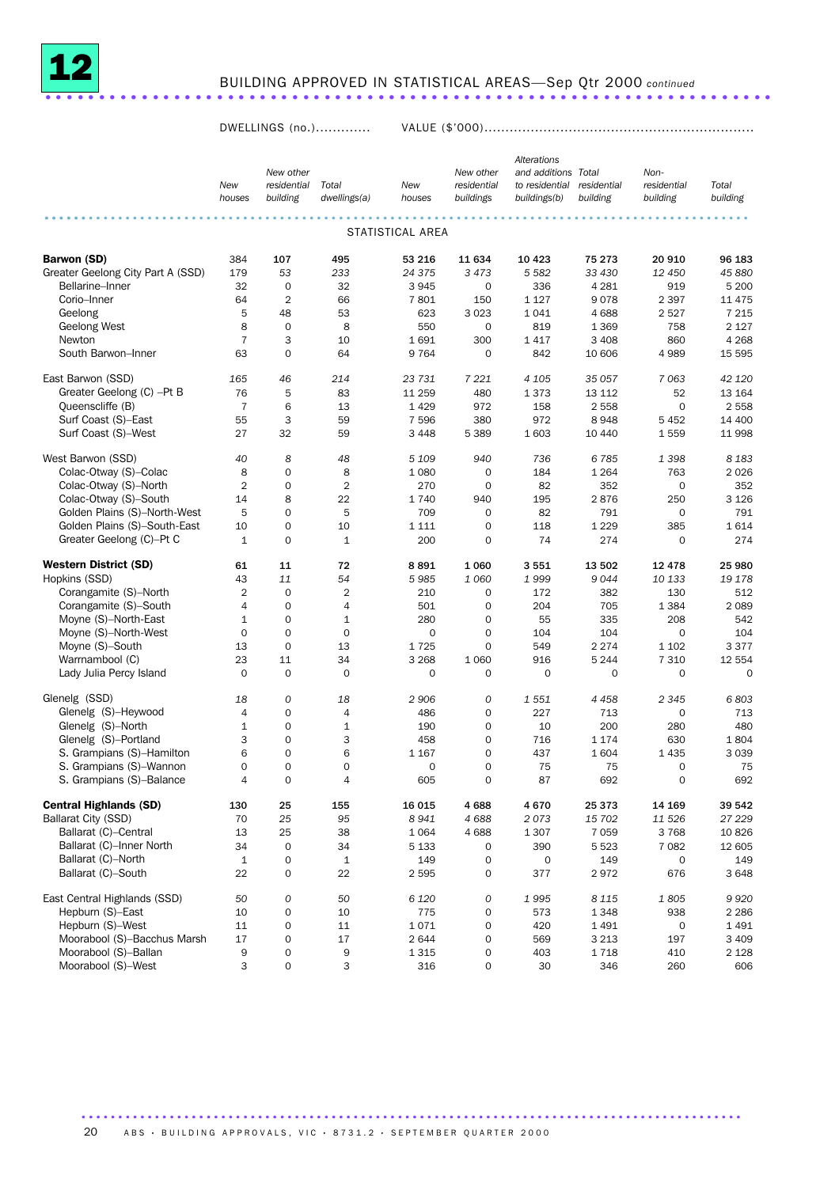

# BUILDING APPROVED IN STATISTICAL AREAS—Sep Qtr 2000 *continued* ....................................................................

DWELLINGS (no.)............. VALUE (\$'000)................................................................

|                                   | New<br>houses  | New other<br>residential<br>building | Total<br>dwellings(a) | New<br>houses    | New other<br>residential<br>buildings | Alterations<br>and additions Total<br>to residential<br>buildings(b) | residential<br>building | Non-<br>residential<br>building | Total<br>building |
|-----------------------------------|----------------|--------------------------------------|-----------------------|------------------|---------------------------------------|----------------------------------------------------------------------|-------------------------|---------------------------------|-------------------|
|                                   |                |                                      |                       | STATISTICAL AREA |                                       |                                                                      |                         |                                 |                   |
| <b>Barwon (SD)</b>                | 384            | 107                                  | 495                   | 53 216           | 11 634                                | 10 4 23                                                              | 75 273                  | 20 910                          | 96 183            |
| Greater Geelong City Part A (SSD) | 179            | 53                                   | 233                   | 24 375           | 3 4 7 3                               | 5582                                                                 | 33 430                  | 12 450                          | 45 880            |
| Bellarine-Inner                   | 32             | $\mathbf 0$                          | 32                    | 3945             | 0                                     | 336                                                                  | 4 2 8 1                 | 919                             | 5 200             |
| Corio-Inner                       | 64             | $\overline{2}$                       | 66                    | 7801             | 150                                   | 1 1 2 7                                                              | 9078                    | 2 3 9 7                         | 11 4 7 5          |
| Geelong                           | 5              | 48                                   | 53                    | 623              | 3 0 2 3                               | 1041                                                                 | 4688                    | 2 5 2 7                         | 7 2 1 5           |
| <b>Geelong West</b>               | 8              | $\mathbf 0$                          | 8                     | 550              | $\mathbf 0$                           | 819                                                                  | 1 3 6 9                 | 758                             | 2 1 2 7           |
| Newton                            | $\overline{7}$ | 3                                    | 10                    | 1691             | 300                                   | 1417                                                                 | 3 4 0 8                 | 860                             | 4 2 6 8           |
| South Barwon-Inner                | 63             | $\mathbf 0$                          | 64                    | 9764             | $\mathbf 0$                           | 842                                                                  | 10 606                  | 4989                            | 15 5 95           |
| East Barwon (SSD)                 | 165            | 46                                   | 214                   | 23 731           | 7 2 2 1                               | 4 1 0 5                                                              | 35 057                  | 7 0 63                          | 42 120            |
| Greater Geelong (C) -Pt B         | 76             | 5                                    | 83                    | 11 259           | 480                                   | 1373                                                                 | 13 112                  | 52                              | 13 164            |
| Queenscliffe (B)                  | $\overline{7}$ | 6                                    | 13                    | 1 4 2 9          | 972                                   | 158                                                                  | 2558                    | $\mathbf 0$                     | 2 5 5 8           |
| Surf Coast (S)-East               | 55             | 3                                    | 59                    | 7 5 9 6          | 380                                   | 972                                                                  | 8948                    | 5 4 5 2                         | 14 400            |
| Surf Coast (S)-West               | 27             | 32                                   | 59                    | 3 4 4 8          | 5 3 8 9                               | 1 603                                                                | 10 440                  | 1559                            | 11 998            |
| West Barwon (SSD)                 | 40             | 8                                    | 48                    | 5 1 0 9          | 940                                   | 736                                                                  | 6785                    | 1 3 9 8                         | 8 1 8 3           |
| Colac-Otway (S)-Colac             | 8              | $\mathbf 0$                          | 8                     | 1 0 8 0          | $\mathbf 0$                           | 184                                                                  | 1 2 6 4                 | 763                             | 2026              |
| Colac-Otway (S)-North             | $\overline{2}$ | $\mathbf 0$                          | $\overline{2}$        | 270              | $\mathbf 0$                           | 82                                                                   | 352                     | $\mathbf 0$                     | 352               |
| Colac-Otway (S)-South             | 14             | 8                                    | 22                    | 1740             | 940                                   | 195                                                                  | 2876                    | 250                             | 3 1 2 6           |
| Golden Plains (S)-North-West      | 5              | $\mathsf{O}\xspace$                  | 5                     | 709              | $\mathbf 0$                           | 82                                                                   | 791                     | $\mathbf 0$                     | 791               |
| Golden Plains (S)-South-East      | 10             | 0                                    | 10                    | 1 1 1 1          | $\mathbf 0$                           | 118                                                                  | 1 2 2 9                 | 385                             | 1614              |
| Greater Geelong (C)-Pt C          | $\mathbf{1}$   | $\mathbf 0$                          | $\mathbf 1$           | 200              | $\mathbf 0$                           | 74                                                                   | 274                     | $\mathbf 0$                     | 274               |
| <b>Western District (SD)</b>      | 61             | 11                                   | 72                    | 8891             | 1 0 6 0                               | 3551                                                                 | 13 502                  | 12 4 78                         | 25 980            |
| Hopkins (SSD)                     | 43             | 11                                   | 54                    | 5985             | 1 0 6 0                               | 1999                                                                 | 9044                    | 10 133                          | 19 178            |
| Corangamite (S)-North             | $\overline{2}$ | $\mathbf 0$                          | 2                     | 210              | $\mathbf 0$                           | 172                                                                  | 382                     | 130                             | 512               |
| Corangamite (S)-South             | 4              | $\mathbf 0$                          | 4                     | 501              | $\mathbf 0$                           | 204                                                                  | 705                     | 1 3 8 4                         | 2 0 8 9           |
| Moyne (S)-North-East              | $1\,$          | $\mathbf 0$                          | $\mathbf 1$           | 280              | $\mathbf 0$                           | 55                                                                   | 335                     | 208                             | 542               |
| Moyne (S)-North-West              | $\mathbf 0$    | $\mathbf 0$                          | $\mathbf 0$           | $\mathbf 0$      | $\mathbf 0$                           | 104                                                                  | 104                     | 0                               | 104               |
| Moyne (S)-South                   | 13             | $\mathbf 0$                          | 13                    | 1725             | $\mathbf 0$                           | 549                                                                  | 2 2 7 4                 | 1 1 0 2                         | 3 3 7 7           |
| Warrnambool (C)                   | 23             | 11                                   | 34                    | 3 2 6 8          | 1 0 6 0                               | 916                                                                  | 5 2 4 4                 | 7 3 1 0                         | 12 554            |
| Lady Julia Percy Island           | $\mathbf 0$    | $\mathbf 0$                          | $\mathbf 0$           | $\mathbf 0$      | $\mathbf 0$                           | $\mathbf 0$                                                          | 0                       | $\mathbf 0$                     | $\mathbf 0$       |
| Glenelg (SSD)                     | 18             | 0                                    | 18                    | 2906             | 0                                     | 1 5 5 1                                                              | 4458                    | 2 3 4 5                         | 6803              |
| Glenelg (S)-Heywood               | 4              | $\mathbf 0$                          | 4                     | 486              | 0                                     | 227                                                                  | 713                     | 0                               | 713               |
| Glenelg (S)-North                 | $1\,$          | $\mathbf 0$                          | $1\,$                 | 190              | $\mathbf 0$                           | 10                                                                   | 200                     | 280                             | 480               |
| Glenelg (S)-Portland              | 3              | $\mathbf 0$                          | 3                     | 458              | $\mathbf 0$                           | 716                                                                  | 1 1 7 4                 | 630                             | 1804              |
| S. Grampians (S)-Hamilton         | 6              | $\mathbf 0$                          | 6                     | 1 1 6 7          | $\mathbf 0$                           | 437                                                                  | 1604                    | 1 4 3 5                         | 3 0 3 9           |
| S. Grampians (S)-Wannon           | $\mathbf 0$    | $\mathbf 0$                          | 0                     | $\mathbf 0$      | $\mathbf 0$                           | 75                                                                   | 75                      | 0                               | 75                |
| S. Grampians (S)-Balance          | 4              | $\mathbf 0$                          | 4                     | 605              | 0                                     | 87                                                                   | 692                     | 0                               | 692               |
| <b>Central Highlands (SD)</b>     | 130            | 25                                   | 155                   | 16 015           | 4688                                  | 4670                                                                 | 25373                   | 14 169                          | 39 542            |
| Ballarat City (SSD)               | 70             | 25                                   | 95                    | 8941             | 4688                                  | 2073                                                                 | 15 702                  | 11 526                          | 27 229            |
| Ballarat (C)-Central              | 13             | 25                                   | 38                    | 1 0 6 4          | 4688                                  | 1 3 0 7                                                              | 7 0 5 9                 | 3768                            | 10826             |
| Ballarat (C)-Inner North          | 34             | $\mathbf 0$                          | 34                    | 5 1 3 3          | 0                                     | 390                                                                  | 5 5 2 3                 | 7 0 8 2                         | 12 605            |
| Ballarat (C)-North                | $\mathbf 1$    | $\mathsf{O}\xspace$                  | $\mathbf 1$           | 149              | 0                                     | 0                                                                    | 149                     | 0                               | 149               |
| Ballarat (C)-South                | 22             | 0                                    | 22                    | 2 5 9 5          | 0                                     | 377                                                                  | 2972                    | 676                             | 3648              |
| East Central Highlands (SSD)      | 50             | 0                                    | 50                    | 6 1 2 0          | 0                                     | 1995                                                                 | 8 1 1 5                 | 1805                            | 9920              |
| Hepburn (S)-East                  | 10             | $\mathsf{O}\xspace$                  | 10                    | 775              | $\mathsf{O}\xspace$                   | 573                                                                  | 1 3 4 8                 | 938                             | 2 2 8 6           |
| Hepburn (S)-West                  | 11             | $\mathsf{O}\xspace$                  | 11                    | 1071             | $\mathbf 0$                           | 420                                                                  | 1491                    | 0                               | 1 4 9 1           |
| Moorabool (S)-Bacchus Marsh       | 17             | $\mathsf{O}\xspace$                  | 17                    | 2644             | 0                                     | 569                                                                  | 3 2 1 3                 | 197                             | 3 4 0 9           |
| Moorabool (S)-Ballan              | 9              | 0                                    | 9                     | 1 3 1 5          | 0                                     | 403                                                                  | 1718                    | 410                             | 2 1 2 8           |
| Moorabool (S)-West                | 3              | 0                                    | 3                     | 316              | 0                                     | 30                                                                   | 346                     | 260                             | 606               |

20 ABS · BUILDING APPROVALS, VIC · 8731.2 · SEPTEMBER QUARTER 2000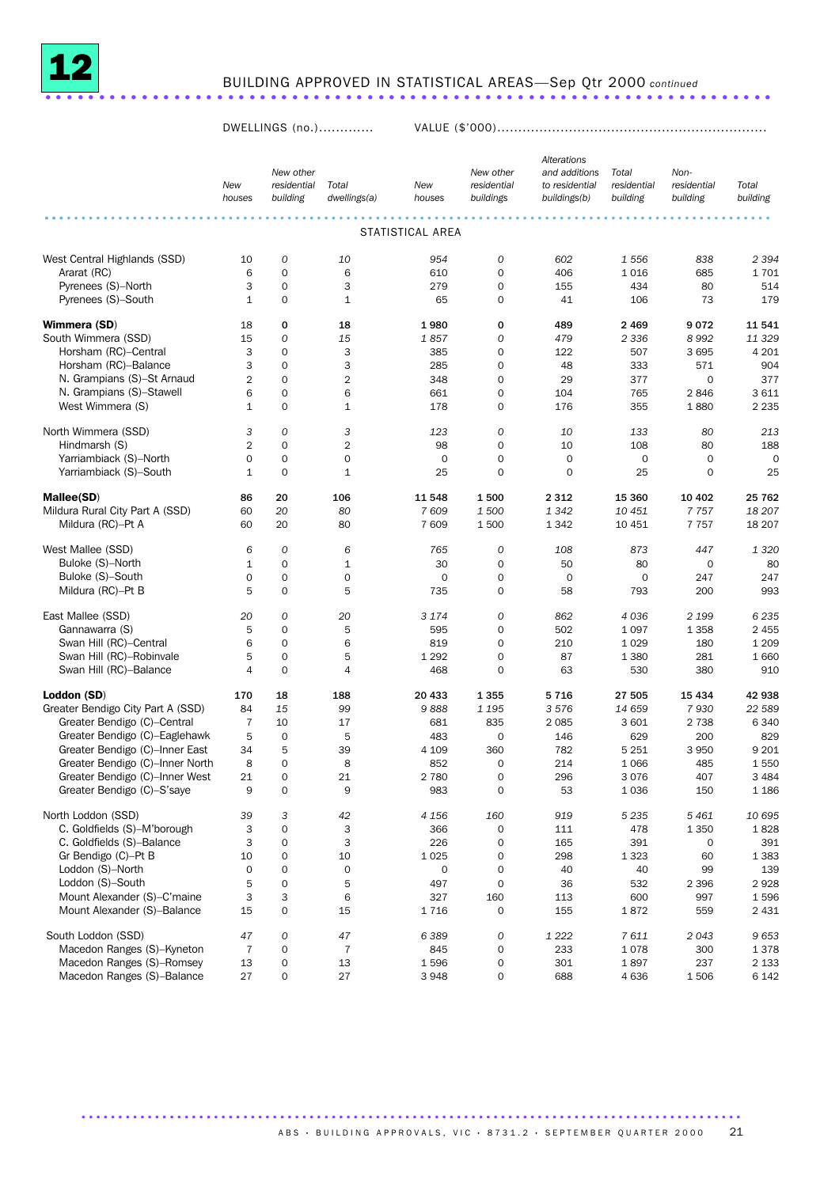

# BUILDING APPROVED IN STATISTICAL AREAS—Sep Qtr 2000 *continued* ....................................................................

DWELLINGS (no.)............. VALUE (\$'000)................................................................

|                                   | New<br>houses  | New other<br>residential<br>building | Total<br>dwellings(a) | New<br>houses       | New other<br>residential<br>buildings | Alterations<br>and additions<br>to residential<br>buildings(b) | Total<br>residential<br>building | Non-<br>residential<br>building | Total<br>building |
|-----------------------------------|----------------|--------------------------------------|-----------------------|---------------------|---------------------------------------|----------------------------------------------------------------|----------------------------------|---------------------------------|-------------------|
|                                   |                |                                      |                       |                     |                                       |                                                                |                                  |                                 |                   |
|                                   |                |                                      |                       | STATISTICAL AREA    |                                       |                                                                |                                  |                                 |                   |
| West Central Highlands (SSD)      | 10             | 0                                    | 10                    | 954                 | 0                                     | 602                                                            | 1 5 5 6                          | 838                             | 2 3 9 4           |
| Ararat (RC)                       | 6              | $\mathbf 0$                          | 6                     | 610                 | 0                                     | 406                                                            | 1016                             | 685                             | 1701              |
| Pyrenees (S)-North                | 3              | $\mathbf 0$                          | 3                     | 279                 | 0                                     | 155                                                            | 434                              | 80                              | 514               |
| Pyrenees (S)-South                | $\mathbf{1}$   | $\mathbf 0$                          | 1                     | 65                  | 0                                     | 41                                                             | 106                              | 73                              | 179               |
| Wimmera (SD)                      | 18             | 0                                    | 18                    | 1980                | 0                                     | 489                                                            | 2469                             | 9072                            | 11 541            |
| South Wimmera (SSD)               | 15             | $\mathcal{O}$                        | 15                    | 1857                | 0                                     | 479                                                            | 2 3 3 6                          | 8 9 9 2                         | 11 329            |
| Horsham (RC)-Central              | 3              | $\mathbf 0$                          | 3                     | 385                 | 0                                     | 122                                                            | 507                              | 3 6 9 5                         | 4 201             |
| Horsham (RC)-Balance              | 3              | $\mathbf 0$                          | 3                     | 285                 | 0                                     | 48                                                             | 333                              | 571                             | 904               |
| N. Grampians (S)-St Arnaud        | $\mathbf{2}$   | $\mathbf 0$                          | $\overline{2}$        | 348                 | 0                                     | 29                                                             | 377                              | $\mathbf 0$                     | 377               |
| N. Grampians (S)-Stawell          | 6              | $\mathbf 0$                          | 6                     | 661                 | 0                                     | 104                                                            | 765                              | 2846                            | 3611              |
| West Wimmera (S)                  | $\mathbf{1}$   | $\mathbf 0$                          | 1                     | 178                 | 0                                     | 176                                                            | 355                              | 1880                            | 2 2 3 5           |
| North Wimmera (SSD)               | 3              | $\mathcal{O}$                        | 3                     | 123                 | 0                                     | 10                                                             | 133                              | 80                              | 213               |
| Hindmarsh (S)                     | $\overline{2}$ | $\mathbf 0$                          | $\overline{2}$        | 98                  | 0                                     | 10                                                             | 108                              | 80                              | 188               |
| Yarriambiack (S)-North            | $\mathbf 0$    | $\mathbf 0$                          | $\mathbf 0$           | $\mathbf 0$         | 0                                     | $\mathbf 0$                                                    | $\mathbf 0$                      | $\mathbf 0$                     | $\mathbf 0$       |
| Yarriambiack (S)-South            | $\mathbf{1}$   | $\mathbf 0$                          | $\mathbf 1$           | 25                  | $\mathsf{O}\xspace$                   | $\mathbf 0$                                                    | 25                               | 0                               | 25                |
| Mallee(SD)                        | 86             | 20                                   | 106                   | 11 548              | 1500                                  | 2 3 1 2                                                        | 15 360                           | 10 402                          | 25 762            |
| Mildura Rural City Part A (SSD)   | 60             | 20                                   | 80                    | 7609                | 1500                                  | 1342                                                           | 10 451                           | 7757                            | 18 207            |
| Mildura (RC)-Pt A                 | 60             | 20                                   | 80                    | 7 609               | 1500                                  | 1342                                                           | 10 451                           | 7 7 5 7                         | 18 20 7           |
| West Mallee (SSD)                 | 6              | $\mathcal{O}$                        | 6                     | 765                 | $\boldsymbol{O}$                      | 108                                                            | 873                              | 447                             | 1 3 2 0           |
| Buloke (S)-North                  | $\mathbf{1}$   | $\mathbf 0$                          | 1                     | 30                  | 0                                     | 50                                                             | 80                               | 0                               | 80                |
| Buloke (S)-South                  | $\mathbf 0$    | $\mathbf 0$                          | $\mathbf 0$           | $\mathbf 0$         | 0                                     | $\mathbf 0$                                                    | $\mathbf 0$                      | 247                             | 247               |
| Mildura (RC)-Pt B                 | 5              | $\mathbf 0$                          | 5                     | 735                 | 0                                     | 58                                                             | 793                              | 200                             | 993               |
| East Mallee (SSD)                 | 20             | 0                                    | 20                    | 3 1 7 4             | 0                                     | 862                                                            | 4036                             | 2 1 9 9                         | 6 2 3 5           |
| Gannawarra (S)                    | 5              | $\mathbf 0$                          | 5                     | 595                 | 0                                     | 502                                                            | 1 0 9 7                          | 1 3 5 8                         | 2 4 5 5           |
| Swan Hill (RC)-Central            | 6              | $\mathbf 0$                          | 6                     | 819                 | 0                                     | 210                                                            | 1 0 2 9                          | 180                             | 1 2 0 9           |
| Swan Hill (RC)-Robinvale          | 5              | $\mathbf 0$                          | 5                     | 1 2 9 2             | 0                                     | 87                                                             | 1 3 8 0                          | 281                             | 1 6 6 0           |
| Swan Hill (RC)-Balance            | $\overline{4}$ | $\mathbf 0$                          | 4                     | 468                 | $\mathbf 0$                           | 63                                                             | 530                              | 380                             | 910               |
| Loddon (SD)                       | 170            | 18                                   | 188                   | 20 433              | 1355                                  | 5716                                                           | 27 505                           | 15 4 34                         | 42 938            |
| Greater Bendigo City Part A (SSD) | 84             | 15                                   | 99                    | 9888                | 1 1 9 5                               | 3576                                                           | 14 659                           | 7930                            | 22 589            |
| Greater Bendigo (C)-Central       | $\overline{7}$ | 10                                   | 17                    | 681                 | 835                                   | 2 0 8 5                                                        | 3 601                            | 2 7 3 8                         | 6 3 4 0           |
| Greater Bendigo (C)-Eaglehawk     | 5              | $\mathbf 0$                          | 5                     | 483                 | $\mathbf 0$                           | 146                                                            | 629                              | 200                             | 829               |
| Greater Bendigo (C)-Inner East    | 34             | 5                                    | 39                    | 4 1 0 9             | 360                                   | 782                                                            | 5 2 5 1                          | 3 9 5 0                         | 9 2 0 1           |
| Greater Bendigo (C)-Inner North   | 8              | $\mathbf 0$                          | 8                     | 852                 | $\mathbf 0$                           | 214                                                            | 1 0 6 6                          | 485                             | 1550              |
| Greater Bendigo (C)-Inner West    | 21             | $\Omega$                             | 21                    | 2 7 8 0             | $\Omega$                              | 296                                                            | 3076                             | 407                             | 3 4 8 4           |
| Greater Bendigo (C)-S'saye        | 9              | $\mathbf 0$                          | 9                     | 983                 | $\mathsf{O}\xspace$                   | 53                                                             | 1036                             | 150                             | 1 1 8 6           |
| North Loddon (SSD)                | 39             | 3                                    | 42                    | 4 1 5 6             | 160                                   | 919                                                            | 5 2 3 5                          | 5461                            | 10 695            |
| C. Goldfields (S)-M'borough       | 3              | $\mathbf 0$                          | 3                     | 366                 | 0                                     | 111                                                            | 478                              | 1 3 5 0                         | 1828              |
| C. Goldfields (S)-Balance         | 3              | $\mathbf 0$                          | 3                     | 226                 | $\mathsf{O}\xspace$                   | 165                                                            | 391                              | 0                               | 391               |
| Gr Bendigo (C)-Pt B               | 10             | $\mathbf 0$                          | 10                    | 1 0 2 5             | 0                                     | 298                                                            | 1 3 2 3                          | 60                              | 1 3 8 3           |
| Loddon (S)-North                  | $\mathbf 0$    | $\mathbf 0$                          | $\mathbf 0$           | $\mathsf{O}\xspace$ | 0                                     | 40                                                             | 40                               | 99                              | 139               |
| Loddon (S)-South                  | 5              | $\mathbf 0$                          | 5                     | 497                 | $\mathbf 0$                           | 36                                                             | 532                              | 2 3 9 6                         | 2928              |
| Mount Alexander (S)–C'maine       | 3              | 3                                    | 6                     | 327                 | 160                                   | 113                                                            | 600                              | 997                             | 1596              |
| Mount Alexander (S)-Balance       | 15             | $\mathbf 0$                          | 15                    | 1716                | $\mathsf{O}\xspace$                   | 155                                                            | 1872                             | 559                             | 2 4 3 1           |
| South Loddon (SSD)                | 47             | 0                                    | 47                    | 6389                | 0                                     | 1 2 2 2                                                        | 7611                             | 2043                            | 9653              |
| Macedon Ranges (S)-Kyneton        | $\overline{7}$ | $\mathbf 0$                          | $\overline{7}$        | 845                 | $\mathsf{O}\xspace$                   | 233                                                            | 1078                             | 300                             | 1378              |
| Macedon Ranges (S)-Romsey         | 13             | $\mathsf{O}\xspace$                  | 13                    | 1596                | $\mathsf{O}\xspace$                   | 301                                                            | 1897                             | 237                             | 2 1 3 3           |
| Macedon Ranges (S)-Balance        | 27             | 0                                    | 27                    | 3948                | 0                                     | 688                                                            | 4 6 3 6                          | 1506                            | 6 142             |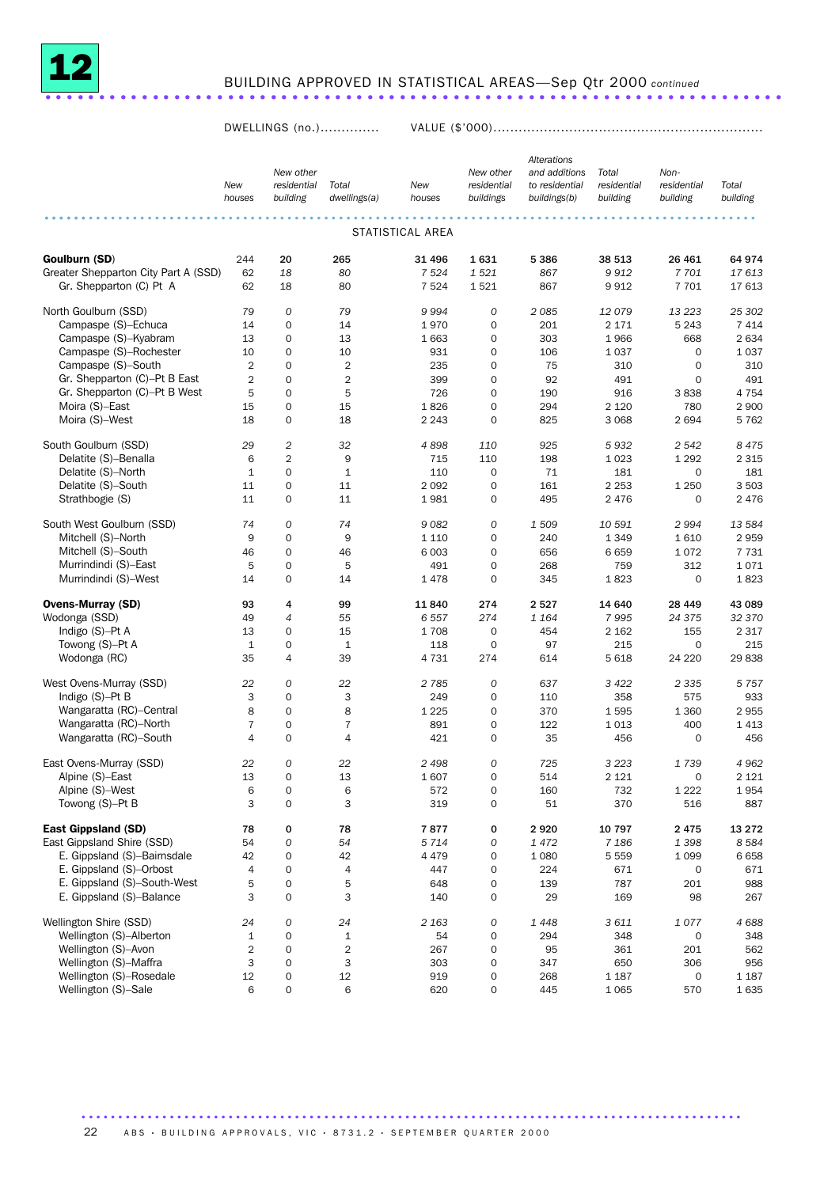

# BUILDING APPROVED IN STATISTICAL AREAS—Sep Qtr 2000 *continued* .....................................................................

DWELLINGS (no.).............. VALUE (\$'000)................................................................

|                                      |                |                         |                       |               |                          | <b>Alterations</b>             |                         |                         |                   |  |  |
|--------------------------------------|----------------|-------------------------|-----------------------|---------------|--------------------------|--------------------------------|-------------------------|-------------------------|-------------------|--|--|
|                                      |                | New other               |                       |               | New other                | and additions                  | Total                   | Non-                    |                   |  |  |
|                                      | New<br>houses  | residential<br>building | Total<br>dwellings(a) | New<br>houses | residential<br>buildings | to residential<br>buildings(b) | residential<br>building | residential<br>building | Total<br>building |  |  |
|                                      |                |                         |                       |               |                          |                                |                         |                         |                   |  |  |
| STATISTICAL AREA                     |                |                         |                       |               |                          |                                |                         |                         |                   |  |  |
| Goulburn (SD)                        | 244            | 20                      | 265                   | 31 496        | 1631                     | 5 3 8 6                        | 38 513                  | 26 4 61                 | 64 974            |  |  |
| Greater Shepparton City Part A (SSD) | 62             | 18                      | 80                    | 7 5 24        | 1521                     | 867                            | 9912                    | 7701                    | 17613             |  |  |
| Gr. Shepparton (C) Pt A              | 62             | 18                      | 80                    | 7 5 2 4       | 1521                     | 867                            | 9912                    | 7 701                   | 17 613            |  |  |
| North Goulburn (SSD)                 | 79             | $\mathcal{O}$           | 79                    | 9994          | 0                        | 2085                           | 12079                   | 13 2 23                 | 25 302            |  |  |
| Campaspe (S)-Echuca                  | 14             | $\mathbf 0$             | 14                    | 1970          | $\mathbf 0$              | 201                            | 2 1 7 1                 | 5 2 4 3                 | 7 4 1 4           |  |  |
| Campaspe (S)-Kyabram                 | 13             | $\mathbf 0$             | 13                    | 1663          | $\mathbf 0$              | 303                            | 1966                    | 668                     | 2 6 3 4           |  |  |
| Campaspe (S)-Rochester               | 10             | $\mathbf 0$             | 10                    | 931           | $\mathbf 0$              | 106                            | 1037                    | $\mathbf 0$             | 1 0 3 7           |  |  |
| Campaspe (S)-South                   | $\overline{2}$ | $\mathbf 0$             | $\overline{2}$        | 235           | $\mathbf 0$              | 75                             | 310                     | $\mathbf 0$             | 310               |  |  |
| Gr. Shepparton (C)-Pt B East         | $\overline{2}$ | $\mathbf 0$             | $\overline{2}$        | 399           | $\mathbf 0$              | 92                             | 491                     | $\mathbf 0$             | 491               |  |  |
| Gr. Shepparton (C)-Pt B West         | 5              | $\mathbf 0$             | 5                     | 726           | $\mathbf 0$              | 190                            | 916                     | 3838                    | 4 7 5 4           |  |  |
| Moira (S)-East                       | 15             | $\mathbf 0$             | 15                    | 1826          | $\mathbf 0$              | 294                            | 2 1 2 0                 | 780                     | 2 9 0 0           |  |  |
| Moira (S)-West                       | 18             | $\mathbf 0$             | 18                    | 2 2 4 3       | $\mathbf 0$              | 825                            | 3 0 6 8                 | 2694                    | 5 7 6 2           |  |  |
| South Goulburn (SSD)                 | 29             | $\overline{c}$          | 32                    | 4898          | 110                      | 925                            | 5932                    | 2 5 4 2                 | 8 4 7 5           |  |  |
| Delatite (S)-Benalla                 | 6              | $\overline{2}$          | 9                     | 715           | 110                      | 198                            | 1023                    | 1 2 9 2                 | 2 3 1 5           |  |  |
| Delatite (S)-North                   | $\mathbf{1}$   | $\mathbf 0$             | $\mathbf{1}$          | 110           | $\mathbf 0$              | 71                             | 181                     | $\mathbf 0$             | 181               |  |  |
| Delatite (S)-South                   | 11             | $\mathbf 0$             | 11                    | 2092          | $\mathbf 0$              | 161                            | 2 2 5 3                 | 1 2 5 0                 | 3 5 0 3           |  |  |
| Strathbogie (S)                      | 11             | $\mathbf 0$             | 11                    | 1981          | $\mathbf 0$              | 495                            | 2 4 7 6                 | $\mathbf 0$             | 2 4 7 6           |  |  |
|                                      |                |                         |                       |               |                          |                                |                         |                         |                   |  |  |
| South West Goulburn (SSD)            | 74             | $\mathcal{O}$           | 74                    | 9082          | 0                        | 1 509                          | 10 591                  | 2994                    | 13 584            |  |  |
| Mitchell (S)-North                   | 9              | $\mathbf 0$             | 9                     | 1 1 1 0       | $\mathbf 0$              | 240                            | 1349                    | 1610                    | 2959              |  |  |
| Mitchell (S)-South                   | 46             | $\mathbf 0$             | 46                    | 6 0 0 3       | $\mathbf 0$              | 656                            | 6659                    | 1072                    | 7 7 3 1           |  |  |
| Murrindindi (S)-East                 | 5              | $\mathbf 0$             | 5                     | 491           | $\mathbf 0$              | 268                            | 759                     | 312                     | 1071              |  |  |
| Murrindindi (S)-West                 | 14             | $\mathbf 0$             | 14                    | 1478          | $\mathbf 0$              | 345                            | 1823                    | $\mathbf 0$             | 1823              |  |  |
| <b>Ovens-Murray (SD)</b>             | 93             | 4                       | 99                    | 11840         | 274                      | 2527                           | 14 640                  | 28 4 4 9                | 43 089            |  |  |
| Wodonga (SSD)                        | 49             | $\overline{4}$          | 55                    | 6557          | 274                      | 1 1 6 4                        | 7995                    | 24 3 7 5                | 32 370            |  |  |
| Indigo $(S)$ -Pt A                   | 13             | $\mathbf 0$             | 15                    | 1708          | $\mathbf 0$              | 454                            | 2 1 6 2                 | 155                     | 2 3 1 7           |  |  |
| Towong (S)-Pt A                      | $\mathbf{1}$   | $\mathbf 0$             | $\mathbf{1}$          | 118           | $\mathbf 0$              | 97                             | 215                     | $\mathbf 0$             | 215               |  |  |
| Wodonga (RC)                         | 35             | 4                       | 39                    | 4731          | 274                      | 614                            | 5 6 18                  | 24 2 20                 | 29838             |  |  |
| West Ovens-Murray (SSD)              | 22             | 0                       | 22                    | 2 7 8 5       | 0                        | 637                            | 3 4 2 2                 | 2 3 3 5                 | 5 7 5 7           |  |  |
| Indigo $(S)$ -Pt B                   | 3              | $\mathbf 0$             | 3                     | 249           | $\mathbf 0$              | 110                            | 358                     | 575                     | 933               |  |  |
| Wangaratta (RC)-Central              | 8              | $\mathbf 0$             | 8                     | 1 2 2 5       | $\mathbf 0$              | 370                            | 1595                    | 1 3 6 0                 | 2955              |  |  |
| Wangaratta (RC)-North                | $\overline{7}$ | $\mathbf 0$             | $\overline{7}$        | 891           | $\mathbf 0$              | 122                            | 1013                    | 400                     | 1 4 1 3           |  |  |
| Wangaratta (RC)-South                | 4              | $\Omega$                | $\overline{4}$        | 421           | $\mathbf 0$              | 35                             | 456                     | $\mathbf 0$             | 456               |  |  |
| East Ovens-Murray (SSD)              | 22             | $\mathcal{O}$           | 22                    | 2498          | $\boldsymbol{0}$         | 725                            | 3 2 2 3                 | 1739                    | 4 9 6 2           |  |  |
| Alpine (S)-East                      | 13             | $\Omega$                | 13                    | 1607          | $\mathbf 0$              | 514                            | 2 1 2 1                 | $\mathbf 0$             | 2 1 2 1           |  |  |
| Alpine (S)-West                      | 6              | 0                       | 6                     | 572           | $\mathsf{O}\xspace$      | 160                            | 732                     | 1 2 2 2                 | 1954              |  |  |
| Towong (S)-Pt B                      | 3              | $\mathbf 0$             | 3                     | 319           | $\mathbf 0$              | 51                             | 370                     | 516                     | 887               |  |  |
| <b>East Gippsland (SD)</b>           | 78             | 0                       | 78                    | 7877          | 0                        | 2920                           | 10 797                  | 2475                    | 13 27 2           |  |  |
| East Gippsland Shire (SSD)           | 54             | 0                       | 54                    | 5714          | 0                        | 1472                           | 7 1 8 6                 | 1398                    | 8 5 8 4           |  |  |
| E. Gippsland (S)-Bairnsdale          | 42             | $\mathbf 0$             | 42                    | 4 4 7 9       | 0                        | 1 0 8 0                        | 5 5 5 9                 | 1 0 9 9                 | 6658              |  |  |
| E. Gippsland (S)-Orbost              | $\sqrt{4}$     | $\mathbf 0$             | $\sqrt{4}$            | 447           | $\mathsf{O}\xspace$      | 224                            | 671                     | 0                       | 671               |  |  |
| E. Gippsland (S)-South-West          | 5              | $\mathbf 0$             | 5                     | 648           | $\mathsf{O}\xspace$      | 139                            | 787                     | 201                     | 988               |  |  |
| E. Gippsland (S)-Balance             | 3              | $\mathbf 0$             | 3                     | 140           | 0                        | 29                             | 169                     | 98                      | 267               |  |  |
| Wellington Shire (SSD)               | 24             | 0                       | 24                    | 2 1 6 3       | 0                        | 1448                           | 3611                    | 1077                    | 4688              |  |  |
| Wellington (S)-Alberton              | $\mathbf 1$    | 0                       | $\mathbf 1$           | 54            | $\mathsf{O}\xspace$      | 294                            | 348                     | $\mathbf 0$             | 348               |  |  |
| Wellington (S)-Avon                  | $\overline{2}$ | $\mathbf 0$             | 2                     | 267           | 0                        | 95                             | 361                     | 201                     | 562               |  |  |
| Wellington (S)-Maffra                | 3              | 0                       | 3                     | 303           | $\mathsf{O}\xspace$      | 347                            | 650                     | 306                     | 956               |  |  |
| Wellington (S)-Rosedale              | 12             | $\mathbf 0$             | $12\,$                | 919           | $\mathsf{O}\xspace$      | 268                            | 1 1 8 7                 | $\mathbf 0$             | 1 1 8 7           |  |  |
| Wellington (S)-Sale                  | 6              | 0                       | 6                     | 620           | $\mathsf{O}\xspace$      | 445                            | 1 0 6 5                 | 570                     | 1635              |  |  |
|                                      |                |                         |                       |               |                          |                                |                         |                         |                   |  |  |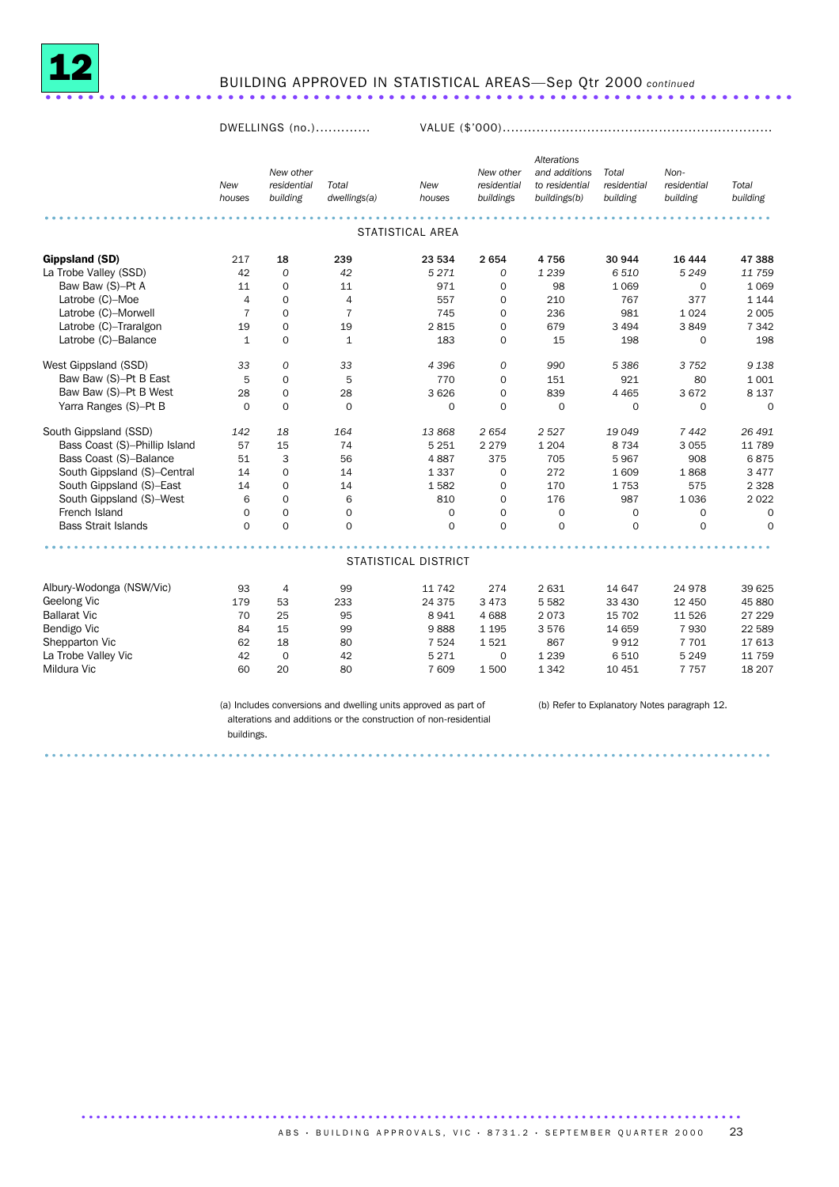

### BUILDING APPROVED IN STATISTICAL AREAS—Sep Qtr 2000 *continued* ......................................................................

DWELLINGS (no.)............. VALUE (\$'000)................................................................

|                               |                      | New other               |                       |                         | New other                | <b>Alterations</b><br>and additions | Total                   | Non-                    |                   |
|-------------------------------|----------------------|-------------------------|-----------------------|-------------------------|--------------------------|-------------------------------------|-------------------------|-------------------------|-------------------|
|                               | <b>New</b><br>houses | residential<br>building | Total<br>dwellings(a) | <b>New</b><br>houses    | residential<br>buildings | to residential<br>buildings(b)      | residential<br>building | residential<br>building | Total<br>building |
|                               |                      |                         |                       |                         |                          |                                     |                         |                         |                   |
|                               |                      |                         |                       | <b>STATISTICAL AREA</b> |                          |                                     |                         |                         |                   |
| Gippsland (SD)                | 217                  | 18                      | 239                   | 23 534                  | 2654                     | 4756                                | 30 944                  | 16 4 44                 | 47 388            |
| La Trobe Valley (SSD)         | 42                   | $\Omega$                | 42                    | 5271                    | $\Omega$                 | 1 2 3 9                             | 6 5 1 0                 | 5 2 4 9                 | 11 759            |
| Baw Baw (S)-Pt A              | 11                   | $\mathbf 0$             | 11                    | 971                     | $\mathbf 0$              | 98                                  | 1 0 6 9                 | $\mathbf 0$             | 1 0 6 9           |
| Latrobe (C)-Moe               | $\overline{4}$       | $\mathbf 0$             | $\overline{4}$        | 557                     | $\mathbf 0$              | 210                                 | 767                     | 377                     | 1 1 4 4           |
| Latrobe (C)-Morwell           | $\overline{7}$       | $\mathbf 0$             | $\overline{7}$        | 745                     | $\mathbf 0$              | 236                                 | 981                     | 1 0 2 4                 | 2 0 0 5           |
| Latrobe (C)-Traralgon         | 19                   | $\mathbf 0$             | 19                    | 2815                    | $\mathbf 0$              | 679                                 | 3 4 9 4                 | 3849                    | 7 3 4 2           |
| Latrobe (C)-Balance           | $\mathbf{1}$         | $\mathbf 0$             | $\mathbf 1$           | 183                     | $\mathbf 0$              | 15                                  | 198                     | $\mathbf 0$             | 198               |
| West Gippsland (SSD)          | 33                   | 0                       | 33                    | 4 3 9 6                 | 0                        | 990                                 | 5 3 8 6                 | 3 7 5 2                 | 9 1 3 8           |
| Baw Baw (S)-Pt B East         | 5                    | $\mathbf 0$             | 5                     | 770                     | $\mathbf 0$              | 151                                 | 921                     | 80                      | 1 0 0 1           |
| Baw Baw (S)-Pt B West         | 28                   | $\mathbf 0$             | 28                    | 3 6 2 6                 | $\mathbf 0$              | 839                                 | 4 4 6 5                 | 3672                    | 8 1 3 7           |
| Yarra Ranges (S)-Pt B         | $\Omega$             | $\mathbf 0$             | $\mathbf 0$           | $\mathbf 0$             | $\mathbf 0$              | $\mathbf 0$                         | $\mathbf 0$             | $\mathbf 0$             | $\mathbf 0$       |
| South Gippsland (SSD)         | 142                  | 18                      | 164                   | 13868                   | 2654                     | 2 5 2 7                             | 19 0 49                 | 7442                    | 26 491            |
| Bass Coast (S)-Phillip Island | 57                   | 15                      | 74                    | 5 2 5 1                 | 2 2 7 9                  | 1 2 0 4                             | 8 7 3 4                 | 3 0 5 5                 | 11 789            |
| Bass Coast (S)-Balance        | 51                   | 3                       | 56                    | 4887                    | 375                      | 705                                 | 5967                    | 908                     | 6875              |
| South Gippsland (S)-Central   | 14                   | $\mathbf 0$             | 14                    | 1 3 3 7                 | $\mathbf 0$              | 272                                 | 1 609                   | 1868                    | 3 4 7 7           |
| South Gippsland (S)-East      | 14                   | 0                       | 14                    | 1582                    | $\mathbf 0$              | 170                                 | 1753                    | 575                     | 2 3 2 8           |
| South Gippsland (S)-West      | 6                    | $\mathbf 0$             | 6                     | 810                     | $\mathbf 0$              | 176                                 | 987                     | 1 0 3 6                 | 2 0 2 2           |
| French Island                 | $\Omega$             | $\Omega$                | $\mathbf 0$           | $\mathbf 0$             | $\Omega$                 | $\mathbf 0$                         | $\mathbf 0$             | $\mathbf 0$             | $\Omega$          |
| <b>Bass Strait Islands</b>    | $\Omega$             | $\Omega$                | $\Omega$              | $\Omega$                | $\Omega$                 | $\Omega$                            | $\Omega$                | $\Omega$                | $\Omega$          |
|                               |                      |                         |                       |                         |                          |                                     |                         |                         |                   |
|                               |                      |                         |                       | STATISTICAL DISTRICT    |                          |                                     |                         |                         |                   |
| Albury-Wodonga (NSW/Vic)      | 93                   | 4                       | 99                    | 11 742                  | 274                      | 2631                                | 14 647                  | 24 978                  | 39 625            |
| Geelong Vic                   | 179                  | 53                      | 233                   | 24 375                  | 3 4 7 3                  | 5 5 8 2                             | 33 4 30                 | 12 450                  | 45 880            |
| <b>Ballarat Vic</b>           | 70                   | 25                      | 95                    | 8941                    | 4688                     | 2073                                | 15 702                  | 11 5 26                 | 27 229            |
| Bendigo Vic                   | 84                   | 15                      | 99                    | 9888                    | 1 1 9 5                  | 3576                                | 14 659                  | 7930                    | 22 589            |
| Shepparton Vic                | 62                   | 18                      | 80                    | 7 5 2 4                 | 1521                     | 867                                 | 9912                    | 7 7 0 1                 | 17613             |
| La Trobe Valley Vic           | 42                   | $\mathbf 0$             | 42                    | 5 2 7 1                 | $\mathbf 0$              | 1 2 3 9                             | 6510                    | 5 2 4 9                 | 11 759            |
| Mildura Vic                   | 60                   | 20                      | 80                    | 7 609                   | 1500                     | 1342                                | 10 451                  | 7 7 5 7                 | 18 20 7           |

(a) Includes conversions and dwelling units approved as part of alterations and additions or the construction of non-residential buildings.

................................................................................................... .

..........................................................................................

(b) Refer to Explanatory Notes paragraph 12.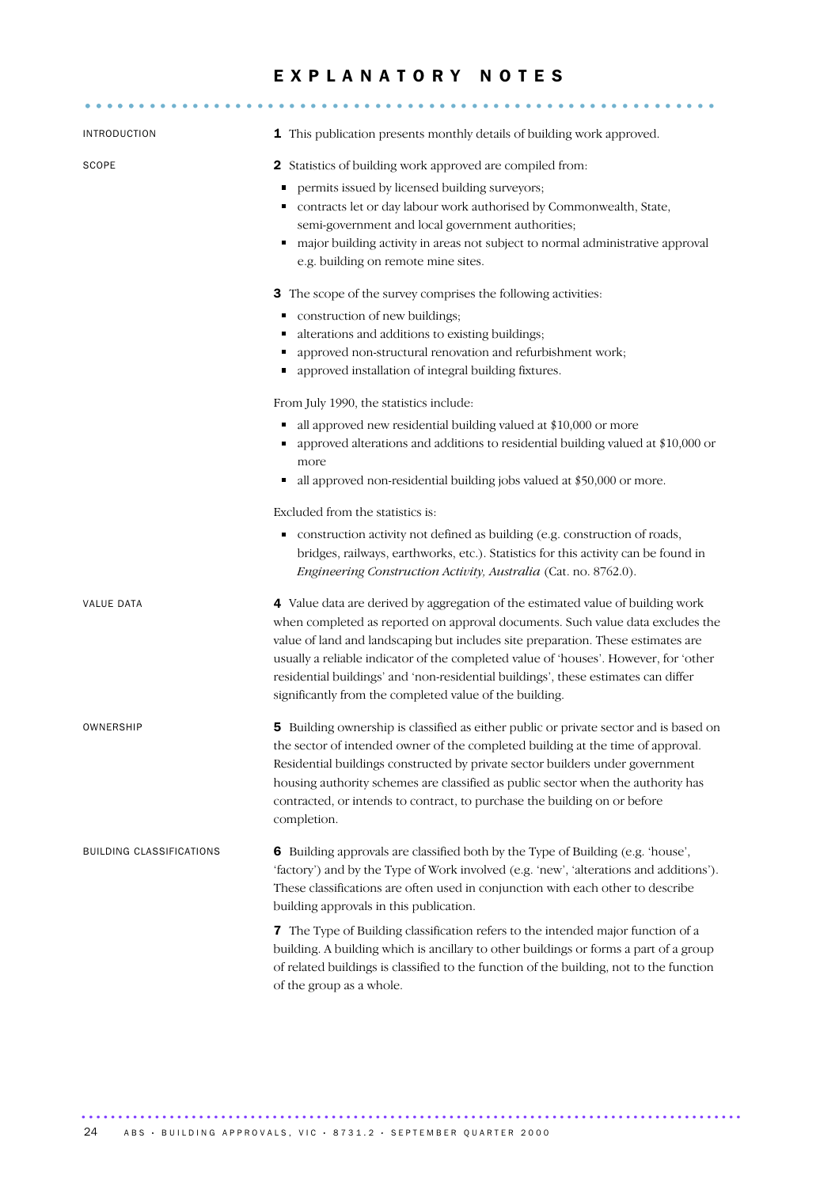## EXPLANATORY NOTES

........................................................... .....

| <b>INTRODUCTION</b>             | 1 This publication presents monthly details of building work approved.                                                                                                                                                                                                                                                                                                                                                                                                                         |  |  |  |  |  |  |
|---------------------------------|------------------------------------------------------------------------------------------------------------------------------------------------------------------------------------------------------------------------------------------------------------------------------------------------------------------------------------------------------------------------------------------------------------------------------------------------------------------------------------------------|--|--|--|--|--|--|
| SCOPE                           | 2 Statistics of building work approved are compiled from:<br>permits issued by licensed building surveyors;<br>Ξ<br>contracts let or day labour work authorised by Commonwealth, State,<br>٠<br>semi-government and local government authorities;<br>major building activity in areas not subject to normal administrative approval<br>٠<br>e.g. building on remote mine sites.                                                                                                                |  |  |  |  |  |  |
|                                 | 3 The scope of the survey comprises the following activities:<br>construction of new buildings;<br>٠<br>alterations and additions to existing buildings;<br>п<br>approved non-structural renovation and refurbishment work;<br>approved installation of integral building fixtures.<br>٠                                                                                                                                                                                                       |  |  |  |  |  |  |
|                                 | From July 1990, the statistics include:<br>all approved new residential building valued at \$10,000 or more<br>٠<br>approved alterations and additions to residential building valued at \$10,000 or<br>٠<br>more<br>all approved non-residential building jobs valued at \$50,000 or more.<br>٠                                                                                                                                                                                               |  |  |  |  |  |  |
|                                 | Excluded from the statistics is:<br>construction activity not defined as building (e.g. construction of roads,<br>bridges, railways, earthworks, etc.). Statistics for this activity can be found in<br>Engineering Construction Activity, Australia (Cat. no. 8762.0).                                                                                                                                                                                                                        |  |  |  |  |  |  |
| VALUE DATA                      | 4 Value data are derived by aggregation of the estimated value of building work<br>when completed as reported on approval documents. Such value data excludes the<br>value of land and landscaping but includes site preparation. These estimates are<br>usually a reliable indicator of the completed value of 'houses'. However, for 'other<br>residential buildings' and 'non-residential buildings', these estimates can differ<br>significantly from the completed value of the building. |  |  |  |  |  |  |
| OWNERSHIP                       | 5 Building ownership is classified as either public or private sector and is based on<br>the sector of intended owner of the completed building at the time of approval.<br>Residential buildings constructed by private sector builders under government<br>housing authority schemes are classified as public sector when the authority has<br>contracted, or intends to contract, to purchase the building on or before<br>completion.                                                      |  |  |  |  |  |  |
| <b>BUILDING CLASSIFICATIONS</b> | 6 Building approvals are classified both by the Type of Building (e.g. 'house',<br>'factory') and by the Type of Work involved (e.g. 'new', 'alterations and additions').<br>These classifications are often used in conjunction with each other to describe<br>building approvals in this publication.                                                                                                                                                                                        |  |  |  |  |  |  |
|                                 | 7 The Type of Building classification refers to the intended major function of a<br>building. A building which is ancillary to other buildings or forms a part of a group<br>of related buildings is classified to the function of the building, not to the function<br>of the group as a whole.                                                                                                                                                                                               |  |  |  |  |  |  |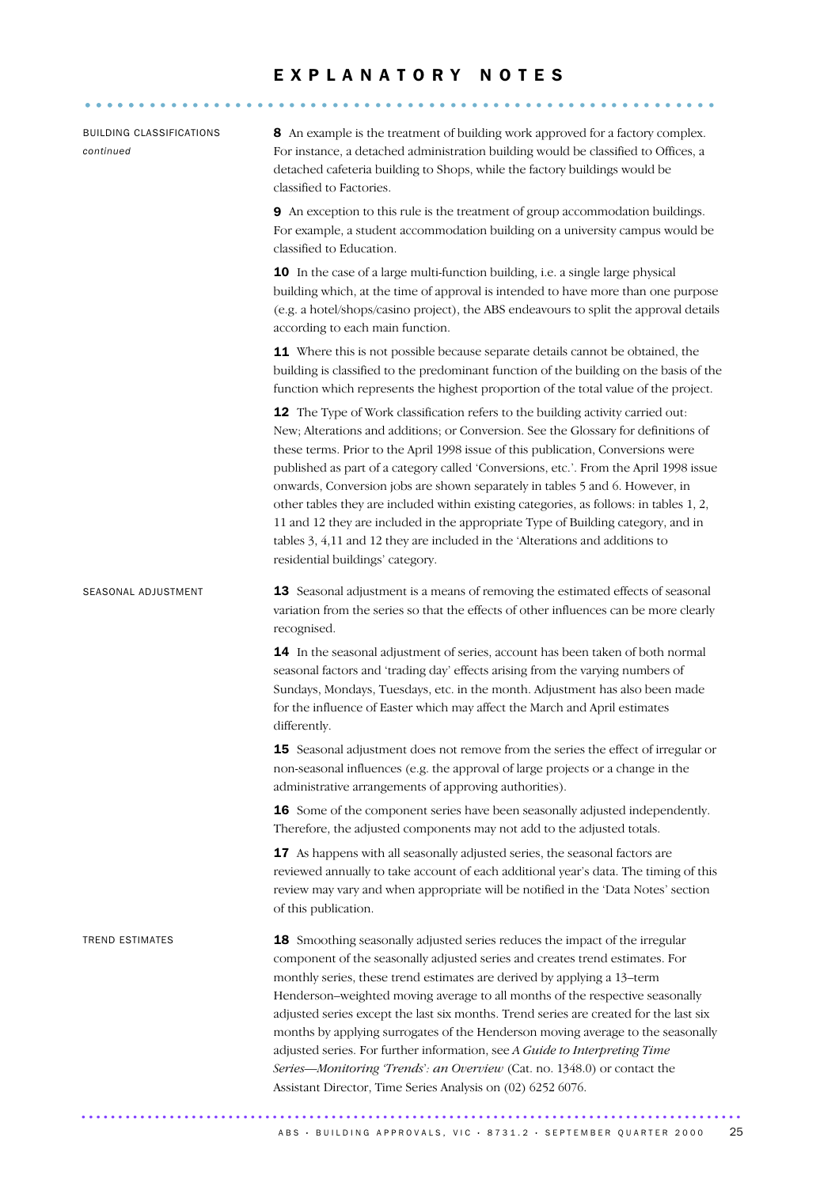## E X P L A N A T O R Y N O T E S

| 8 An example is the treatment of building work approved for a factory complex.<br>For instance, a detached administration building would be classified to Offices, a<br>detached cafeteria building to Shops, while the factory buildings would be<br>classified to Factories.<br>9 An exception to this rule is the treatment of group accommodation buildings.<br>For example, a student accommodation building on a university campus would be<br>classified to Education.<br>10 In the case of a large multi-function building, i.e. a single large physical<br>building which, at the time of approval is intended to have more than one purpose<br>(e.g. a hotel/shops/casino project), the ABS endeavours to split the approval details<br>according to each main function.<br>11 Where this is not possible because separate details cannot be obtained, the<br>building is classified to the predominant function of the building on the basis of the<br>function which represents the highest proportion of the total value of the project.<br>12 The Type of Work classification refers to the building activity carried out:<br>New; Alterations and additions; or Conversion. See the Glossary for definitions of<br>these terms. Prior to the April 1998 issue of this publication, Conversions were<br>published as part of a category called 'Conversions, etc.'. From the April 1998 issue<br>onwards, Conversion jobs are shown separately in tables 5 and 6. However, in<br>other tables they are included within existing categories, as follows: in tables 1, 2,<br>11 and 12 they are included in the appropriate Type of Building category, and in |
|---------------------------------------------------------------------------------------------------------------------------------------------------------------------------------------------------------------------------------------------------------------------------------------------------------------------------------------------------------------------------------------------------------------------------------------------------------------------------------------------------------------------------------------------------------------------------------------------------------------------------------------------------------------------------------------------------------------------------------------------------------------------------------------------------------------------------------------------------------------------------------------------------------------------------------------------------------------------------------------------------------------------------------------------------------------------------------------------------------------------------------------------------------------------------------------------------------------------------------------------------------------------------------------------------------------------------------------------------------------------------------------------------------------------------------------------------------------------------------------------------------------------------------------------------------------------------------------------------------------------------------------------------------------------------|
|                                                                                                                                                                                                                                                                                                                                                                                                                                                                                                                                                                                                                                                                                                                                                                                                                                                                                                                                                                                                                                                                                                                                                                                                                                                                                                                                                                                                                                                                                                                                                                                                                                                                           |
|                                                                                                                                                                                                                                                                                                                                                                                                                                                                                                                                                                                                                                                                                                                                                                                                                                                                                                                                                                                                                                                                                                                                                                                                                                                                                                                                                                                                                                                                                                                                                                                                                                                                           |
|                                                                                                                                                                                                                                                                                                                                                                                                                                                                                                                                                                                                                                                                                                                                                                                                                                                                                                                                                                                                                                                                                                                                                                                                                                                                                                                                                                                                                                                                                                                                                                                                                                                                           |
|                                                                                                                                                                                                                                                                                                                                                                                                                                                                                                                                                                                                                                                                                                                                                                                                                                                                                                                                                                                                                                                                                                                                                                                                                                                                                                                                                                                                                                                                                                                                                                                                                                                                           |
| tables 3, 4,11 and 12 they are included in the 'Alterations and additions to<br>residential buildings' category.                                                                                                                                                                                                                                                                                                                                                                                                                                                                                                                                                                                                                                                                                                                                                                                                                                                                                                                                                                                                                                                                                                                                                                                                                                                                                                                                                                                                                                                                                                                                                          |
| 13 Seasonal adjustment is a means of removing the estimated effects of seasonal<br>variation from the series so that the effects of other influences can be more clearly<br>recognised.                                                                                                                                                                                                                                                                                                                                                                                                                                                                                                                                                                                                                                                                                                                                                                                                                                                                                                                                                                                                                                                                                                                                                                                                                                                                                                                                                                                                                                                                                   |
| 14 In the seasonal adjustment of series, account has been taken of both normal<br>seasonal factors and 'trading day' effects arising from the varying numbers of<br>Sundays, Mondays, Tuesdays, etc. in the month. Adjustment has also been made<br>for the influence of Easter which may affect the March and April estimates<br>differently.                                                                                                                                                                                                                                                                                                                                                                                                                                                                                                                                                                                                                                                                                                                                                                                                                                                                                                                                                                                                                                                                                                                                                                                                                                                                                                                            |
| 15 Seasonal adjustment does not remove from the series the effect of irregular or<br>non-seasonal influences (e.g. the approval of large projects or a change in the<br>administrative arrangements of approving authorities).                                                                                                                                                                                                                                                                                                                                                                                                                                                                                                                                                                                                                                                                                                                                                                                                                                                                                                                                                                                                                                                                                                                                                                                                                                                                                                                                                                                                                                            |
| 16 Some of the component series have been seasonally adjusted independently.<br>Therefore, the adjusted components may not add to the adjusted totals.                                                                                                                                                                                                                                                                                                                                                                                                                                                                                                                                                                                                                                                                                                                                                                                                                                                                                                                                                                                                                                                                                                                                                                                                                                                                                                                                                                                                                                                                                                                    |
| 17 As happens with all seasonally adjusted series, the seasonal factors are<br>reviewed annually to take account of each additional year's data. The timing of this<br>review may vary and when appropriate will be notified in the 'Data Notes' section<br>of this publication.                                                                                                                                                                                                                                                                                                                                                                                                                                                                                                                                                                                                                                                                                                                                                                                                                                                                                                                                                                                                                                                                                                                                                                                                                                                                                                                                                                                          |
| 18 Smoothing seasonally adjusted series reduces the impact of the irregular<br>component of the seasonally adjusted series and creates trend estimates. For<br>monthly series, these trend estimates are derived by applying a 13-term<br>Henderson-weighted moving average to all months of the respective seasonally<br>adjusted series except the last six months. Trend series are created for the last six<br>months by applying surrogates of the Henderson moving average to the seasonally<br>adjusted series. For further information, see A Guide to Interpreting Time<br>Series-Monitoring 'Trends': an Overview (Cat. no. 1348.0) or contact the<br>Assistant Director, Time Series Analysis on (02) 6252 6076.                                                                                                                                                                                                                                                                                                                                                                                                                                                                                                                                                                                                                                                                                                                                                                                                                                                                                                                                               |
|                                                                                                                                                                                                                                                                                                                                                                                                                                                                                                                                                                                                                                                                                                                                                                                                                                                                                                                                                                                                                                                                                                                                                                                                                                                                                                                                                                                                                                                                                                                                                                                                                                                                           |

ABS • BUILDING APPROVALS, VIC • 8731.2 • SEPTEMBER QUARTER 2000 25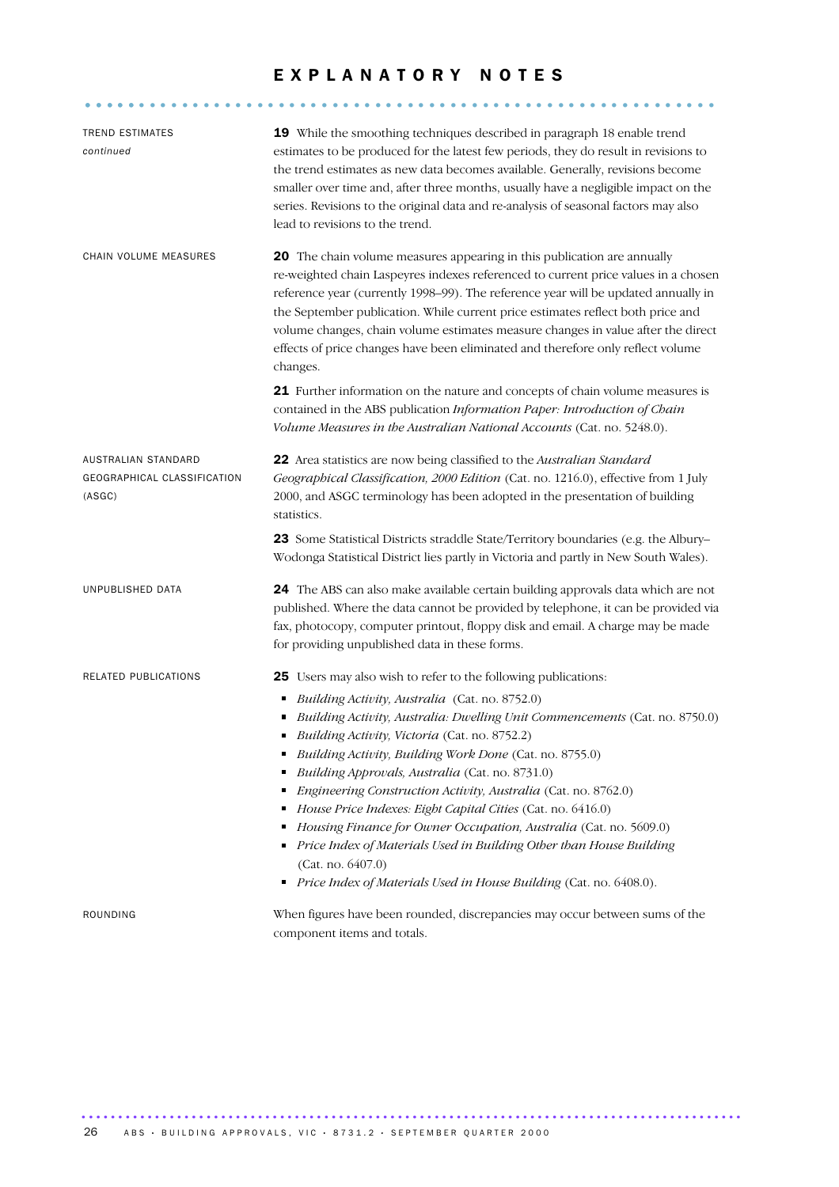## E X P L A N A T O R Y N O T E S

........................................................... .....

| <b>TREND ESTIMATES</b><br>continued                          | 19 While the smoothing techniques described in paragraph 18 enable trend<br>estimates to be produced for the latest few periods, they do result in revisions to<br>the trend estimates as new data becomes available. Generally, revisions become<br>smaller over time and, after three months, usually have a negligible impact on the<br>series. Revisions to the original data and re-analysis of seasonal factors may also<br>lead to revisions to the trend.                                                                                  |
|--------------------------------------------------------------|----------------------------------------------------------------------------------------------------------------------------------------------------------------------------------------------------------------------------------------------------------------------------------------------------------------------------------------------------------------------------------------------------------------------------------------------------------------------------------------------------------------------------------------------------|
| CHAIN VOLUME MEASURES                                        | 20 The chain volume measures appearing in this publication are annually<br>re-weighted chain Laspeyres indexes referenced to current price values in a chosen<br>reference year (currently 1998-99). The reference year will be updated annually in<br>the September publication. While current price estimates reflect both price and<br>volume changes, chain volume estimates measure changes in value after the direct<br>effects of price changes have been eliminated and therefore only reflect volume<br>changes.                          |
|                                                              | 21 Further information on the nature and concepts of chain volume measures is<br>contained in the ABS publication Information Paper: Introduction of Chain<br>Volume Measures in the Australian National Accounts (Cat. no. 5248.0).                                                                                                                                                                                                                                                                                                               |
| AUSTRALIAN STANDARD<br>GEOGRAPHICAL CLASSIFICATION<br>(ASGC) | 22 Area statistics are now being classified to the Australian Standard<br>Geographical Classification, 2000 Edition (Cat. no. 1216.0), effective from 1 July<br>2000, and ASGC terminology has been adopted in the presentation of building<br>statistics.                                                                                                                                                                                                                                                                                         |
|                                                              | 23 Some Statistical Districts straddle State/Territory boundaries (e.g. the Albury-<br>Wodonga Statistical District lies partly in Victoria and partly in New South Wales).                                                                                                                                                                                                                                                                                                                                                                        |
| UNPUBLISHED DATA                                             | 24 The ABS can also make available certain building approvals data which are not<br>published. Where the data cannot be provided by telephone, it can be provided via<br>fax, photocopy, computer printout, floppy disk and email. A charge may be made<br>for providing unpublished data in these forms.                                                                                                                                                                                                                                          |
| RELATED PUBLICATIONS                                         | 25 Users may also wish to refer to the following publications:<br>Building Activity, Australia (Cat. no. 8752.0)<br>п<br>Building Activity, Australia: Dwelling Unit Commencements (Cat. no. 8750.0)                                                                                                                                                                                                                                                                                                                                               |
|                                                              | Building Activity, Victoria (Cat. no. 8752.2)<br>Building Activity, Building Work Done (Cat. no. 8755.0)<br>Building Approvals, Australia (Cat. no. 8731.0)<br>Engineering Construction Activity, Australia (Cat. no. 8762.0)<br>п<br>House Price Indexes: Eight Capital Cities (Cat. no. 6416.0)<br>Housing Finance for Owner Occupation, Australia (Cat. no. 5609.0)<br>٠<br>Price Index of Materials Used in Building Other than House Building<br>(Cat. no. 6407.0)<br>Price Index of Materials Used in House Building (Cat. no. 6408.0).<br>٠ |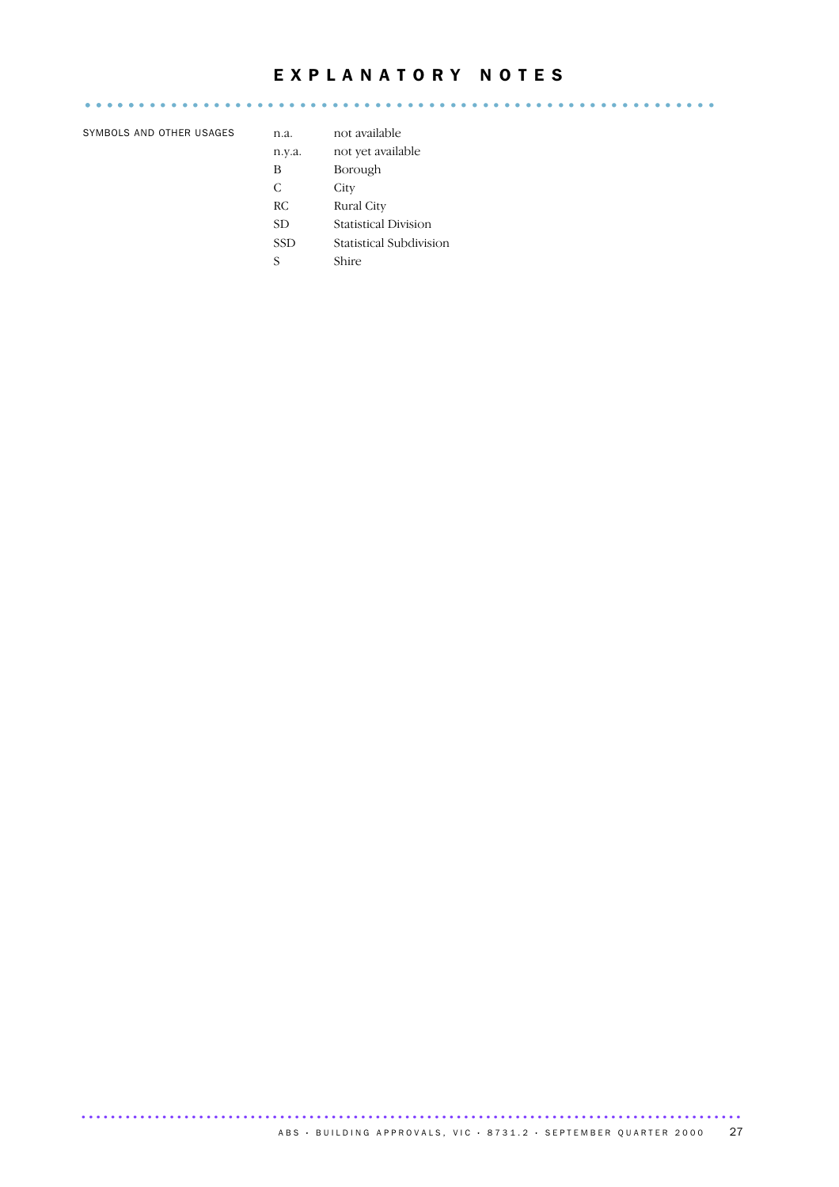## E X P L A N A T O R Y N O T E S

........................................................... .....

SYMBOLS AND OTHER USAGES n.a. not available

| 11.a.      | пос аvaпабле                |
|------------|-----------------------------|
| n.y.a.     | not yet available           |
| B          | Borough                     |
| C          | City                        |
| RC.        | Rural City                  |
| <b>SD</b>  | <b>Statistical Division</b> |
| <b>SSD</b> | Statistical Subdivision     |
| S          | Shire                       |
|            |                             |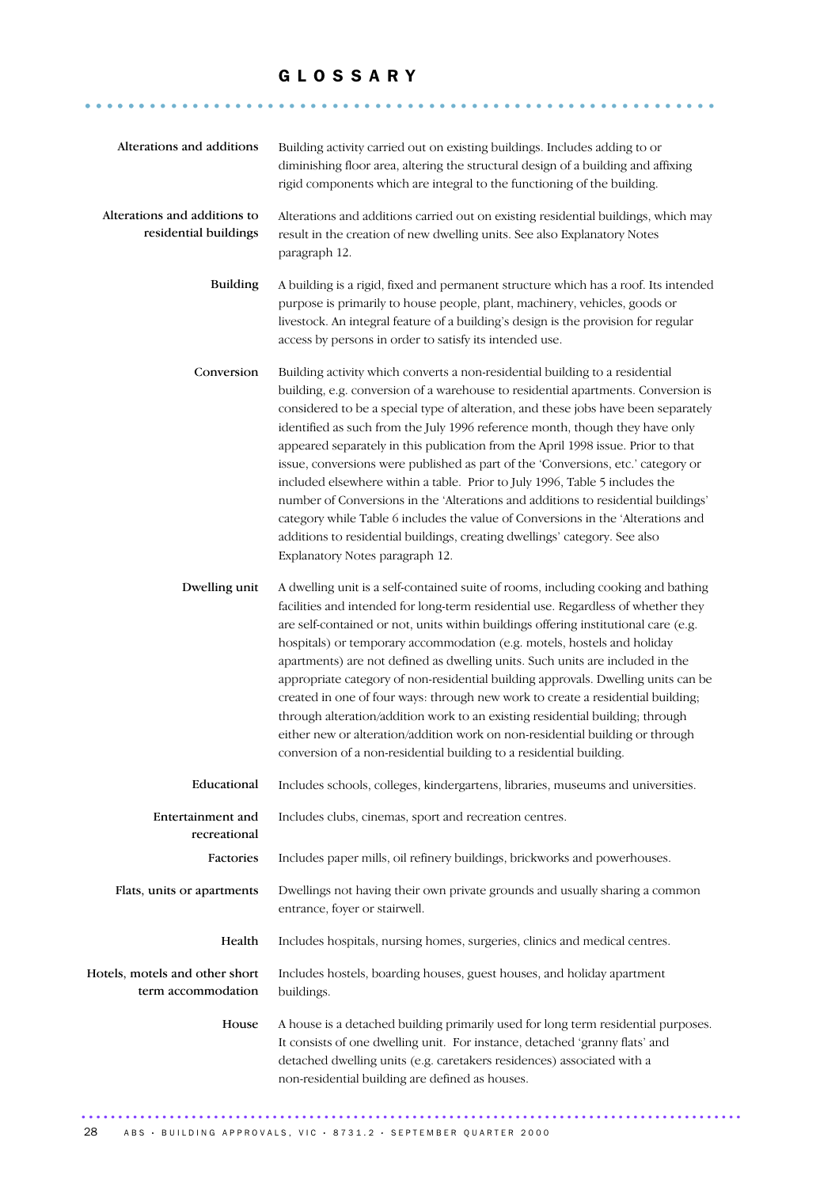## G L O S S A R Y

........................................................... ......

| Alterations and additions                             | Building activity carried out on existing buildings. Includes adding to or<br>diminishing floor area, altering the structural design of a building and affixing<br>rigid components which are integral to the functioning of the building.                                                                                                                                                                                                                                                                                                                                                                                                                                                                                                                                                                                                                                               |
|-------------------------------------------------------|------------------------------------------------------------------------------------------------------------------------------------------------------------------------------------------------------------------------------------------------------------------------------------------------------------------------------------------------------------------------------------------------------------------------------------------------------------------------------------------------------------------------------------------------------------------------------------------------------------------------------------------------------------------------------------------------------------------------------------------------------------------------------------------------------------------------------------------------------------------------------------------|
| Alterations and additions to<br>residential buildings | Alterations and additions carried out on existing residential buildings, which may<br>result in the creation of new dwelling units. See also Explanatory Notes<br>paragraph 12.                                                                                                                                                                                                                                                                                                                                                                                                                                                                                                                                                                                                                                                                                                          |
| <b>Building</b>                                       | A building is a rigid, fixed and permanent structure which has a roof. Its intended<br>purpose is primarily to house people, plant, machinery, vehicles, goods or<br>livestock. An integral feature of a building's design is the provision for regular<br>access by persons in order to satisfy its intended use.                                                                                                                                                                                                                                                                                                                                                                                                                                                                                                                                                                       |
| Conversion                                            | Building activity which converts a non-residential building to a residential<br>building, e.g. conversion of a warehouse to residential apartments. Conversion is<br>considered to be a special type of alteration, and these jobs have been separately<br>identified as such from the July 1996 reference month, though they have only<br>appeared separately in this publication from the April 1998 issue. Prior to that<br>issue, conversions were published as part of the 'Conversions, etc.' category or<br>included elsewhere within a table. Prior to July 1996, Table 5 includes the<br>number of Conversions in the 'Alterations and additions to residential buildings'<br>category while Table 6 includes the value of Conversions in the 'Alterations and<br>additions to residential buildings, creating dwellings' category. See also<br>Explanatory Notes paragraph 12. |
| Dwelling unit                                         | A dwelling unit is a self-contained suite of rooms, including cooking and bathing<br>facilities and intended for long-term residential use. Regardless of whether they<br>are self-contained or not, units within buildings offering institutional care (e.g.<br>hospitals) or temporary accommodation (e.g. motels, hostels and holiday<br>apartments) are not defined as dwelling units. Such units are included in the<br>appropriate category of non-residential building approvals. Dwelling units can be<br>created in one of four ways: through new work to create a residential building;<br>through alteration/addition work to an existing residential building; through<br>either new or alteration/addition work on non-residential building or through<br>conversion of a non-residential building to a residential building.                                               |
| Educational                                           | Includes schools, colleges, kindergartens, libraries, museums and universities.                                                                                                                                                                                                                                                                                                                                                                                                                                                                                                                                                                                                                                                                                                                                                                                                          |
| <b>Entertainment</b> and<br>recreational              | Includes clubs, cinemas, sport and recreation centres.                                                                                                                                                                                                                                                                                                                                                                                                                                                                                                                                                                                                                                                                                                                                                                                                                                   |
| Factories                                             | Includes paper mills, oil refinery buildings, brickworks and powerhouses.                                                                                                                                                                                                                                                                                                                                                                                                                                                                                                                                                                                                                                                                                                                                                                                                                |
| Flats, units or apartments                            | Dwellings not having their own private grounds and usually sharing a common<br>entrance, foyer or stairwell.                                                                                                                                                                                                                                                                                                                                                                                                                                                                                                                                                                                                                                                                                                                                                                             |
| Health                                                | Includes hospitals, nursing homes, surgeries, clinics and medical centres.                                                                                                                                                                                                                                                                                                                                                                                                                                                                                                                                                                                                                                                                                                                                                                                                               |
| Hotels, motels and other short<br>term accommodation  | Includes hostels, boarding houses, guest houses, and holiday apartment<br>buildings.                                                                                                                                                                                                                                                                                                                                                                                                                                                                                                                                                                                                                                                                                                                                                                                                     |
| House                                                 | A house is a detached building primarily used for long term residential purposes.<br>It consists of one dwelling unit. For instance, detached 'granny flats' and<br>detached dwelling units (e.g. caretakers residences) associated with a<br>non-residential building are defined as houses.                                                                                                                                                                                                                                                                                                                                                                                                                                                                                                                                                                                            |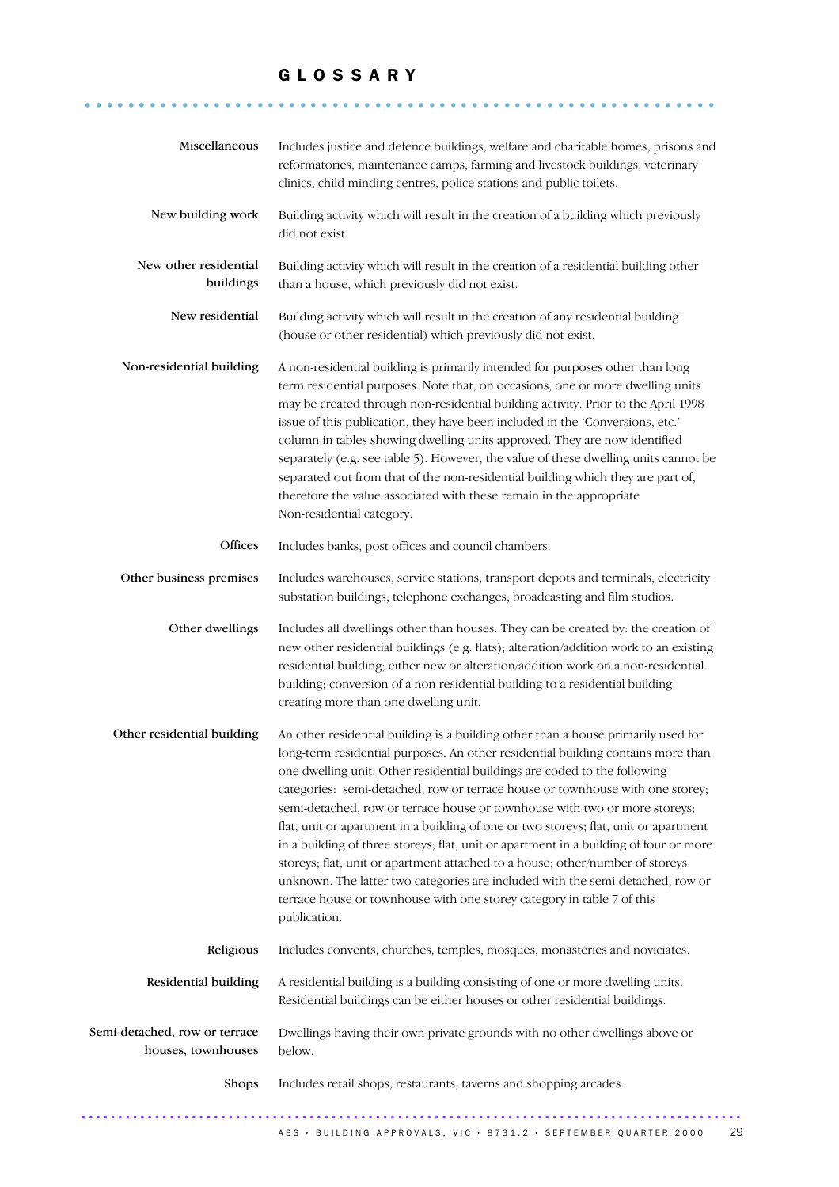## G L O S S A R Y

........................................................... ......

| Miscellaneous                                       | Includes justice and defence buildings, welfare and charitable homes, prisons and<br>reformatories, maintenance camps, farming and livestock buildings, veterinary<br>clinics, child-minding centres, police stations and public toilets.                                                                                                                                                                                                                                                                                                                                                                                                                                                                                                                                                                                                                       |
|-----------------------------------------------------|-----------------------------------------------------------------------------------------------------------------------------------------------------------------------------------------------------------------------------------------------------------------------------------------------------------------------------------------------------------------------------------------------------------------------------------------------------------------------------------------------------------------------------------------------------------------------------------------------------------------------------------------------------------------------------------------------------------------------------------------------------------------------------------------------------------------------------------------------------------------|
| New building work                                   | Building activity which will result in the creation of a building which previously<br>did not exist.                                                                                                                                                                                                                                                                                                                                                                                                                                                                                                                                                                                                                                                                                                                                                            |
| New other residential<br>buildings                  | Building activity which will result in the creation of a residential building other<br>than a house, which previously did not exist.                                                                                                                                                                                                                                                                                                                                                                                                                                                                                                                                                                                                                                                                                                                            |
| New residential                                     | Building activity which will result in the creation of any residential building<br>(house or other residential) which previously did not exist.                                                                                                                                                                                                                                                                                                                                                                                                                                                                                                                                                                                                                                                                                                                 |
| Non-residential building                            | A non-residential building is primarily intended for purposes other than long<br>term residential purposes. Note that, on occasions, one or more dwelling units<br>may be created through non-residential building activity. Prior to the April 1998<br>issue of this publication, they have been included in the 'Conversions, etc.'<br>column in tables showing dwelling units approved. They are now identified<br>separately (e.g. see table 5). However, the value of these dwelling units cannot be<br>separated out from that of the non-residential building which they are part of,<br>therefore the value associated with these remain in the appropriate<br>Non-residential category.                                                                                                                                                                |
| Offices                                             | Includes banks, post offices and council chambers.                                                                                                                                                                                                                                                                                                                                                                                                                                                                                                                                                                                                                                                                                                                                                                                                              |
| Other business premises                             | Includes warehouses, service stations, transport depots and terminals, electricity<br>substation buildings, telephone exchanges, broadcasting and film studios.                                                                                                                                                                                                                                                                                                                                                                                                                                                                                                                                                                                                                                                                                                 |
| Other dwellings                                     | Includes all dwellings other than houses. They can be created by: the creation of<br>new other residential buildings (e.g. flats); alteration/addition work to an existing<br>residential building; either new or alteration/addition work on a non-residential<br>building; conversion of a non-residential building to a residential building<br>creating more than one dwelling unit.                                                                                                                                                                                                                                                                                                                                                                                                                                                                        |
| Other residential building                          | An other residential building is a building other than a house primarily used for<br>long-term residential purposes. An other residential building contains more than<br>one dwelling unit. Other residential buildings are coded to the following<br>categories: semi-detached, row or terrace house or townhouse with one storey;<br>semi-detached, row or terrace house or townhouse with two or more storeys;<br>flat, unit or apartment in a building of one or two storeys; flat, unit or apartment<br>in a building of three storeys; flat, unit or apartment in a building of four or more<br>storeys; flat, unit or apartment attached to a house; other/number of storeys<br>unknown. The latter two categories are included with the semi-detached, row or<br>terrace house or townhouse with one storey category in table 7 of this<br>publication. |
| Religious                                           | Includes convents, churches, temples, mosques, monasteries and noviciates.                                                                                                                                                                                                                                                                                                                                                                                                                                                                                                                                                                                                                                                                                                                                                                                      |
| Residential building                                | A residential building is a building consisting of one or more dwelling units.<br>Residential buildings can be either houses or other residential buildings.                                                                                                                                                                                                                                                                                                                                                                                                                                                                                                                                                                                                                                                                                                    |
| Semi-detached, row or terrace<br>houses, townhouses | Dwellings having their own private grounds with no other dwellings above or<br>below.                                                                                                                                                                                                                                                                                                                                                                                                                                                                                                                                                                                                                                                                                                                                                                           |
| Shops                                               | Includes retail shops, restaurants, taverns and shopping arcades.                                                                                                                                                                                                                                                                                                                                                                                                                                                                                                                                                                                                                                                                                                                                                                                               |